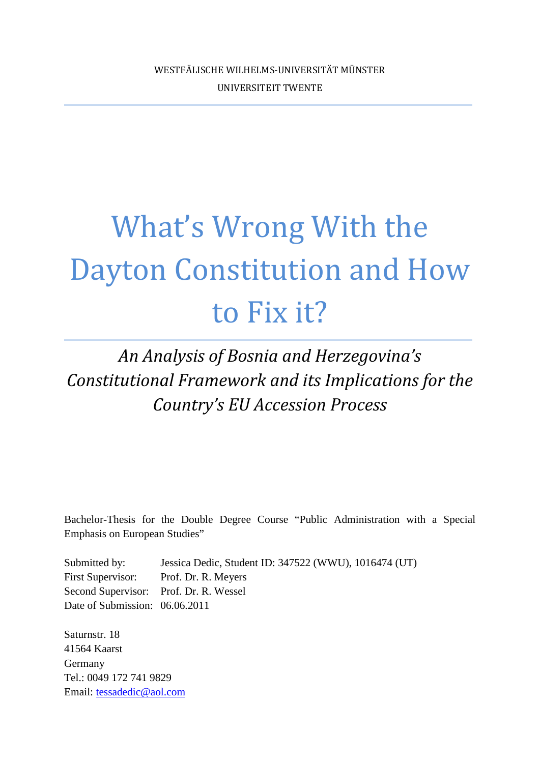# What's Wrong With the Dayton Constitution and How to Fix it?

# *An Analysis of Bosnia and Herzegovina's Constitutional Framework and its Implications for the Country's EU Accession Process*

Bachelor-Thesis for the Double Degree Course "Public Administration with a Special Emphasis on European Studies"

Submitted by: Jessica Dedic, Student ID: 347522 (WWU), 1016474 (UT) First Supervisor: Prof. Dr. R. Meyers Second Supervisor: Prof. Dr. R. Wessel Date of Submission: 06.06.2011

Saturnstr. 18 41564 Kaarst Germany Tel.: 0049 172 741 9829 Email: [tessadedic@aol.com](mailto:tessadedic@aol.com)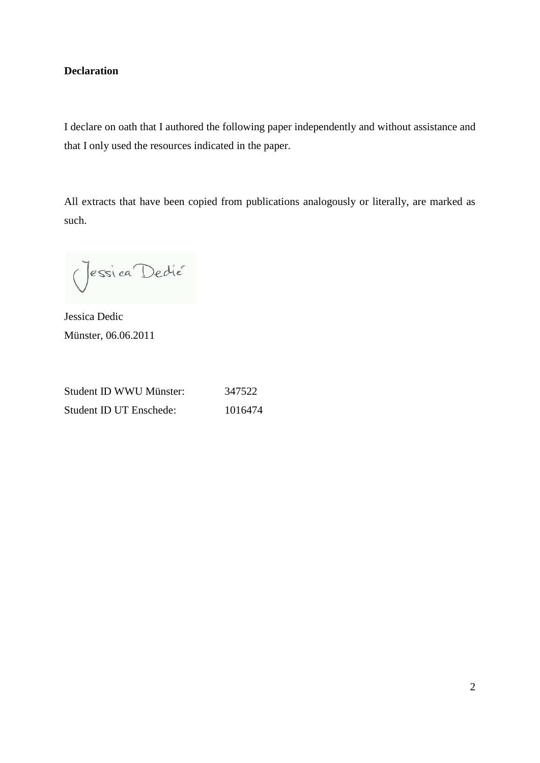#### **Declaration**

I declare on oath that I authored the following paper independently and without assistance and that I only used the resources indicated in the paper.

All extracts that have been copied from publications analogously or literally, are marked as such.

Jessica Dedié

Jessica Dedic Münster, 06.06.2011

| Student ID WWU Münster:        | 347522  |
|--------------------------------|---------|
| <b>Student ID UT Enschede:</b> | 1016474 |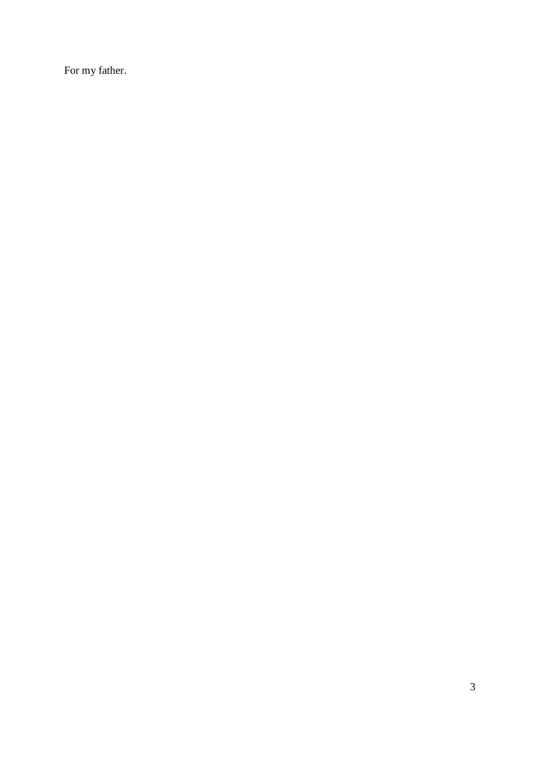For my father.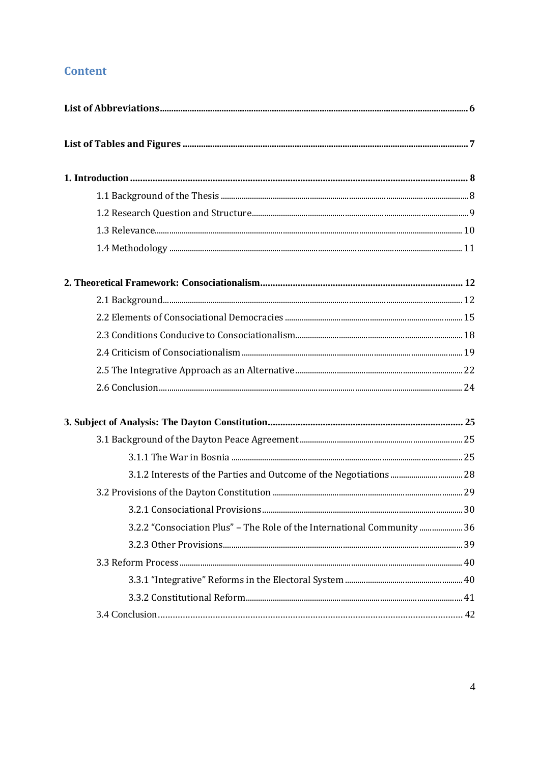### **Content**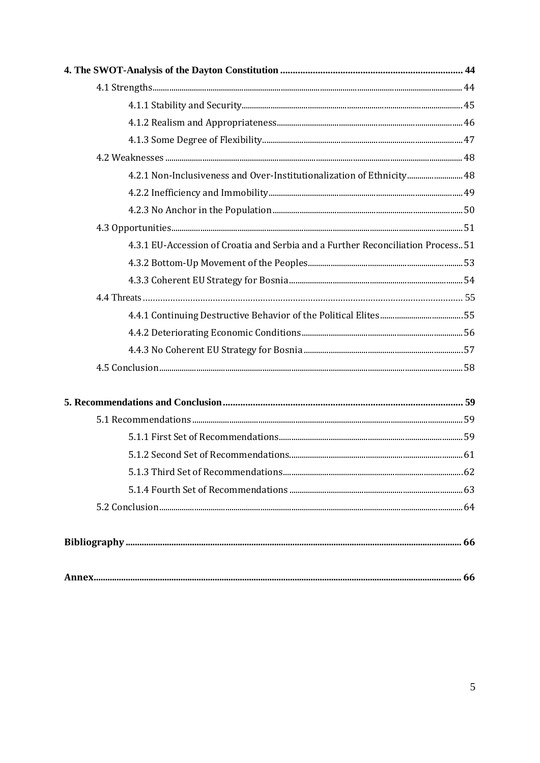| 4.2.1 Non-Inclusiveness and Over-Institutionalization of Ethnicity 48           |  |
|---------------------------------------------------------------------------------|--|
|                                                                                 |  |
|                                                                                 |  |
|                                                                                 |  |
| 4.3.1 EU-Accession of Croatia and Serbia and a Further Reconciliation Process51 |  |
|                                                                                 |  |
|                                                                                 |  |
|                                                                                 |  |
|                                                                                 |  |
|                                                                                 |  |
|                                                                                 |  |
|                                                                                 |  |
|                                                                                 |  |
|                                                                                 |  |
|                                                                                 |  |
|                                                                                 |  |
|                                                                                 |  |
|                                                                                 |  |
|                                                                                 |  |
|                                                                                 |  |
|                                                                                 |  |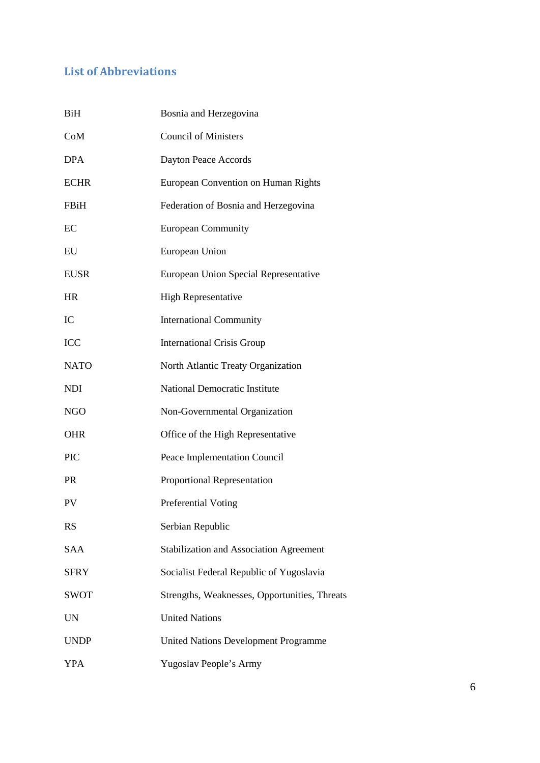## <span id="page-5-0"></span>**List of Abbreviations**

| BiH         | Bosnia and Herzegovina                         |
|-------------|------------------------------------------------|
| CoM         | <b>Council of Ministers</b>                    |
| <b>DPA</b>  | Dayton Peace Accords                           |
| <b>ECHR</b> | European Convention on Human Rights            |
| FBiH        | Federation of Bosnia and Herzegovina           |
| EC          | <b>European Community</b>                      |
| EU          | European Union                                 |
| <b>EUSR</b> | European Union Special Representative          |
| <b>HR</b>   | High Representative                            |
| IC          | <b>International Community</b>                 |
| ICC         | <b>International Crisis Group</b>              |
| <b>NATO</b> | North Atlantic Treaty Organization             |
| <b>NDI</b>  | <b>National Democratic Institute</b>           |
| <b>NGO</b>  | Non-Governmental Organization                  |
| <b>OHR</b>  | Office of the High Representative              |
| <b>PIC</b>  | Peace Implementation Council                   |
| <b>PR</b>   | Proportional Representation                    |
| PV          | Preferential Voting                            |
| <b>RS</b>   | Serbian Republic                               |
| SAA         | <b>Stabilization and Association Agreement</b> |
| <b>SFRY</b> | Socialist Federal Republic of Yugoslavia       |
| <b>SWOT</b> | Strengths, Weaknesses, Opportunities, Threats  |
| UN          | <b>United Nations</b>                          |
| <b>UNDP</b> | <b>United Nations Development Programme</b>    |
| <b>YPA</b>  | Yugoslav People's Army                         |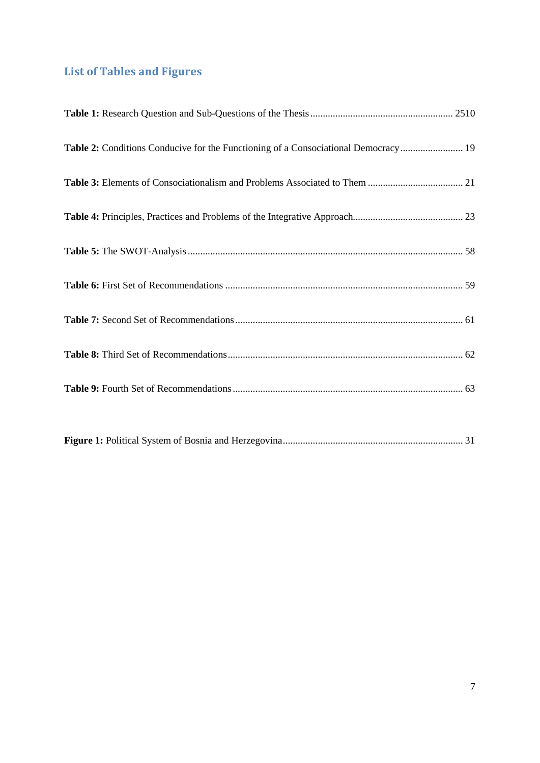# <span id="page-6-0"></span>**List of Tables and Figures**

| Table 2: Conditions Conducive for the Functioning of a Consociational Democracy 19 |  |
|------------------------------------------------------------------------------------|--|
|                                                                                    |  |
|                                                                                    |  |
|                                                                                    |  |
|                                                                                    |  |
|                                                                                    |  |
|                                                                                    |  |
|                                                                                    |  |
|                                                                                    |  |

**Figure 1:** [Political System of Bosnia and Herzegovina........................................................................](#page-24-0) 31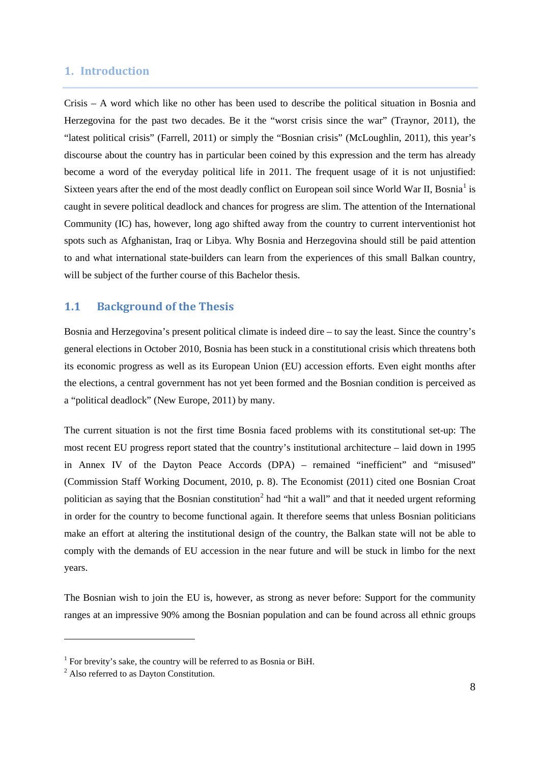#### <span id="page-7-0"></span>**1. Introduction**

Crisis – A word which like no other has been used to describe the political situation in Bosnia and Herzegovina for the past two decades. Be it the "worst crisis since the war" (Traynor, 2011), the "latest political crisis" (Farrell, 2011) or simply the "Bosnian crisis" (McLoughlin, 2011), this year's discourse about the country has in particular been coined by this expression and the term has already become a word of the everyday political life in 2011. The frequent usage of it is not unjustified: Sixteen years after the end of the most deadly conflict on European soil since World War II, Bosnia<sup>[1](#page-71-0)</sup> is caught in severe political deadlock and chances for progress are slim. The attention of the International Community (IC) has, however, long ago shifted away from the country to current interventionist hot spots such as Afghanistan, Iraq or Libya. Why Bosnia and Herzegovina should still be paid attention to and what international state-builders can learn from the experiences of this small Balkan country, will be subject of the further course of this Bachelor thesis.

#### <span id="page-7-1"></span>**1.1 Background of the Thesis**

Bosnia and Herzegovina's present political climate is indeed dire – to say the least. Since the country's general elections in October 2010, Bosnia has been stuck in a constitutional crisis which threatens both its economic progress as well as its European Union (EU) accession efforts. Even eight months after the elections, a central government has not yet been formed and the Bosnian condition is perceived as a "political deadlock" (New Europe, 2011) by many.

The current situation is not the first time Bosnia faced problems with its constitutional set-up: The most recent EU progress report stated that the country's institutional architecture – laid down in 1995 in Annex IV of the Dayton Peace Accords (DPA) – remained "inefficient" and "misused" (Commission Staff Working Document, 2010, p. 8). The Economist (2011) cited one Bosnian Croat politician as saying that the Bosnian constitution<sup>[2](#page-7-2)</sup> had "hit a wall" and that it needed urgent reforming in order for the country to become functional again. It therefore seems that unless Bosnian politicians make an effort at altering the institutional design of the country, the Balkan state will not be able to comply with the demands of EU accession in the near future and will be stuck in limbo for the next years.

The Bosnian wish to join the EU is, however, as strong as never before: Support for the community ranges at an impressive 90% among the Bosnian population and can be found across all ethnic groups

 $\overline{a}$ 

<span id="page-7-3"></span> $1$  For brevity's sake, the country will be referred to as Bosnia or BiH.

<span id="page-7-2"></span><sup>&</sup>lt;sup>2</sup> Also referred to as Dayton Constitution.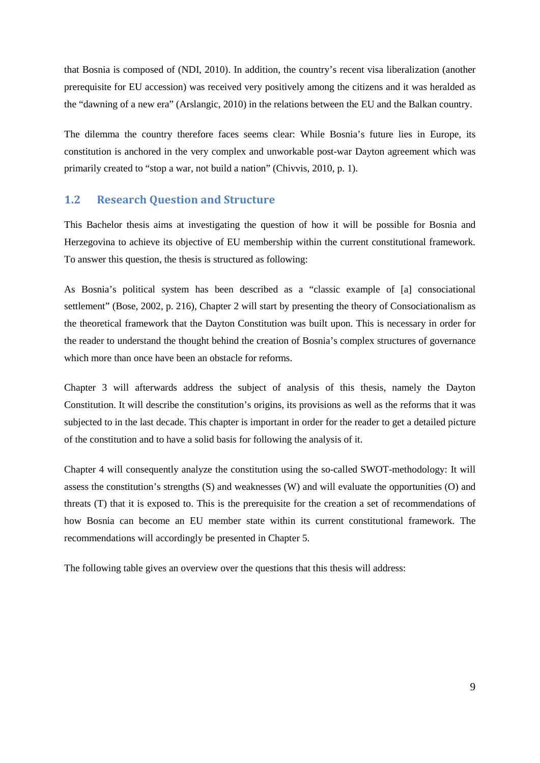that Bosnia is composed of (NDI, 2010). In addition, the country's recent visa liberalization (another prerequisite for EU accession) was received very positively among the citizens and it was heralded as the "dawning of a new era" (Arslangic, 2010) in the relations between the EU and the Balkan country.

The dilemma the country therefore faces seems clear: While Bosnia's future lies in Europe, its constitution is anchored in the very complex and unworkable post-war Dayton agreement which was primarily created to "stop a war, not build a nation" (Chivvis, 2010, p. 1).

#### <span id="page-8-0"></span>**1.2 Research Question and Structure**

This Bachelor thesis aims at investigating the question of how it will be possible for Bosnia and Herzegovina to achieve its objective of EU membership within the current constitutional framework. To answer this question, the thesis is structured as following:

As Bosnia's political system has been described as a "classic example of [a] consociational settlement" (Bose, 2002, p. 216), Chapter 2 will start by presenting the theory of Consociationalism as the theoretical framework that the Dayton Constitution was built upon. This is necessary in order for the reader to understand the thought behind the creation of Bosnia's complex structures of governance which more than once have been an obstacle for reforms.

Chapter 3 will afterwards address the subject of analysis of this thesis, namely the Dayton Constitution. It will describe the constitution's origins, its provisions as well as the reforms that it was subjected to in the last decade. This chapter is important in order for the reader to get a detailed picture of the constitution and to have a solid basis for following the analysis of it.

Chapter 4 will consequently analyze the constitution using the so-called SWOT-methodology: It will assess the constitution's strengths (S) and weaknesses (W) and will evaluate the opportunities (O) and threats (T) that it is exposed to. This is the prerequisite for the creation a set of recommendations of how Bosnia can become an EU member state within its current constitutional framework. The recommendations will accordingly be presented in Chapter 5.

The following table gives an overview over the questions that this thesis will address: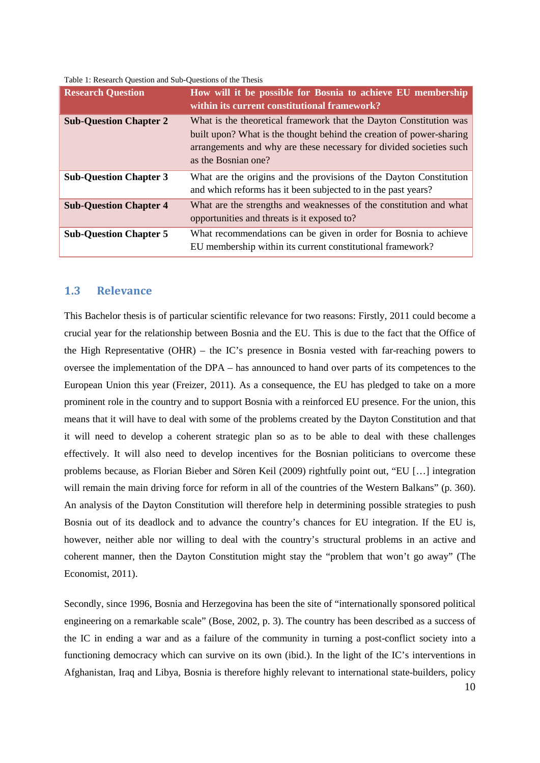| <b>Research Question</b>      | How will it be possible for Bosnia to achieve EU membership<br>within its current constitutional framework?                                                                                                                              |
|-------------------------------|------------------------------------------------------------------------------------------------------------------------------------------------------------------------------------------------------------------------------------------|
| <b>Sub-Question Chapter 2</b> | What is the theoretical framework that the Dayton Constitution was<br>built upon? What is the thought behind the creation of power-sharing<br>arrangements and why are these necessary for divided societies such<br>as the Bosnian one? |
| <b>Sub-Question Chapter 3</b> | What are the origins and the provisions of the Dayton Constitution<br>and which reforms has it been subjected to in the past years?                                                                                                      |
| <b>Sub-Question Chapter 4</b> | What are the strengths and weaknesses of the constitution and what<br>opportunities and threats is it exposed to?                                                                                                                        |
| <b>Sub-Question Chapter 5</b> | What recommendations can be given in order for Bosnia to achieve<br>EU membership within its current constitutional framework?                                                                                                           |

Table 1: Research Question and Sub-Questions of the Thesis

#### <span id="page-9-0"></span>**1.3 Relevance**

This Bachelor thesis is of particular scientific relevance for two reasons: Firstly, 2011 could become a crucial year for the relationship between Bosnia and the EU. This is due to the fact that the Office of the High Representative (OHR) – the IC's presence in Bosnia vested with far-reaching powers to oversee the implementation of the DPA – has announced to hand over parts of its competences to the European Union this year (Freizer, 2011). As a consequence, the EU has pledged to take on a more prominent role in the country and to support Bosnia with a reinforced EU presence. For the union, this means that it will have to deal with some of the problems created by the Dayton Constitution and that it will need to develop a coherent strategic plan so as to be able to deal with these challenges effectively. It will also need to develop incentives for the Bosnian politicians to overcome these problems because, as Florian Bieber and Sören Keil (2009) rightfully point out, "EU […] integration will remain the main driving force for reform in all of the countries of the Western Balkans" (p. 360). An analysis of the Dayton Constitution will therefore help in determining possible strategies to push Bosnia out of its deadlock and to advance the country's chances for EU integration. If the EU is, however, neither able nor willing to deal with the country's structural problems in an active and coherent manner, then the Dayton Constitution might stay the "problem that won't go away" (The Economist, 2011).

Secondly, since 1996, Bosnia and Herzegovina has been the site of "internationally sponsored political engineering on a remarkable scale" (Bose, 2002, p. 3). The country has been described as a success of the IC in ending a war and as a failure of the community in turning a post-conflict society into a functioning democracy which can survive on its own (ibid.). In the light of the IC's interventions in Afghanistan, Iraq and Libya, Bosnia is therefore highly relevant to international state-builders, policy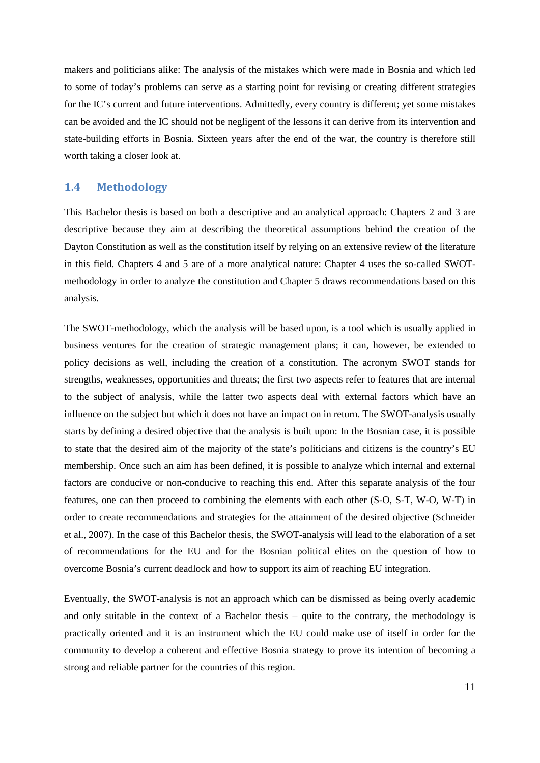makers and politicians alike: The analysis of the mistakes which were made in Bosnia and which led to some of today's problems can serve as a starting point for revising or creating different strategies for the IC's current and future interventions. Admittedly, every country is different; yet some mistakes can be avoided and the IC should not be negligent of the lessons it can derive from its intervention and state-building efforts in Bosnia. Sixteen years after the end of the war, the country is therefore still worth taking a closer look at.

#### <span id="page-10-0"></span>**1.4 Methodology**

This Bachelor thesis is based on both a descriptive and an analytical approach: Chapters 2 and 3 are descriptive because they aim at describing the theoretical assumptions behind the creation of the Dayton Constitution as well as the constitution itself by relying on an extensive review of the literature in this field. Chapters 4 and 5 are of a more analytical nature: Chapter 4 uses the so-called SWOTmethodology in order to analyze the constitution and Chapter 5 draws recommendations based on this analysis.

The SWOT-methodology, which the analysis will be based upon, is a tool which is usually applied in business ventures for the creation of strategic management plans; it can, however, be extended to policy decisions as well, including the creation of a constitution. The acronym SWOT stands for strengths, weaknesses, opportunities and threats; the first two aspects refer to features that are internal to the subject of analysis, while the latter two aspects deal with external factors which have an influence on the subject but which it does not have an impact on in return. The SWOT-analysis usually starts by defining a desired objective that the analysis is built upon: In the Bosnian case, it is possible to state that the desired aim of the majority of the state's politicians and citizens is the country's EU membership. Once such an aim has been defined, it is possible to analyze which internal and external factors are conducive or non-conducive to reaching this end. After this separate analysis of the four features, one can then proceed to combining the elements with each other (S-O, S-T, W-O, W-T) in order to create recommendations and strategies for the attainment of the desired objective (Schneider et al., 2007). In the case of this Bachelor thesis, the SWOT-analysis will lead to the elaboration of a set of recommendations for the EU and for the Bosnian political elites on the question of how to overcome Bosnia's current deadlock and how to support its aim of reaching EU integration.

Eventually, the SWOT-analysis is not an approach which can be dismissed as being overly academic and only suitable in the context of a Bachelor thesis – quite to the contrary, the methodology is practically oriented and it is an instrument which the EU could make use of itself in order for the community to develop a coherent and effective Bosnia strategy to prove its intention of becoming a strong and reliable partner for the countries of this region.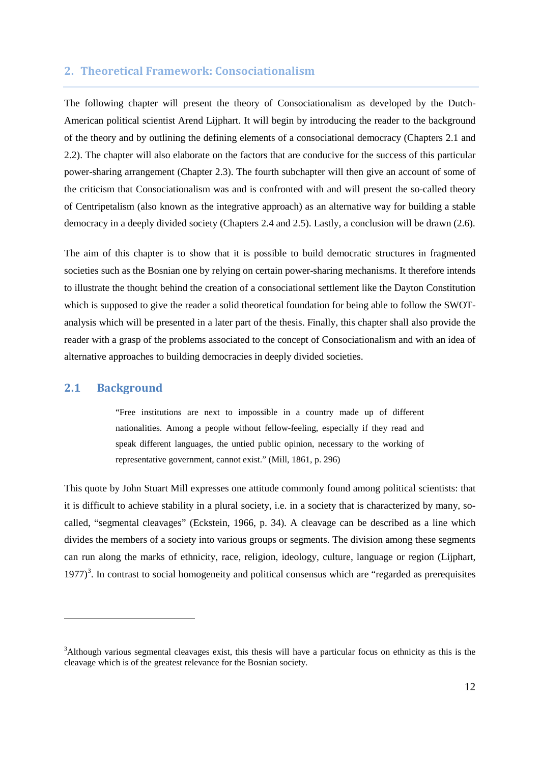#### <span id="page-11-0"></span>**2. Theoretical Framework: Consociationalism**

The following chapter will present the theory of Consociationalism as developed by the Dutch-American political scientist Arend Lijphart. It will begin by introducing the reader to the background of the theory and by outlining the defining elements of a consociational democracy (Chapters 2.1 and 2.2). The chapter will also elaborate on the factors that are conducive for the success of this particular power-sharing arrangement (Chapter 2.3). The fourth subchapter will then give an account of some of the criticism that Consociationalism was and is confronted with and will present the so-called theory of Centripetalism (also known as the integrative approach) as an alternative way for building a stable democracy in a deeply divided society (Chapters 2.4 and 2.5). Lastly, a conclusion will be drawn (2.6).

The aim of this chapter is to show that it is possible to build democratic structures in fragmented societies such as the Bosnian one by relying on certain power-sharing mechanisms. It therefore intends to illustrate the thought behind the creation of a consociational settlement like the Dayton Constitution which is supposed to give the reader a solid theoretical foundation for being able to follow the SWOTanalysis which will be presented in a later part of the thesis. Finally, this chapter shall also provide the reader with a grasp of the problems associated to the concept of Consociationalism and with an idea of alternative approaches to building democracies in deeply divided societies.

#### <span id="page-11-1"></span>**2.1 Background**

 $\overline{a}$ 

"Free institutions are next to impossible in a country made up of different nationalities. Among a people without fellow-feeling, especially if they read and speak different languages, the untied public opinion, necessary to the working of representative government, cannot exist." (Mill, 1861, p. 296)

This quote by John Stuart Mill expresses one attitude commonly found among political scientists: that it is difficult to achieve stability in a plural society, i.e. in a society that is characterized by many, socalled, "segmental cleavages" (Eckstein, 1966, p. 34). A cleavage can be described as a line which divides the members of a society into various groups or segments. The division among these segments can run along the marks of ethnicity, race, religion, ideology, culture, language or region (Lijphart,  $1977$ <sup>[3](#page-7-3)</sup>. In contrast to social homogeneity and political consensus which are "regarded as prerequisites

<span id="page-11-2"></span><sup>&</sup>lt;sup>3</sup>Although various segmental cleavages exist, this thesis will have a particular focus on ethnicity as this is the cleavage which is of the greatest relevance for the Bosnian society.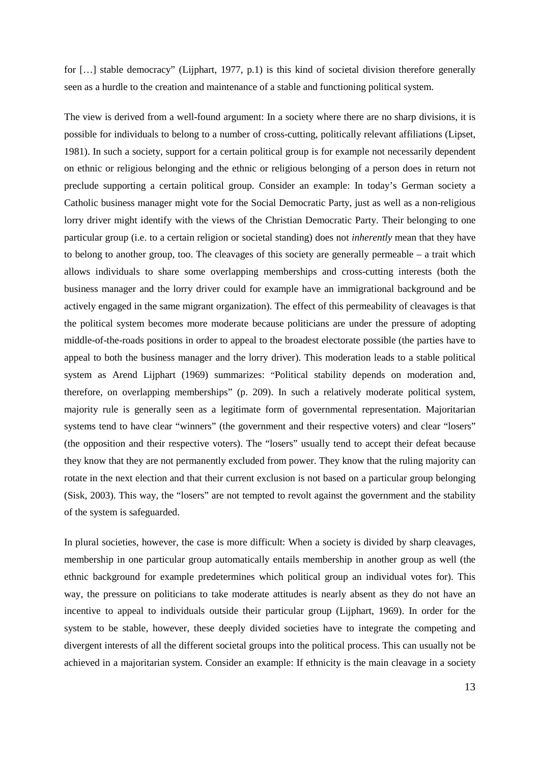for […] stable democracy" (Lijphart, 1977, p.1) is this kind of societal division therefore generally seen as a hurdle to the creation and maintenance of a stable and functioning political system.

The view is derived from a well-found argument: In a society where there are no sharp divisions, it is possible for individuals to belong to a number of cross-cutting, politically relevant affiliations (Lipset, 1981). In such a society, support for a certain political group is for example not necessarily dependent on ethnic or religious belonging and the ethnic or religious belonging of a person does in return not preclude supporting a certain political group. Consider an example: In today's German society a Catholic business manager might vote for the Social Democratic Party, just as well as a non-religious lorry driver might identify with the views of the Christian Democratic Party. Their belonging to one particular group (i.e. to a certain religion or societal standing) does not *inherently* mean that they have to belong to another group, too. The cleavages of this society are generally permeable – a trait which allows individuals to share some overlapping memberships and cross-cutting interests (both the business manager and the lorry driver could for example have an immigrational background and be actively engaged in the same migrant organization). The effect of this permeability of cleavages is that the political system becomes more moderate because politicians are under the pressure of adopting middle-of-the-roads positions in order to appeal to the broadest electorate possible (the parties have to appeal to both the business manager and the lorry driver). This moderation leads to a stable political system as Arend Lijphart (1969) summarizes: "Political stability depends on moderation and, therefore, on overlapping memberships" (p. 209). In such a relatively moderate political system, majority rule is generally seen as a legitimate form of governmental representation. Majoritarian systems tend to have clear "winners" (the government and their respective voters) and clear "losers" (the opposition and their respective voters). The "losers" usually tend to accept their defeat because they know that they are not permanently excluded from power. They know that the ruling majority can rotate in the next election and that their current exclusion is not based on a particular group belonging (Sisk, 2003). This way, the "losers" are not tempted to revolt against the government and the stability of the system is safeguarded.

In plural societies, however, the case is more difficult: When a society is divided by sharp cleavages, membership in one particular group automatically entails membership in another group as well (the ethnic background for example predetermines which political group an individual votes for). This way, the pressure on politicians to take moderate attitudes is nearly absent as they do not have an incentive to appeal to individuals outside their particular group (Lijphart, 1969). In order for the system to be stable, however, these deeply divided societies have to integrate the competing and divergent interests of all the different societal groups into the political process. This can usually not be achieved in a majoritarian system. Consider an example: If ethnicity is the main cleavage in a society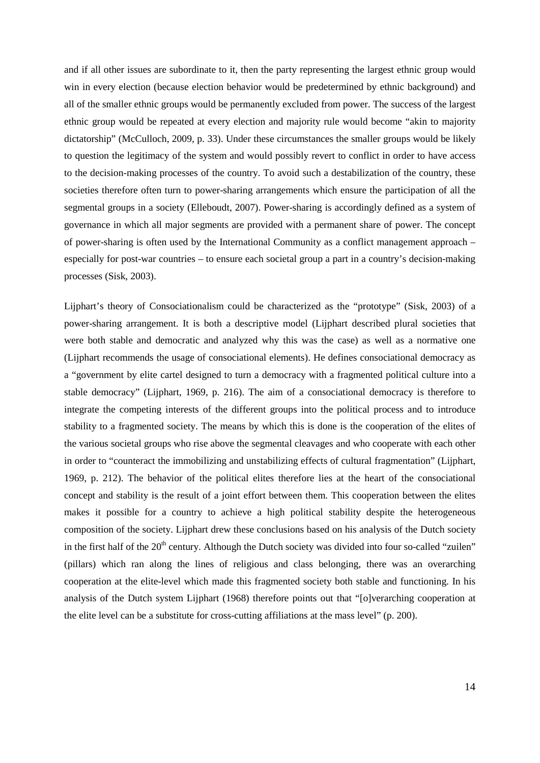and if all other issues are subordinate to it, then the party representing the largest ethnic group would win in every election (because election behavior would be predetermined by ethnic background) and all of the smaller ethnic groups would be permanently excluded from power. The success of the largest ethnic group would be repeated at every election and majority rule would become "akin to majority dictatorship" (McCulloch, 2009, p. 33). Under these circumstances the smaller groups would be likely to question the legitimacy of the system and would possibly revert to conflict in order to have access to the decision-making processes of the country. To avoid such a destabilization of the country, these societies therefore often turn to power-sharing arrangements which ensure the participation of all the segmental groups in a society (Elleboudt, 2007). Power-sharing is accordingly defined as a system of governance in which all major segments are provided with a permanent share of power. The concept of power-sharing is often used by the International Community as a conflict management approach – especially for post-war countries – to ensure each societal group a part in a country's decision-making processes (Sisk, 2003).

Lijphart's theory of Consociationalism could be characterized as the "prototype" (Sisk, 2003) of a power-sharing arrangement. It is both a descriptive model (Lijphart described plural societies that were both stable and democratic and analyzed why this was the case) as well as a normative one (Lijphart recommends the usage of consociational elements). He defines consociational democracy as a "government by elite cartel designed to turn a democracy with a fragmented political culture into a stable democracy" (Lijphart, 1969, p. 216). The aim of a consociational democracy is therefore to integrate the competing interests of the different groups into the political process and to introduce stability to a fragmented society. The means by which this is done is the cooperation of the elites of the various societal groups who rise above the segmental cleavages and who cooperate with each other in order to "counteract the immobilizing and unstabilizing effects of cultural fragmentation" (Lijphart, 1969, p. 212). The behavior of the political elites therefore lies at the heart of the consociational concept and stability is the result of a joint effort between them. This cooperation between the elites makes it possible for a country to achieve a high political stability despite the heterogeneous composition of the society. Lijphart drew these conclusions based on his analysis of the Dutch society in the first half of the  $20<sup>th</sup>$  century. Although the Dutch society was divided into four so-called "zuilen" (pillars) which ran along the lines of religious and class belonging, there was an overarching cooperation at the elite-level which made this fragmented society both stable and functioning. In his analysis of the Dutch system Lijphart (1968) therefore points out that "[o]verarching cooperation at the elite level can be a substitute for cross-cutting affiliations at the mass level" (p. 200).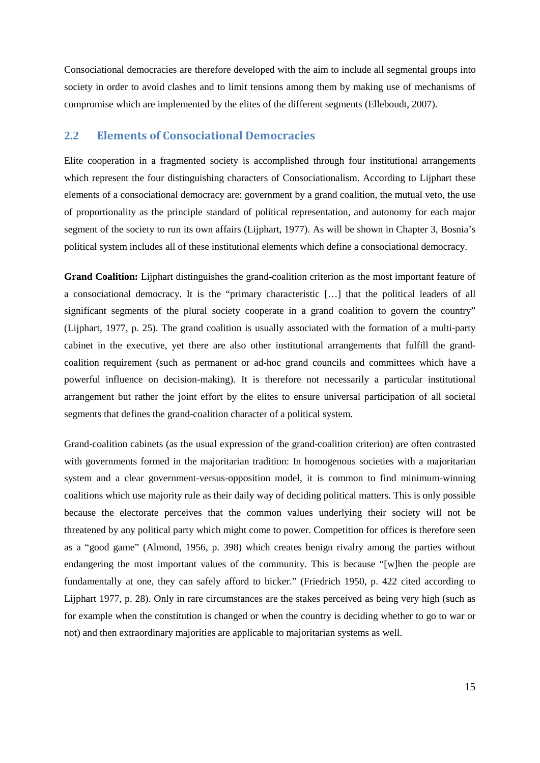Consociational democracies are therefore developed with the aim to include all segmental groups into society in order to avoid clashes and to limit tensions among them by making use of mechanisms of compromise which are implemented by the elites of the different segments (Elleboudt, 2007).

#### <span id="page-14-0"></span>**2.2 Elements of Consociational Democracies**

Elite cooperation in a fragmented society is accomplished through four institutional arrangements which represent the four distinguishing characters of Consociationalism. According to Lijphart these elements of a consociational democracy are: government by a grand coalition, the mutual veto, the use of proportionality as the principle standard of political representation, and autonomy for each major segment of the society to run its own affairs (Lijphart, 1977). As will be shown in Chapter 3, Bosnia's political system includes all of these institutional elements which define a consociational democracy.

**Grand Coalition:** Lijphart distinguishes the grand-coalition criterion as the most important feature of a consociational democracy. It is the "primary characteristic […] that the political leaders of all significant segments of the plural society cooperate in a grand coalition to govern the country" (Lijphart, 1977, p. 25). The grand coalition is usually associated with the formation of a multi-party cabinet in the executive, yet there are also other institutional arrangements that fulfill the grandcoalition requirement (such as permanent or ad-hoc grand councils and committees which have a powerful influence on decision-making). It is therefore not necessarily a particular institutional arrangement but rather the joint effort by the elites to ensure universal participation of all societal segments that defines the grand-coalition character of a political system.

Grand-coalition cabinets (as the usual expression of the grand-coalition criterion) are often contrasted with governments formed in the majoritarian tradition: In homogenous societies with a majoritarian system and a clear government-versus-opposition model, it is common to find minimum-winning coalitions which use majority rule as their daily way of deciding political matters. This is only possible because the electorate perceives that the common values underlying their society will not be threatened by any political party which might come to power. Competition for offices is therefore seen as a "good game" (Almond, 1956, p. 398) which creates benign rivalry among the parties without endangering the most important values of the community. This is because "[w]hen the people are fundamentally at one, they can safely afford to bicker." (Friedrich 1950, p. 422 cited according to Lijphart 1977, p. 28). Only in rare circumstances are the stakes perceived as being very high (such as for example when the constitution is changed or when the country is deciding whether to go to war or not) and then extraordinary majorities are applicable to majoritarian systems as well.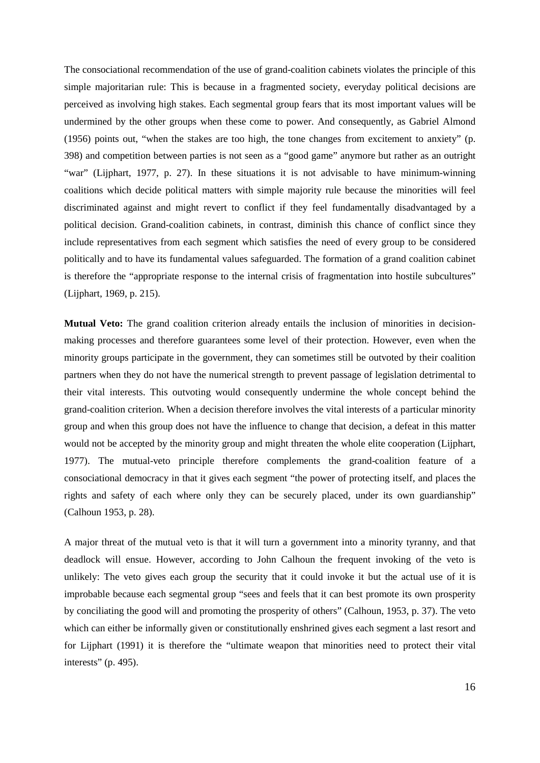The consociational recommendation of the use of grand-coalition cabinets violates the principle of this simple majoritarian rule: This is because in a fragmented society, everyday political decisions are perceived as involving high stakes. Each segmental group fears that its most important values will be undermined by the other groups when these come to power. And consequently, as Gabriel Almond (1956) points out, "when the stakes are too high, the tone changes from excitement to anxiety" (p. 398) and competition between parties is not seen as a "good game" anymore but rather as an outright "war" (Lijphart, 1977, p. 27). In these situations it is not advisable to have minimum-winning coalitions which decide political matters with simple majority rule because the minorities will feel discriminated against and might revert to conflict if they feel fundamentally disadvantaged by a political decision. Grand-coalition cabinets, in contrast, diminish this chance of conflict since they include representatives from each segment which satisfies the need of every group to be considered politically and to have its fundamental values safeguarded. The formation of a grand coalition cabinet is therefore the "appropriate response to the internal crisis of fragmentation into hostile subcultures" (Lijphart, 1969, p. 215).

**Mutual Veto:** The grand coalition criterion already entails the inclusion of minorities in decisionmaking processes and therefore guarantees some level of their protection. However, even when the minority groups participate in the government, they can sometimes still be outvoted by their coalition partners when they do not have the numerical strength to prevent passage of legislation detrimental to their vital interests. This outvoting would consequently undermine the whole concept behind the grand-coalition criterion. When a decision therefore involves the vital interests of a particular minority group and when this group does not have the influence to change that decision, a defeat in this matter would not be accepted by the minority group and might threaten the whole elite cooperation (Lijphart, 1977). The mutual-veto principle therefore complements the grand-coalition feature of a consociational democracy in that it gives each segment "the power of protecting itself, and places the rights and safety of each where only they can be securely placed, under its own guardianship" (Calhoun 1953, p. 28).

A major threat of the mutual veto is that it will turn a government into a minority tyranny, and that deadlock will ensue. However, according to John Calhoun the frequent invoking of the veto is unlikely: The veto gives each group the security that it could invoke it but the actual use of it is improbable because each segmental group "sees and feels that it can best promote its own prosperity by conciliating the good will and promoting the prosperity of others" (Calhoun, 1953, p. 37). The veto which can either be informally given or constitutionally enshrined gives each segment a last resort and for Lijphart (1991) it is therefore the "ultimate weapon that minorities need to protect their vital interests" (p. 495).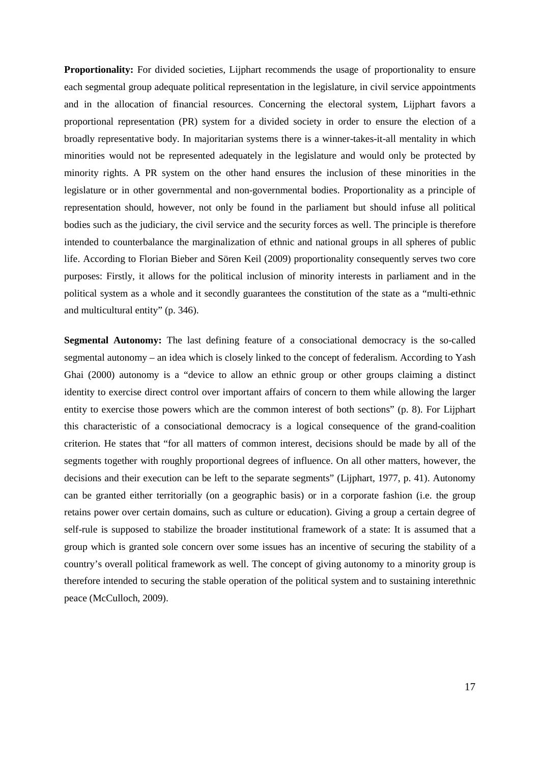**Proportionality:** For divided societies, Lijphart recommends the usage of proportionality to ensure each segmental group adequate political representation in the legislature, in civil service appointments and in the allocation of financial resources. Concerning the electoral system, Lijphart favors a proportional representation (PR) system for a divided society in order to ensure the election of a broadly representative body. In majoritarian systems there is a winner-takes-it-all mentality in which minorities would not be represented adequately in the legislature and would only be protected by minority rights. A PR system on the other hand ensures the inclusion of these minorities in the legislature or in other governmental and non-governmental bodies. Proportionality as a principle of representation should, however, not only be found in the parliament but should infuse all political bodies such as the judiciary, the civil service and the security forces as well. The principle is therefore intended to counterbalance the marginalization of ethnic and national groups in all spheres of public life. According to Florian Bieber and Sören Keil (2009) proportionality consequently serves two core purposes: Firstly, it allows for the political inclusion of minority interests in parliament and in the political system as a whole and it secondly guarantees the constitution of the state as a "multi-ethnic and multicultural entity" (p. 346).

<span id="page-16-0"></span>**Segmental Autonomy:** The last defining feature of a consociational democracy is the so-called segmental autonomy – an idea which is closely linked to the concept of federalism. According to Yash Ghai (2000) autonomy is a "device to allow an ethnic group or other groups claiming a distinct identity to exercise direct control over important affairs of concern to them while allowing the larger entity to exercise those powers which are the common interest of both sections" (p. 8). For Lijphart this characteristic of a consociational democracy is a logical consequence of the grand-coalition criterion. He states that "for all matters of common interest, decisions should be made by all of the segments together with roughly proportional degrees of influence. On all other matters, however, the decisions and their execution can be left to the separate segments" (Lijphart, 1977, p. 41). Autonomy can be granted either territorially (on a geographic basis) or in a corporate fashion (i.e. the group retains power over certain domains, such as culture or education). Giving a group a certain degree of self-rule is supposed to stabilize the broader institutional framework of a state: It is assumed that a group which is granted sole concern over some issues has an incentive of securing the stability of a country's overall political framework as well. The concept of giving autonomy to a minority group is therefore intended to securing the stable operation of the political system and to sustaining interethnic peace (McCulloch, 2009).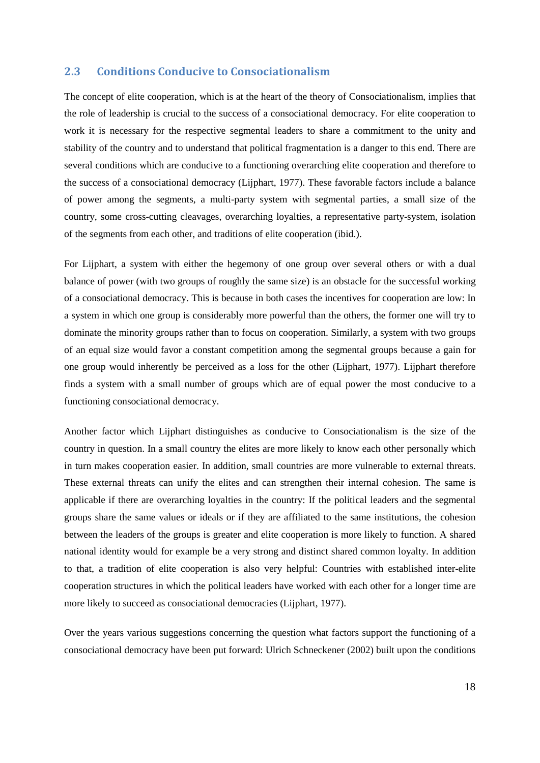#### **2.3 Conditions Conducive to Consociationalism**

The concept of elite cooperation, which is at the heart of the theory of Consociationalism, implies that the role of leadership is crucial to the success of a consociational democracy. For elite cooperation to work it is necessary for the respective segmental leaders to share a commitment to the unity and stability of the country and to understand that political fragmentation is a danger to this end. There are several conditions which are conducive to a functioning overarching elite cooperation and therefore to the success of a consociational democracy (Lijphart, 1977). These favorable factors include a balance of power among the segments, a multi-party system with segmental parties, a small size of the country, some cross-cutting cleavages, overarching loyalties, a representative party-system, isolation of the segments from each other, and traditions of elite cooperation (ibid.).

For Lijphart, a system with either the hegemony of one group over several others or with a dual balance of power (with two groups of roughly the same size) is an obstacle for the successful working of a consociational democracy. This is because in both cases the incentives for cooperation are low: In a system in which one group is considerably more powerful than the others, the former one will try to dominate the minority groups rather than to focus on cooperation. Similarly, a system with two groups of an equal size would favor a constant competition among the segmental groups because a gain for one group would inherently be perceived as a loss for the other (Lijphart, 1977). Lijphart therefore finds a system with a small number of groups which are of equal power the most conducive to a functioning consociational democracy.

Another factor which Lijphart distinguishes as conducive to Consociationalism is the size of the country in question. In a small country the elites are more likely to know each other personally which in turn makes cooperation easier. In addition, small countries are more vulnerable to external threats. These external threats can unify the elites and can strengthen their internal cohesion. The same is applicable if there are overarching loyalties in the country: If the political leaders and the segmental groups share the same values or ideals or if they are affiliated to the same institutions, the cohesion between the leaders of the groups is greater and elite cooperation is more likely to function. A shared national identity would for example be a very strong and distinct shared common loyalty. In addition to that, a tradition of elite cooperation is also very helpful: Countries with established inter-elite cooperation structures in which the political leaders have worked with each other for a longer time are more likely to succeed as consociational democracies (Lijphart, 1977).

Over the years various suggestions concerning the question what factors support the functioning of a consociational democracy have been put forward: Ulrich Schneckener (2002) built upon the conditions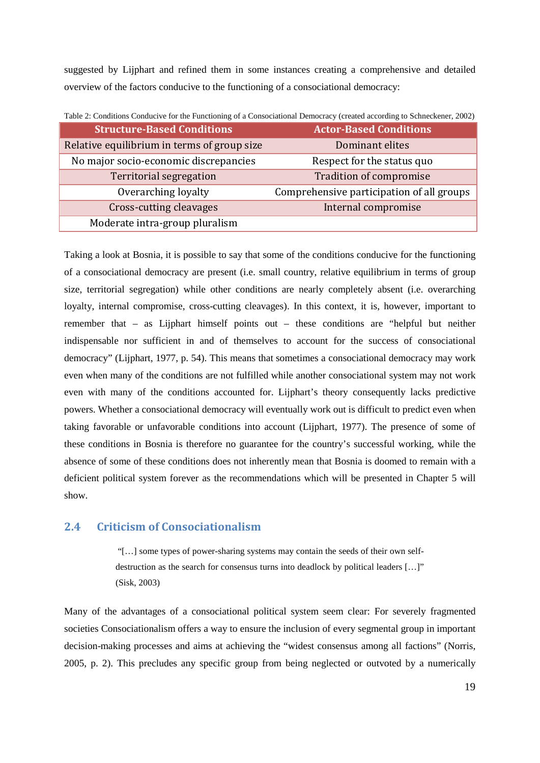suggested by Lijphart and refined them in some instances creating a comprehensive and detailed overview of the factors conducive to the functioning of a consociational democracy:

| Table 2: Conditions Conducive for the Functioning of a Consociational Democracy (created according to Schneckener, 2002) |                                           |  |
|--------------------------------------------------------------------------------------------------------------------------|-------------------------------------------|--|
| <b>Structure-Based Conditions</b>                                                                                        | <b>Actor-Based Conditions</b>             |  |
| Relative equilibrium in terms of group size                                                                              | Dominant elites                           |  |
| No major socio-economic discrepancies                                                                                    | Respect for the status quo                |  |
| <b>Territorial segregation</b>                                                                                           | <b>Tradition of compromise</b>            |  |
| Overarching loyalty                                                                                                      | Comprehensive participation of all groups |  |
| Cross-cutting cleavages                                                                                                  | Internal compromise                       |  |
| Moderate intra-group pluralism                                                                                           |                                           |  |

Taking a look at Bosnia, it is possible to say that some of the conditions conducive for the functioning of a consociational democracy are present (i.e. small country, relative equilibrium in terms of group size, territorial segregation) while other conditions are nearly completely absent (i.e. overarching loyalty, internal compromise, cross-cutting cleavages). In this context, it is, however, important to remember that – as Lijphart himself points out – these conditions are "helpful but neither indispensable nor sufficient in and of themselves to account for the success of consociational democracy" (Lijphart, 1977, p. 54). This means that sometimes a consociational democracy may work even when many of the conditions are not fulfilled while another consociational system may not work even with many of the conditions accounted for. Lijphart's theory consequently lacks predictive powers. Whether a consociational democracy will eventually work out is difficult to predict even when taking favorable or unfavorable conditions into account (Lijphart, 1977). The presence of some of these conditions in Bosnia is therefore no guarantee for the country's successful working, while the absence of some of these conditions does not inherently mean that Bosnia is doomed to remain with a deficient political system forever as the recommendations which will be presented in Chapter 5 will show.

#### <span id="page-18-0"></span>**2.4 Criticism of Consociationalism**

"[…] some types of power-sharing systems may contain the seeds of their own selfdestruction as the search for consensus turns into deadlock by political leaders […]" (Sisk, 2003)

Many of the advantages of a consociational political system seem clear: For severely fragmented societies Consociationalism offers a way to ensure the inclusion of every segmental group in important decision-making processes and aims at achieving the "widest consensus among all factions" (Norris, 2005, p. 2). This precludes any specific group from being neglected or outvoted by a numerically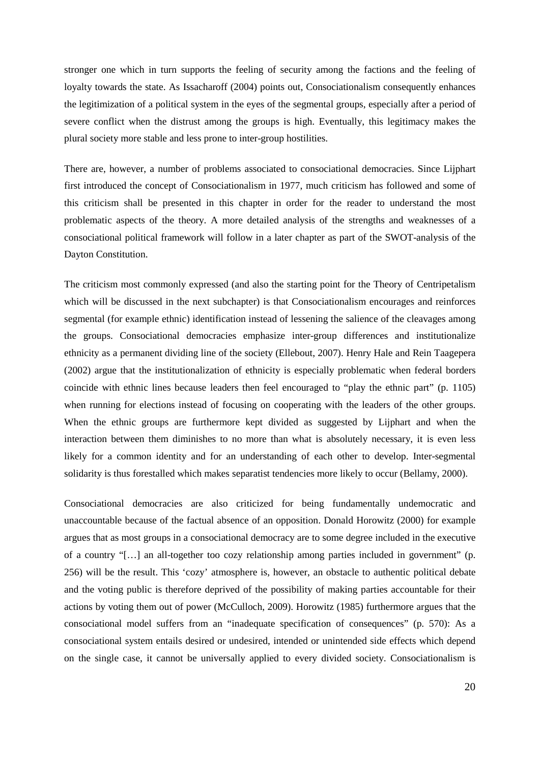stronger one which in turn supports the feeling of security among the factions and the feeling of loyalty towards the state. As Issacharoff (2004) points out, Consociationalism consequently enhances the legitimization of a political system in the eyes of the segmental groups, especially after a period of severe conflict when the distrust among the groups is high. Eventually, this legitimacy makes the plural society more stable and less prone to inter-group hostilities.

There are, however, a number of problems associated to consociational democracies. Since Lijphart first introduced the concept of Consociationalism in 1977, much criticism has followed and some of this criticism shall be presented in this chapter in order for the reader to understand the most problematic aspects of the theory. A more detailed analysis of the strengths and weaknesses of a consociational political framework will follow in a later chapter as part of the SWOT-analysis of the Dayton Constitution.

The criticism most commonly expressed (and also the starting point for the Theory of Centripetalism which will be discussed in the next subchapter) is that Consociationalism encourages and reinforces segmental (for example ethnic) identification instead of lessening the salience of the cleavages among the groups. Consociational democracies emphasize inter-group differences and institutionalize ethnicity as a permanent dividing line of the society (Ellebout, 2007). Henry Hale and Rein Taagepera (2002) argue that the institutionalization of ethnicity is especially problematic when federal borders coincide with ethnic lines because leaders then feel encouraged to "play the ethnic part" (p. 1105) when running for elections instead of focusing on cooperating with the leaders of the other groups. When the ethnic groups are furthermore kept divided as suggested by Lijphart and when the interaction between them diminishes to no more than what is absolutely necessary, it is even less likely for a common identity and for an understanding of each other to develop. Inter-segmental solidarity is thus forestalled which makes separatist tendencies more likely to occur (Bellamy, 2000).

Consociational democracies are also criticized for being fundamentally undemocratic and unaccountable because of the factual absence of an opposition. Donald Horowitz (2000) for example argues that as most groups in a consociational democracy are to some degree included in the executive of a country "[…] an all-together too cozy relationship among parties included in government" (p. 256) will be the result. This 'cozy' atmosphere is, however, an obstacle to authentic political debate and the voting public is therefore deprived of the possibility of making parties accountable for their actions by voting them out of power (McCulloch, 2009). Horowitz (1985) furthermore argues that the consociational model suffers from an "inadequate specification of consequences" (p. 570): As a consociational system entails desired or undesired, intended or unintended side effects which depend on the single case, it cannot be universally applied to every divided society. Consociationalism is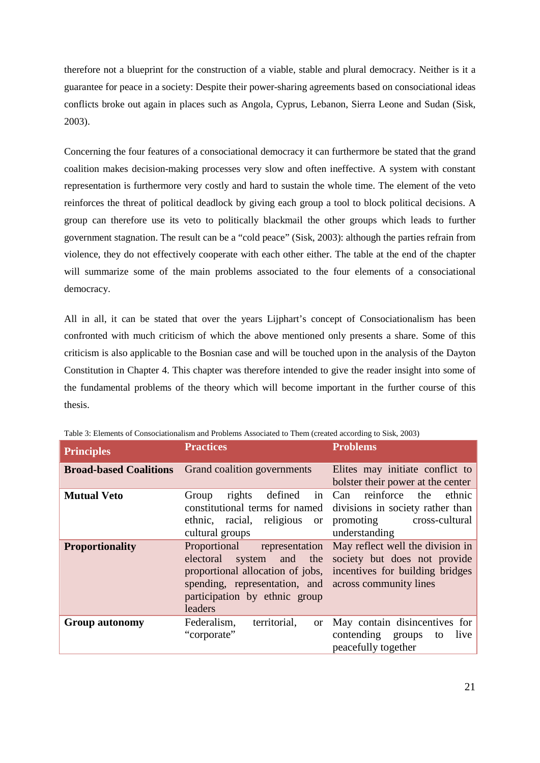therefore not a blueprint for the construction of a viable, stable and plural democracy. Neither is it a guarantee for peace in a society: Despite their power-sharing agreements based on consociational ideas conflicts broke out again in places such as Angola, Cyprus, Lebanon, Sierra Leone and Sudan (Sisk, 2003).

Concerning the four features of a consociational democracy it can furthermore be stated that the grand coalition makes decision-making processes very slow and often ineffective. A system with constant representation is furthermore very costly and hard to sustain the whole time. The element of the veto reinforces the threat of political deadlock by giving each group a tool to block political decisions. A group can therefore use its veto to politically blackmail the other groups which leads to further government stagnation. The result can be a "cold peace" (Sisk, 2003): although the parties refrain from violence, they do not effectively cooperate with each other either. The table at the end of the chapter will summarize some of the main problems associated to the four elements of a consociational democracy.

All in all, it can be stated that over the years Lijphart's concept of Consociationalism has been confronted with much criticism of which the above mentioned only presents a share. Some of this criticism is also applicable to the Bosnian case and will be touched upon in the analysis of the Dayton Constitution in Chapter 4. This chapter was therefore intended to give the reader insight into some of the fundamental problems of the theory which will become important in the further course of this thesis.

| <b>Principles</b>             | <b>Practices</b>                                                                                                              | <b>Problems</b>                                                                                                                                                    |
|-------------------------------|-------------------------------------------------------------------------------------------------------------------------------|--------------------------------------------------------------------------------------------------------------------------------------------------------------------|
| <b>Broad-based Coalitions</b> | Grand coalition governments                                                                                                   | Elites may initiate conflict to<br>bolster their power at the center                                                                                               |
| <b>Mutual Veto</b>            | rights<br>defined<br>in<br>Group<br>constitutional terms for named<br>ethnic, racial, religious or<br>cultural groups         | Can reinforce the<br>ethnic<br>divisions in society rather than<br>promoting cross-cultural<br>understanding                                                       |
| <b>Proportionality</b>        | Proportional<br>electoral<br>spending, representation, and across community lines<br>participation by ethnic group<br>leaders | representation May reflect well the division in<br>system and the society but does not provide<br>proportional allocation of jobs, incentives for building bridges |
| <b>Group autonomy</b>         | Federalism,<br>territorial.<br><sub>or</sub><br>"corporate"                                                                   | May contain disincentives for<br>contending groups<br>live<br>to<br>peacefully together                                                                            |

Table 3: Elements of Consociationalism and Problems Associated to Them (created according to Sisk, 2003)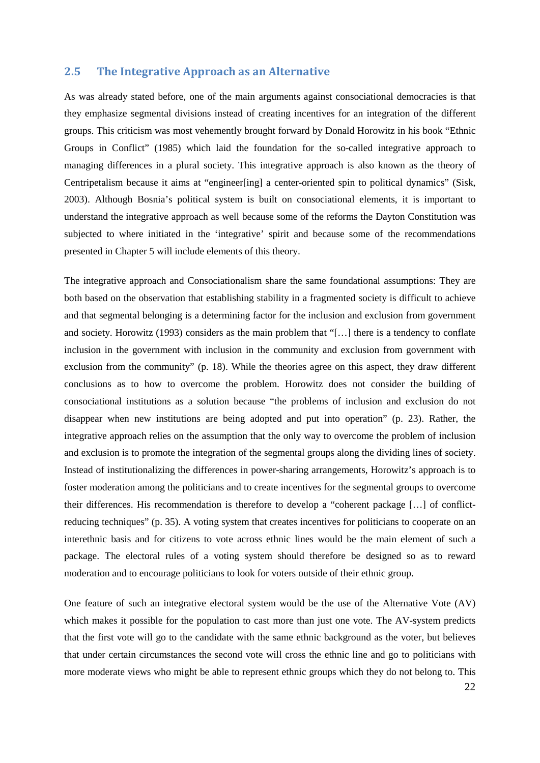#### <span id="page-21-0"></span>**2.5 The Integrative Approach as an Alternative**

As was already stated before, one of the main arguments against consociational democracies is that they emphasize segmental divisions instead of creating incentives for an integration of the different groups. This criticism was most vehemently brought forward by Donald Horowitz in his book "Ethnic Groups in Conflict" (1985) which laid the foundation for the so-called integrative approach to managing differences in a plural society. This integrative approach is also known as the theory of Centripetalism because it aims at "engineer[ing] a center-oriented spin to political dynamics" (Sisk, 2003). Although Bosnia's political system is built on consociational elements, it is important to understand the integrative approach as well because some of the reforms the Dayton Constitution was subjected to where initiated in the 'integrative' spirit and because some of the recommendations presented in Chapter 5 will include elements of this theory.

The integrative approach and Consociationalism share the same foundational assumptions: They are both based on the observation that establishing stability in a fragmented society is difficult to achieve and that segmental belonging is a determining factor for the inclusion and exclusion from government and society. Horowitz (1993) considers as the main problem that "[…] there is a tendency to conflate inclusion in the government with inclusion in the community and exclusion from government with exclusion from the community" (p. 18). While the theories agree on this aspect, they draw different conclusions as to how to overcome the problem. Horowitz does not consider the building of consociational institutions as a solution because "the problems of inclusion and exclusion do not disappear when new institutions are being adopted and put into operation" (p. 23). Rather, the integrative approach relies on the assumption that the only way to overcome the problem of inclusion and exclusion is to promote the integration of the segmental groups along the dividing lines of society. Instead of institutionalizing the differences in power-sharing arrangements, Horowitz's approach is to foster moderation among the politicians and to create incentives for the segmental groups to overcome their differences. His recommendation is therefore to develop a "coherent package […] of conflictreducing techniques" (p. 35). A voting system that creates incentives for politicians to cooperate on an interethnic basis and for citizens to vote across ethnic lines would be the main element of such a package. The electoral rules of a voting system should therefore be designed so as to reward moderation and to encourage politicians to look for voters outside of their ethnic group.

One feature of such an integrative electoral system would be the use of the Alternative Vote (AV) which makes it possible for the population to cast more than just one vote. The AV-system predicts that the first vote will go to the candidate with the same ethnic background as the voter, but believes that under certain circumstances the second vote will cross the ethnic line and go to politicians with more moderate views who might be able to represent ethnic groups which they do not belong to. This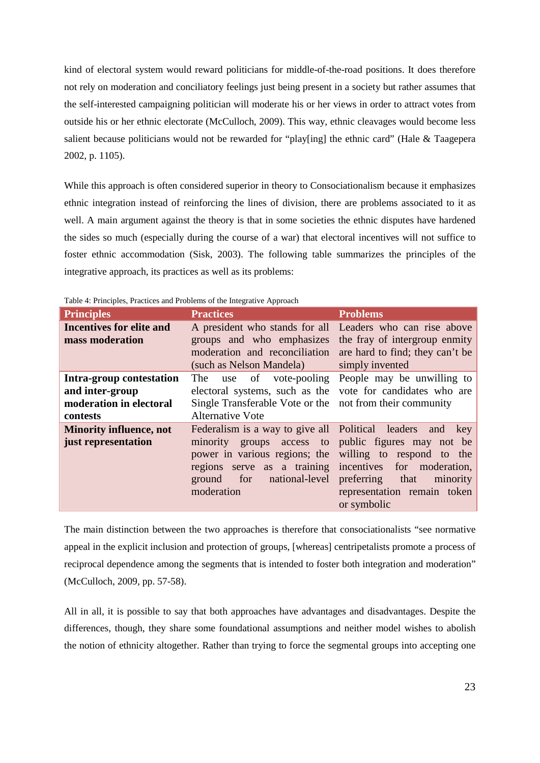kind of electoral system would reward politicians for middle-of-the-road positions. It does therefore not rely on moderation and conciliatory feelings just being present in a society but rather assumes that the self-interested campaigning politician will moderate his or her views in order to attract votes from outside his or her ethnic electorate (McCulloch, 2009). This way, ethnic cleavages would become less salient because politicians would not be rewarded for "play[ing] the ethnic card" (Hale & Taagepera 2002, p. 1105).

While this approach is often considered superior in theory to Consociationalism because it emphasizes ethnic integration instead of reinforcing the lines of division, there are problems associated to it as well. A main argument against the theory is that in some societies the ethnic disputes have hardened the sides so much (especially during the course of a war) that electoral incentives will not suffice to foster ethnic accommodation (Sisk, 2003). The following table summarizes the principles of the integrative approach, its practices as well as its problems:

| <b>Principles</b>                                                                  | <b>Practices</b>                                                                                                                                                                                                                                      | <b>Problems</b>                                                                                                   |
|------------------------------------------------------------------------------------|-------------------------------------------------------------------------------------------------------------------------------------------------------------------------------------------------------------------------------------------------------|-------------------------------------------------------------------------------------------------------------------|
| <b>Incentives for elite and</b><br>mass moderation                                 | A president who stands for all<br>groups and who emphasizes<br>moderation and reconciliation<br>(such as Nelson Mandela)                                                                                                                              | Leaders who can rise above<br>the fray of intergroup enmity<br>are hard to find; they can't be<br>simply invented |
| Intra-group contestation<br>and inter-group<br>moderation in electoral<br>contests | The use of vote-pooling<br>electoral systems, such as the<br>Single Transferable Vote or the not from their community<br><b>Alternative Vote</b>                                                                                                      | People may be unwilling to<br>vote for candidates who are                                                         |
| <b>Minority influence, not</b><br>just representation                              | Federalism is a way to give all Political leaders and key<br>minority<br>power in various regions; the willing to respond to the<br>regions serve as a training incentives for moderation,<br>ground for national-level preferring that<br>moderation | groups access to public figures may not be<br>minority<br>representation remain token<br>or symbolic              |

Table 4: Principles, Practices and Problems of the Integrative Approach

The main distinction between the two approaches is therefore that consociationalists "see normative appeal in the explicit inclusion and protection of groups, [whereas] centripetalists promote a process of reciprocal dependence among the segments that is intended to foster both integration and moderation" (McCulloch, 2009, pp. 57-58).

All in all, it is possible to say that both approaches have advantages and disadvantages. Despite the differences, though, they share some foundational assumptions and neither model wishes to abolish the notion of ethnicity altogether. Rather than trying to force the segmental groups into accepting one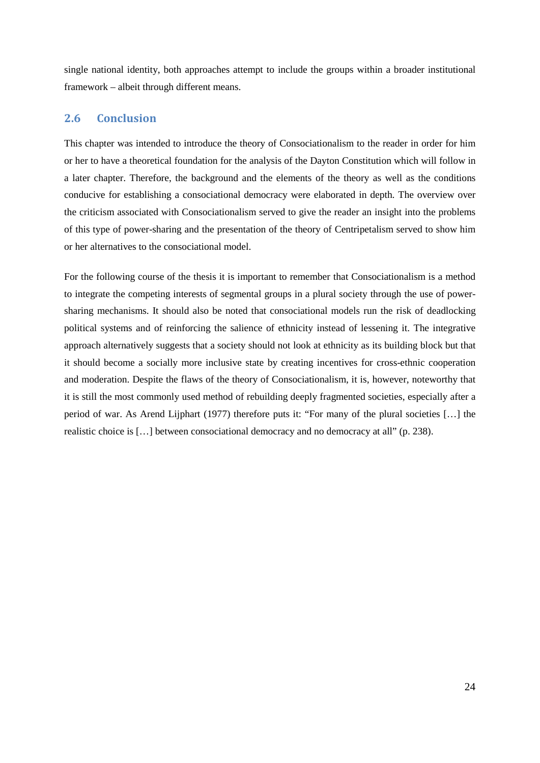single national identity, both approaches attempt to include the groups within a broader institutional framework – albeit through different means.

#### <span id="page-23-0"></span>**2.6 Conclusion**

This chapter was intended to introduce the theory of Consociationalism to the reader in order for him or her to have a theoretical foundation for the analysis of the Dayton Constitution which will follow in a later chapter. Therefore, the background and the elements of the theory as well as the conditions conducive for establishing a consociational democracy were elaborated in depth. The overview over the criticism associated with Consociationalism served to give the reader an insight into the problems of this type of power-sharing and the presentation of the theory of Centripetalism served to show him or her alternatives to the consociational model.

For the following course of the thesis it is important to remember that Consociationalism is a method to integrate the competing interests of segmental groups in a plural society through the use of powersharing mechanisms. It should also be noted that consociational models run the risk of deadlocking political systems and of reinforcing the salience of ethnicity instead of lessening it. The integrative approach alternatively suggests that a society should not look at ethnicity as its building block but that it should become a socially more inclusive state by creating incentives for cross-ethnic cooperation and moderation. Despite the flaws of the theory of Consociationalism, it is, however, noteworthy that it is still the most commonly used method of rebuilding deeply fragmented societies, especially after a period of war. As Arend Lijphart (1977) therefore puts it: "For many of the plural societies […] the realistic choice is […] between consociational democracy and no democracy at all" (p. 238).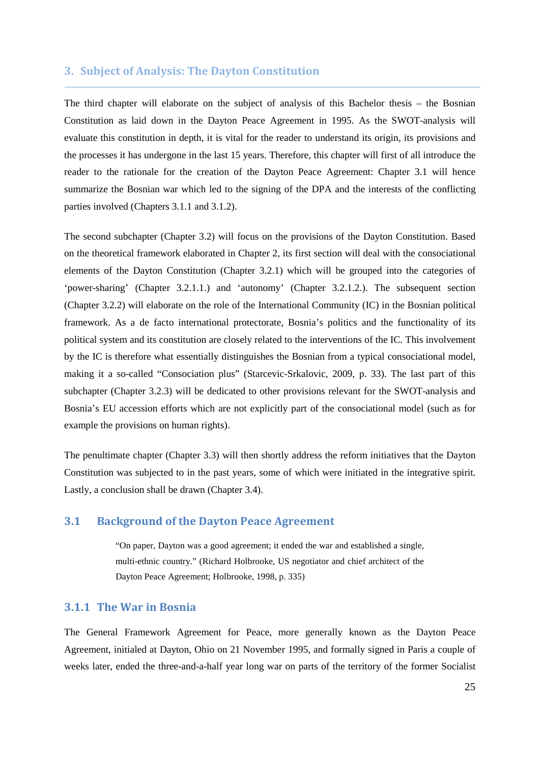#### <span id="page-24-0"></span>**3. Subject of Analysis: The Dayton Constitution**

The third chapter will elaborate on the subject of analysis of this Bachelor thesis – the Bosnian Constitution as laid down in the Dayton Peace Agreement in 1995. As the SWOT-analysis will evaluate this constitution in depth, it is vital for the reader to understand its origin, its provisions and the processes it has undergone in the last 15 years. Therefore, this chapter will first of all introduce the reader to the rationale for the creation of the Dayton Peace Agreement: Chapter 3.1 will hence summarize the Bosnian war which led to the signing of the DPA and the interests of the conflicting parties involved (Chapters 3.1.1 and 3.1.2).

The second subchapter (Chapter 3.2) will focus on the provisions of the Dayton Constitution. Based on the theoretical framework elaborated in Chapter 2, its first section will deal with the consociational elements of the Dayton Constitution (Chapter 3.2.1) which will be grouped into the categories of 'power-sharing' (Chapter 3.2.1.1.) and 'autonomy' (Chapter 3.2.1.2.). The subsequent section (Chapter 3.2.2) will elaborate on the role of the International Community (IC) in the Bosnian political framework. As a de facto international protectorate, Bosnia's politics and the functionality of its political system and its constitution are closely related to the interventions of the IC. This involvement by the IC is therefore what essentially distinguishes the Bosnian from a typical consociational model, making it a so-called "Consociation plus" (Starcevic-Srkalovic, 2009, p. 33). The last part of this subchapter (Chapter 3.2.3) will be dedicated to other provisions relevant for the SWOT-analysis and Bosnia's EU accession efforts which are not explicitly part of the consociational model (such as for example the provisions on human rights).

The penultimate chapter (Chapter 3.3) will then shortly address the reform initiatives that the Dayton Constitution was subjected to in the past years, some of which were initiated in the integrative spirit. Lastly, a conclusion shall be drawn (Chapter 3.4).

#### <span id="page-24-1"></span>**3.1 Background of the Dayton Peace Agreement**

"On paper, Dayton was a good agreement; it ended the war and established a single, multi-ethnic country." (Richard Holbrooke, US negotiator and chief architect of the Dayton Peace Agreement; Holbrooke, 1998, p. 335)

#### <span id="page-24-2"></span>**3.1.1 The War in Bosnia**

The General Framework Agreement for Peace, more generally known as the Dayton Peace Agreement, initialed at Dayton, Ohio on 21 November 1995, and formally signed in Paris a couple of weeks later, ended the three-and-a-half year long war on parts of the territory of the former Socialist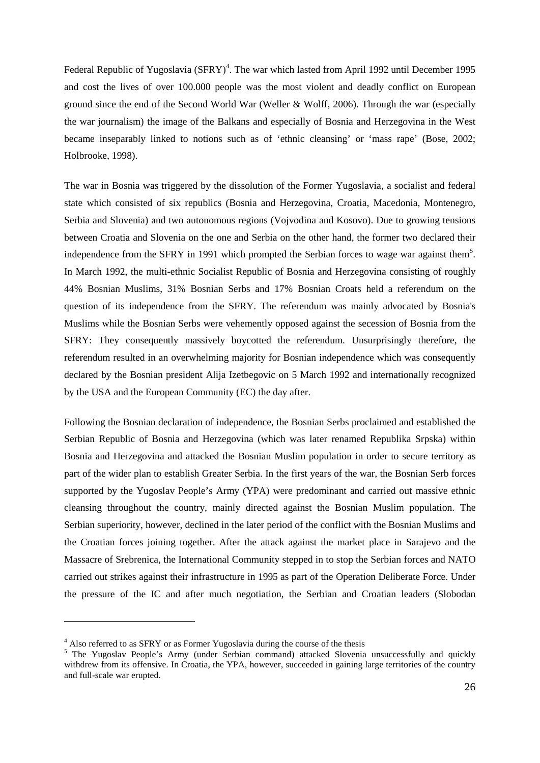Federal Republic of Yugoslavia (SFRY)<sup>[4](#page-11-2)</sup>. The war which lasted from April 1992 until December 1995 and cost the lives of over 100.000 people was the most violent and deadly conflict on European ground since the end of the Second World War (Weller & Wolff, 2006). Through the war (especially the war journalism) the image of the Balkans and especially of Bosnia and Herzegovina in the West became inseparably linked to notions such as of 'ethnic cleansing' or 'mass rape' (Bose, 2002; Holbrooke, 1998).

The war in Bosnia was triggered by the dissolution of the Former Yugoslavia, a socialist and federal state which consisted of six republics (Bosnia and Herzegovina, Croatia, Macedonia, Montenegro, Serbia and Slovenia) and two autonomous regions (Vojvodina and Kosovo). Due to growing tensions between Croatia and Slovenia on the one and Serbia on the other hand, the former two declared their independence from the SFRY in 1991 which prompted the Serbian forces to wage war against them<sup>[5](#page-25-0)</sup>. In March 1992, the multi-ethnic Socialist Republic of Bosnia and Herzegovina consisting of roughly 44% Bosnian Muslims, 31% Bosnian Serbs and 17% Bosnian Croats held a referendum on the question of its independence from the SFRY. The referendum was mainly advocated by Bosnia's Muslims while the Bosnian Serbs were vehemently opposed against the secession of Bosnia from the SFRY: They consequently massively boycotted the referendum. Unsurprisingly therefore, the referendum resulted in an overwhelming majority for Bosnian independence which was consequently declared by the Bosnian president Alija Izetbegovic on 5 March 1992 and internationally recognized by the USA and the European Community (EC) the day after.

Following the Bosnian declaration of independence, the Bosnian Serbs proclaimed and established the Serbian Republic of Bosnia and Herzegovina (which was later renamed Republika Srpska) within Bosnia and Herzegovina and attacked the Bosnian Muslim population in order to secure territory as part of the wider plan to establish Greater Serbia. In the first years of the war, the Bosnian Serb forces supported by the Yugoslav People's Army (YPA) were predominant and carried out massive ethnic cleansing throughout the country, mainly directed against the Bosnian Muslim population. The Serbian superiority, however, declined in the later period of the conflict with the Bosnian Muslims and the Croatian forces joining together. After the attack against the market place in Sarajevo and the Massacre of Srebrenica, the International Community stepped in to stop the Serbian forces and NATO carried out strikes against their infrastructure in 1995 as part of the Operation Deliberate Force. Under the pressure of the IC and after much negotiation, the Serbian and Croatian leaders (Slobodan

 $\overline{a}$ 

<span id="page-25-1"></span><span id="page-25-0"></span><sup>&</sup>lt;sup>4</sup> Also referred to as SFRY or as Former Yugoslavia during the course of the thesis  $5$  The Yugoslav People's Army (under Serbian command) attacked Slovenia unsuccessfully and quickly withdrew from its offensive. In Croatia, the YPA, however, succeeded in gaining large territories of the country and full-scale war erupted.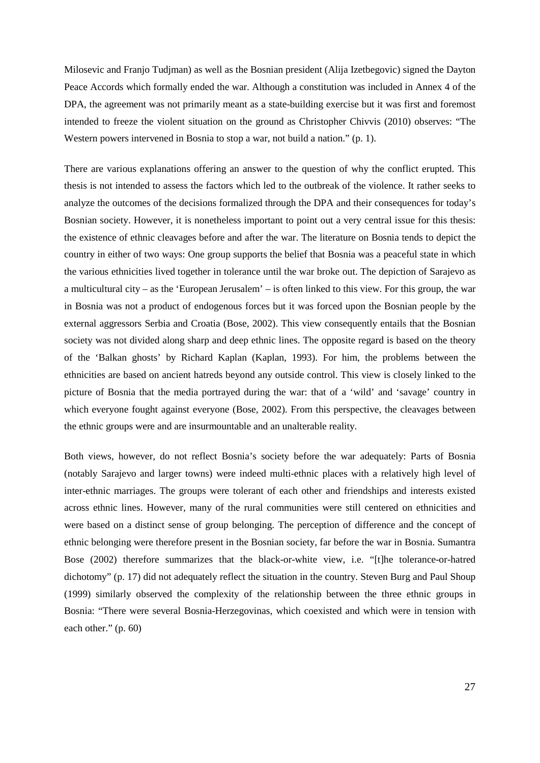Milosevic and Franjo Tudjman) as well as the Bosnian president (Alija Izetbegovic) signed the Dayton Peace Accords which formally ended the war. Although a constitution was included in Annex 4 of the DPA, the agreement was not primarily meant as a state-building exercise but it was first and foremost intended to freeze the violent situation on the ground as Christopher Chivvis (2010) observes: "The Western powers intervened in Bosnia to stop a war*,* not build a nation." (p. 1).

There are various explanations offering an answer to the question of why the conflict erupted. This thesis is not intended to assess the factors which led to the outbreak of the violence. It rather seeks to analyze the outcomes of the decisions formalized through the DPA and their consequences for today's Bosnian society. However, it is nonetheless important to point out a very central issue for this thesis: the existence of ethnic cleavages before and after the war. The literature on Bosnia tends to depict the country in either of two ways: One group supports the belief that Bosnia was a peaceful state in which the various ethnicities lived together in tolerance until the war broke out. The depiction of Sarajevo as a multicultural city – as the 'European Jerusalem' – is often linked to this view. For this group, the war in Bosnia was not a product of endogenous forces but it was forced upon the Bosnian people by the external aggressors Serbia and Croatia (Bose, 2002). This view consequently entails that the Bosnian society was not divided along sharp and deep ethnic lines. The opposite regard is based on the theory of the 'Balkan ghosts' by Richard Kaplan (Kaplan, 1993). For him, the problems between the ethnicities are based on ancient hatreds beyond any outside control. This view is closely linked to the picture of Bosnia that the media portrayed during the war: that of a 'wild' and 'savage' country in which everyone fought against everyone (Bose, 2002). From this perspective, the cleavages between the ethnic groups were and are insurmountable and an unalterable reality.

Both views, however, do not reflect Bosnia's society before the war adequately: Parts of Bosnia (notably Sarajevo and larger towns) were indeed multi-ethnic places with a relatively high level of inter-ethnic marriages. The groups were tolerant of each other and friendships and interests existed across ethnic lines. However, many of the rural communities were still centered on ethnicities and were based on a distinct sense of group belonging. The perception of difference and the concept of ethnic belonging were therefore present in the Bosnian society, far before the war in Bosnia. Sumantra Bose (2002) therefore summarizes that the black-or-white view, i.e. "[t]he tolerance-or-hatred dichotomy" (p. 17) did not adequately reflect the situation in the country. Steven Burg and Paul Shoup (1999) similarly observed the complexity of the relationship between the three ethnic groups in Bosnia: "There were several Bosnia-Herzegovinas, which coexisted and which were in tension with each other." (p. 60)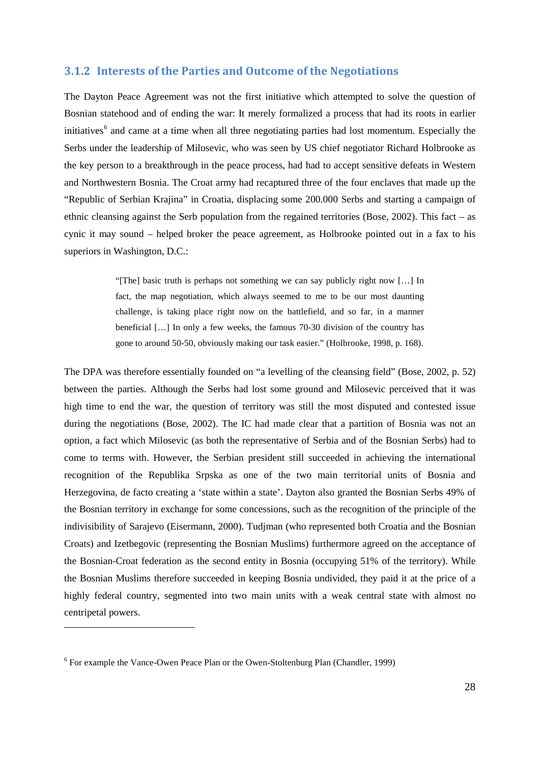#### <span id="page-27-0"></span>**3.1.2 Interests of the Parties and Outcome of the Negotiations**

The Dayton Peace Agreement was not the first initiative which attempted to solve the question of Bosnian statehood and of ending the war: It merely formalized a process that had its roots in earlier initiatives<sup> $6$ </sup> and came at a time when all three negotiating parties had lost momentum. Especially the Serbs under the leadership of Milosevic, who was seen by US chief negotiator Richard Holbrooke as the key person to a breakthrough in the peace process, had had to accept sensitive defeats in Western and Northwestern Bosnia. The Croat army had recaptured three of the four enclaves that made up the "Republic of Serbian Krajina" in Croatia, displacing some 200.000 Serbs and starting a campaign of ethnic cleansing against the Serb population from the regained territories (Bose,  $2002$ ). This fact – as cynic it may sound – helped broker the peace agreement, as Holbrooke pointed out in a fax to his superiors in Washington, D.C.:

> "[The] basic truth is perhaps not something we can say publicly right now […] In fact, the map negotiation, which always seemed to me to be our most daunting challenge, is taking place right now on the battlefield, and so far, in a manner beneficial […] In only a few weeks, the famous 70-30 division of the country has gone to around 50-50, obviously making our task easier." (Holbrooke, 1998, p. 168).

The DPA was therefore essentially founded on "a levelling of the cleansing field" (Bose, 2002, p. 52) between the parties. Although the Serbs had lost some ground and Milosevic perceived that it was high time to end the war, the question of territory was still the most disputed and contested issue during the negotiations (Bose, 2002). The IC had made clear that a partition of Bosnia was not an option, a fact which Milosevic (as both the representative of Serbia and of the Bosnian Serbs) had to come to terms with. However, the Serbian president still succeeded in achieving the international recognition of the Republika Srpska as one of the two main territorial units of Bosnia and Herzegovina, de facto creating a 'state within a state'. Dayton also granted the Bosnian Serbs 49% of the Bosnian territory in exchange for some concessions, such as the recognition of the principle of the indivisibility of Sarajevo (Eisermann, 2000). Tudjman (who represented both Croatia and the Bosnian Croats) and Izetbegovic (representing the Bosnian Muslims) furthermore agreed on the acceptance of the Bosnian-Croat federation as the second entity in Bosnia (occupying 51% of the territory). While the Bosnian Muslims therefore succeeded in keeping Bosnia undivided, they paid it at the price of a highly federal country, segmented into two main units with a weak central state with almost no centripetal powers.

<span id="page-27-1"></span> $\overline{a}$ 

<sup>6</sup> For example the Vance-Owen Peace Plan or the Owen-Stoltenburg Plan (Chandler, 1999)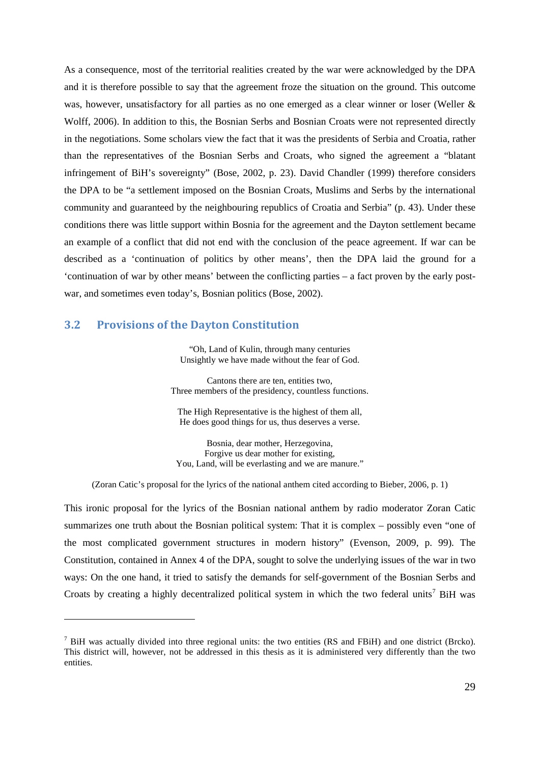As a consequence, most of the territorial realities created by the war were acknowledged by the DPA and it is therefore possible to say that the agreement froze the situation on the ground. This outcome was, however, unsatisfactory for all parties as no one emerged as a clear winner or loser (Weller & Wolff, 2006). In addition to this, the Bosnian Serbs and Bosnian Croats were not represented directly in the negotiations. Some scholars view the fact that it was the presidents of Serbia and Croatia, rather than the representatives of the Bosnian Serbs and Croats, who signed the agreement a "blatant infringement of BiH's sovereignty" (Bose, 2002, p. 23). David Chandler (1999) therefore considers the DPA to be "a settlement imposed on the Bosnian Croats, Muslims and Serbs by the international community and guaranteed by the neighbouring republics of Croatia and Serbia" (p. 43). Under these conditions there was little support within Bosnia for the agreement and the Dayton settlement became an example of a conflict that did not end with the conclusion of the peace agreement. If war can be described as a 'continuation of politics by other means', then the DPA laid the ground for a 'continuation of war by other means' between the conflicting parties – a fact proven by the early postwar, and sometimes even today's, Bosnian politics (Bose, 2002).

#### <span id="page-28-0"></span>**3.2 Provisions of the Dayton Constitution**

 $\overline{a}$ 

"Oh, Land of Kulin, through many centuries Unsightly we have made without the fear of God.

Cantons there are ten, entities two, Three members of the presidency, countless functions.

The High Representative is the highest of them all, He does good things for us, thus deserves a verse.

Bosnia, dear mother, Herzegovina, Forgive us dear mother for existing, You, Land, will be everlasting and we are manure."

(Zoran Catic's proposal for the lyrics of the national anthem cited according to Bieber, 2006, p. 1)

This ironic proposal for the lyrics of the Bosnian national anthem by radio moderator Zoran Catic summarizes one truth about the Bosnian political system: That it is complex – possibly even "one of the most complicated government structures in modern history" (Evenson, 2009, p. 99). The Constitution, contained in Annex 4 of the DPA, sought to solve the underlying issues of the war in two ways: On the one hand, it tried to satisfy the demands for self-government of the Bosnian Serbs and Croats by creating a highly decentralized political system in which the two federal units<sup>[7](#page-27-1)</sup> BiH was

 $^7$  BiH was actually divided into three regional units: the two entities (RS and FBiH) and one district (Brcko). This district will, however, not be addressed in this thesis as it is administered very differently than the two entities.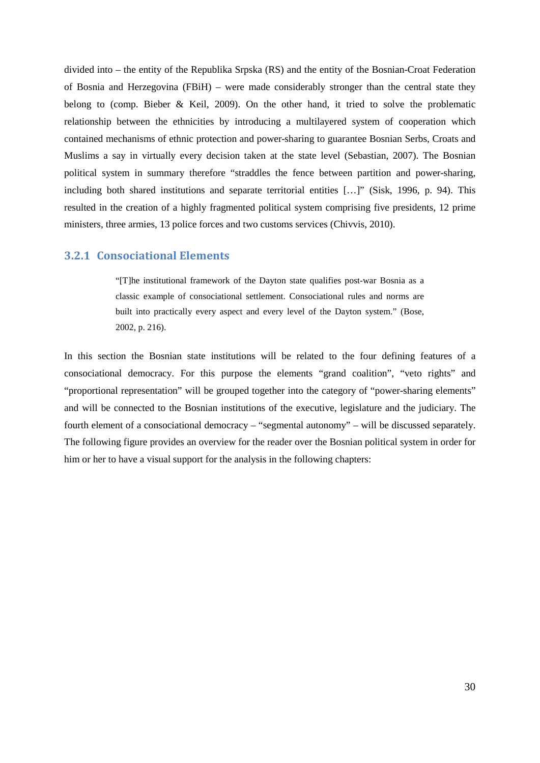divided into – the entity of the Republika Srpska (RS) and the entity of the Bosnian-Croat Federation of Bosnia and Herzegovina (FBiH) – were made considerably stronger than the central state they belong to (comp. Bieber & Keil, 2009). On the other hand, it tried to solve the problematic relationship between the ethnicities by introducing a multilayered system of cooperation which contained mechanisms of ethnic protection and power-sharing to guarantee Bosnian Serbs, Croats and Muslims a say in virtually every decision taken at the state level (Sebastian, 2007). The Bosnian political system in summary therefore "straddles the fence between partition and power-sharing, including both shared institutions and separate territorial entities […]" (Sisk, 1996, p. 94). This resulted in the creation of a highly fragmented political system comprising five presidents, 12 prime ministers, three armies, 13 police forces and two customs services (Chivvis, 2010).

#### <span id="page-29-0"></span>**3.2.1 Consociational Elements**

"[T]he institutional framework of the Dayton state qualifies post-war Bosnia as a classic example of consociational settlement. Consociational rules and norms are built into practically every aspect and every level of the Dayton system." (Bose, 2002, p. 216).

In this section the Bosnian state institutions will be related to the four defining features of a consociational democracy. For this purpose the elements "grand coalition", "veto rights" and "proportional representation" will be grouped together into the category of "power-sharing elements" and will be connected to the Bosnian institutions of the executive, legislature and the judiciary. The fourth element of a consociational democracy – "segmental autonomy" – will be discussed separately. The following figure provides an overview for the reader over the Bosnian political system in order for him or her to have a visual support for the analysis in the following chapters: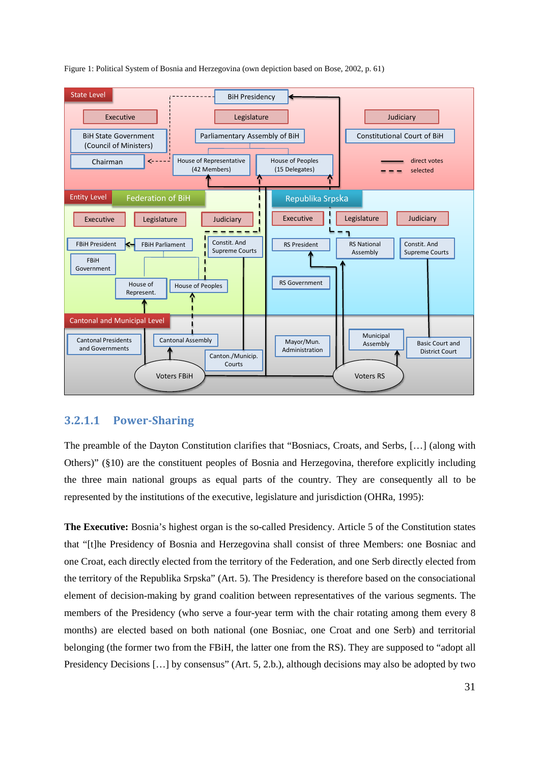

Figure 1: Political System of Bosnia and Herzegovina (own depiction based on Bose, 2002, p. 61)

#### **3.2.1.1 Power-Sharing**

The preamble of the Dayton Constitution clarifies that "Bosniacs, Croats, and Serbs, […] (along with Others)" (§10) are the constituent peoples of Bosnia and Herzegovina, therefore explicitly including the three main national groups as equal parts of the country. They are consequently all to be represented by the institutions of the executive, legislature and jurisdiction (OHRa, 1995):

**The Executive:** Bosnia's highest organ is the so-called Presidency. Article 5 of the Constitution states that "[t]he Presidency of Bosnia and Herzegovina shall consist of three Members: one Bosniac and one Croat, each directly elected from the territory of the Federation, and one Serb directly elected from the territory of the Republika Srpska" (Art. 5). The Presidency is therefore based on the consociational element of decision-making by grand coalition between representatives of the various segments. The members of the Presidency (who serve a four-year term with the chair rotating among them every 8 months) are elected based on both national (one Bosniac, one Croat and one Serb) and territorial belonging (the former two from the FBiH, the latter one from the RS). They are supposed to "adopt all Presidency Decisions [...] by consensus" (Art. 5, 2.b.), although decisions may also be adopted by two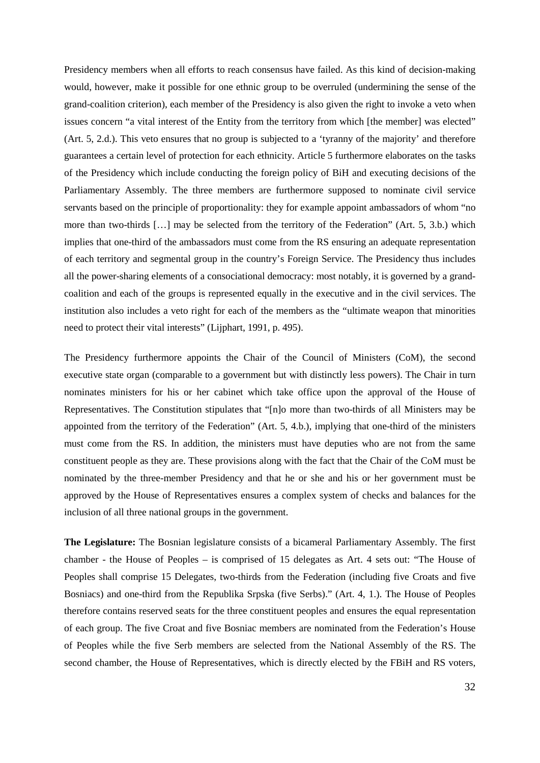Presidency members when all efforts to reach consensus have failed. As this kind of decision-making would, however, make it possible for one ethnic group to be overruled (undermining the sense of the grand-coalition criterion), each member of the Presidency is also given the right to invoke a veto when issues concern "a vital interest of the Entity from the territory from which [the member] was elected" (Art. 5, 2.d.). This veto ensures that no group is subjected to a 'tyranny of the majority' and therefore guarantees a certain level of protection for each ethnicity. Article 5 furthermore elaborates on the tasks of the Presidency which include conducting the foreign policy of BiH and executing decisions of the Parliamentary Assembly. The three members are furthermore supposed to nominate civil service servants based on the principle of proportionality: they for example appoint ambassadors of whom "no more than two-thirds […] may be selected from the territory of the Federation" (Art. 5, 3.b.) which implies that one-third of the ambassadors must come from the RS ensuring an adequate representation of each territory and segmental group in the country's Foreign Service. The Presidency thus includes all the power-sharing elements of a consociational democracy: most notably, it is governed by a grandcoalition and each of the groups is represented equally in the executive and in the civil services. The institution also includes a veto right for each of the members as the "ultimate weapon that minorities need to protect their vital interests" (Lijphart, 1991, p. 495).

The Presidency furthermore appoints the Chair of the Council of Ministers (CoM), the second executive state organ (comparable to a government but with distinctly less powers). The Chair in turn nominates ministers for his or her cabinet which take office upon the approval of the House of Representatives. The Constitution stipulates that "[n]o more than two-thirds of all Ministers may be appointed from the territory of the Federation" (Art. 5, 4.b.), implying that one-third of the ministers must come from the RS. In addition, the ministers must have deputies who are not from the same constituent people as they are. These provisions along with the fact that the Chair of the CoM must be nominated by the three-member Presidency and that he or she and his or her government must be approved by the House of Representatives ensures a complex system of checks and balances for the inclusion of all three national groups in the government.

**The Legislature:** The Bosnian legislature consists of a bicameral Parliamentary Assembly. The first chamber - the House of Peoples – is comprised of 15 delegates as Art. 4 sets out: "The House of Peoples shall comprise 15 Delegates, two-thirds from the Federation (including five Croats and five Bosniacs) and one-third from the Republika Srpska (five Serbs)." (Art. 4, 1.). The House of Peoples therefore contains reserved seats for the three constituent peoples and ensures the equal representation of each group. The five Croat and five Bosniac members are nominated from the Federation's House of Peoples while the five Serb members are selected from the National Assembly of the RS. The second chamber, the House of Representatives, which is directly elected by the FBiH and RS voters,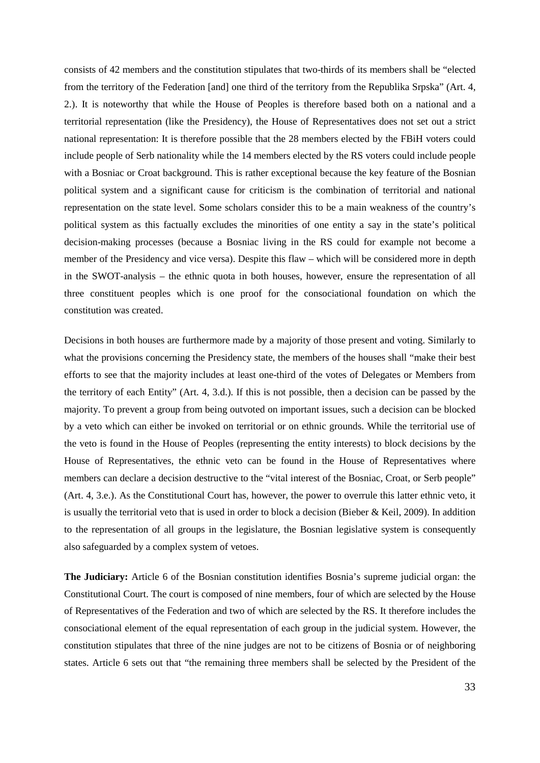consists of 42 members and the constitution stipulates that two-thirds of its members shall be "elected from the territory of the Federation [and] one third of the territory from the Republika Srpska" (Art. 4, 2.). It is noteworthy that while the House of Peoples is therefore based both on a national and a territorial representation (like the Presidency), the House of Representatives does not set out a strict national representation: It is therefore possible that the 28 members elected by the FBiH voters could include people of Serb nationality while the 14 members elected by the RS voters could include people with a Bosniac or Croat background. This is rather exceptional because the key feature of the Bosnian political system and a significant cause for criticism is the combination of territorial and national representation on the state level. Some scholars consider this to be a main weakness of the country's political system as this factually excludes the minorities of one entity a say in the state's political decision-making processes (because a Bosniac living in the RS could for example not become a member of the Presidency and vice versa). Despite this flaw – which will be considered more in depth in the SWOT-analysis – the ethnic quota in both houses, however, ensure the representation of all three constituent peoples which is one proof for the consociational foundation on which the constitution was created.

Decisions in both houses are furthermore made by a majority of those present and voting. Similarly to what the provisions concerning the Presidency state, the members of the houses shall "make their best efforts to see that the majority includes at least one-third of the votes of Delegates or Members from the territory of each Entity" (Art. 4, 3.d.). If this is not possible, then a decision can be passed by the majority. To prevent a group from being outvoted on important issues, such a decision can be blocked by a veto which can either be invoked on territorial or on ethnic grounds. While the territorial use of the veto is found in the House of Peoples (representing the entity interests) to block decisions by the House of Representatives, the ethnic veto can be found in the House of Representatives where members can declare a decision destructive to the "vital interest of the Bosniac, Croat, or Serb people" (Art. 4, 3.e.). As the Constitutional Court has, however, the power to overrule this latter ethnic veto, it is usually the territorial veto that is used in order to block a decision (Bieber & Keil, 2009). In addition to the representation of all groups in the legislature, the Bosnian legislative system is consequently also safeguarded by a complex system of vetoes.

**The Judiciary:** Article 6 of the Bosnian constitution identifies Bosnia's supreme judicial organ: the Constitutional Court. The court is composed of nine members, four of which are selected by the House of Representatives of the Federation and two of which are selected by the RS. It therefore includes the consociational element of the equal representation of each group in the judicial system. However, the constitution stipulates that three of the nine judges are not to be citizens of Bosnia or of neighboring states. Article 6 sets out that "the remaining three members shall be selected by the President of the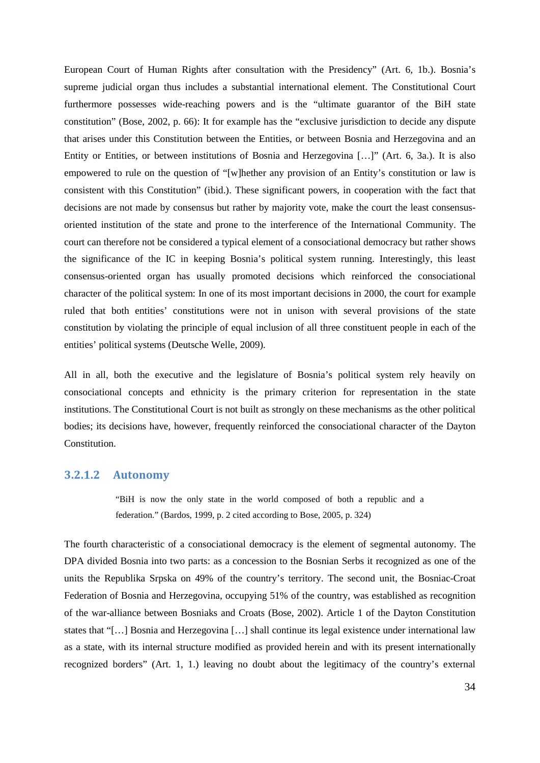European Court of Human Rights after consultation with the Presidency" (Art. 6, 1b.). Bosnia's supreme judicial organ thus includes a substantial international element. The Constitutional Court furthermore possesses wide-reaching powers and is the "ultimate guarantor of the BiH state constitution" (Bose, 2002, p. 66): It for example has the "exclusive jurisdiction to decide any dispute that arises under this Constitution between the Entities, or between Bosnia and Herzegovina and an Entity or Entities, or between institutions of Bosnia and Herzegovina […]" (Art. 6, 3a.). It is also empowered to rule on the question of "[w]hether any provision of an Entity's constitution or law is consistent with this Constitution" (ibid.). These significant powers, in cooperation with the fact that decisions are not made by consensus but rather by majority vote, make the court the least consensusoriented institution of the state and prone to the interference of the International Community. The court can therefore not be considered a typical element of a consociational democracy but rather shows the significance of the IC in keeping Bosnia's political system running. Interestingly, this least consensus-oriented organ has usually promoted decisions which reinforced the consociational character of the political system: In one of its most important decisions in 2000, the court for example ruled that both entities' constitutions were not in unison with several provisions of the state constitution by violating the principle of equal inclusion of all three constituent people in each of the entities' political systems (Deutsche Welle, 2009).

All in all, both the executive and the legislature of Bosnia's political system rely heavily on consociational concepts and ethnicity is the primary criterion for representation in the state institutions. The Constitutional Court is not built as strongly on these mechanisms as the other political bodies; its decisions have, however, frequently reinforced the consociational character of the Dayton Constitution.

#### **3.2.1.2 Autonomy**

"BiH is now the only state in the world composed of both a republic and a federation." (Bardos, 1999, p. 2 cited according to Bose, 2005, p. 324)

The fourth characteristic of a consociational democracy is the element of segmental autonomy. The DPA divided Bosnia into two parts: as a concession to the Bosnian Serbs it recognized as one of the units the Republika Srpska on 49% of the country's territory. The second unit, the Bosniac-Croat Federation of Bosnia and Herzegovina, occupying 51% of the country, was established as recognition of the war-alliance between Bosniaks and Croats (Bose, 2002). Article 1 of the Dayton Constitution states that "[…] Bosnia and Herzegovina […] shall continue its legal existence under international law as a state, with its internal structure modified as provided herein and with its present internationally recognized borders" (Art. 1, 1.) leaving no doubt about the legitimacy of the country's external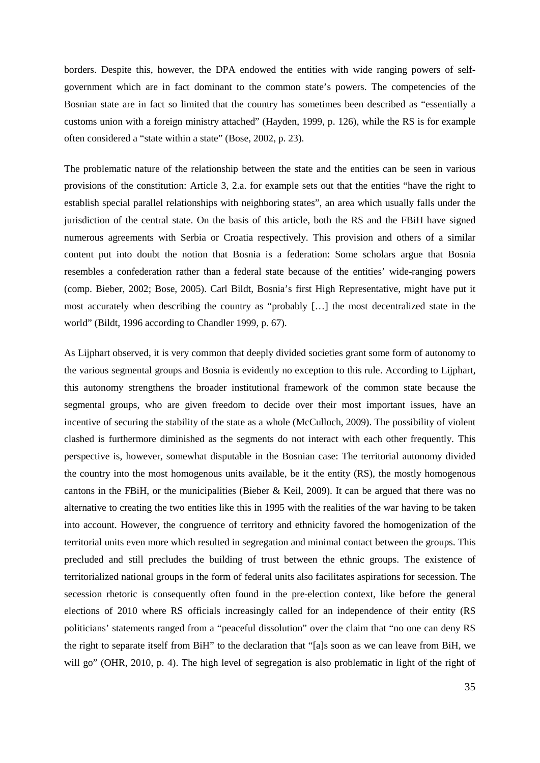borders. Despite this, however, the DPA endowed the entities with wide ranging powers of selfgovernment which are in fact dominant to the common state's powers. The competencies of the Bosnian state are in fact so limited that the country has sometimes been described as "essentially a customs union with a foreign ministry attached" (Hayden, 1999, p. 126), while the RS is for example often considered a "state within a state" (Bose, 2002, p. 23).

The problematic nature of the relationship between the state and the entities can be seen in various provisions of the constitution: Article 3, 2.a. for example sets out that the entities "have the right to establish special parallel relationships with neighboring states", an area which usually falls under the jurisdiction of the central state. On the basis of this article, both the RS and the FBiH have signed numerous agreements with Serbia or Croatia respectively. This provision and others of a similar content put into doubt the notion that Bosnia is a federation: Some scholars argue that Bosnia resembles a confederation rather than a federal state because of the entities' wide-ranging powers (comp. Bieber, 2002; Bose, 2005). Carl Bildt, Bosnia's first High Representative, might have put it most accurately when describing the country as "probably […] the most decentralized state in the world" (Bildt, 1996 according to Chandler 1999, p. 67).

As Lijphart observed, it is very common that deeply divided societies grant some form of autonomy to the various segmental groups and Bosnia is evidently no exception to this rule. According to Lijphart, this autonomy strengthens the broader institutional framework of the common state because the segmental groups, who are given freedom to decide over their most important issues, have an incentive of securing the stability of the state as a whole (McCulloch, 2009). The possibility of violent clashed is furthermore diminished as the segments do not interact with each other frequently. This perspective is, however, somewhat disputable in the Bosnian case: The territorial autonomy divided the country into the most homogenous units available, be it the entity (RS), the mostly homogenous cantons in the FBiH, or the municipalities (Bieber & Keil, 2009). It can be argued that there was no alternative to creating the two entities like this in 1995 with the realities of the war having to be taken into account. However, the congruence of territory and ethnicity favored the homogenization of the territorial units even more which resulted in segregation and minimal contact between the groups. This precluded and still precludes the building of trust between the ethnic groups. The existence of territorialized national groups in the form of federal units also facilitates aspirations for secession. The secession rhetoric is consequently often found in the pre-election context, like before the general elections of 2010 where RS officials increasingly called for an independence of their entity (RS politicians' statements ranged from a "peaceful dissolution" over the claim that "no one can deny RS the right to separate itself from BiH" to the declaration that "[a]s soon as we can leave from BiH, we will go" (OHR, 2010, p. 4). The high level of segregation is also problematic in light of the right of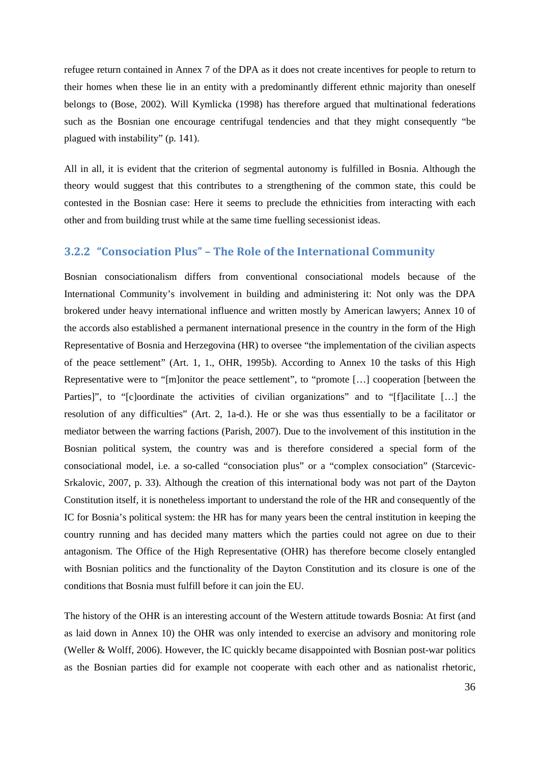refugee return contained in Annex 7 of the DPA as it does not create incentives for people to return to their homes when these lie in an entity with a predominantly different ethnic majority than oneself belongs to (Bose, 2002). Will Kymlicka (1998) has therefore argued that multinational federations such as the Bosnian one encourage centrifugal tendencies and that they might consequently "be plagued with instability" (p. 141).

All in all, it is evident that the criterion of segmental autonomy is fulfilled in Bosnia. Although the theory would suggest that this contributes to a strengthening of the common state, this could be contested in the Bosnian case: Here it seems to preclude the ethnicities from interacting with each other and from building trust while at the same time fuelling secessionist ideas.

#### <span id="page-35-0"></span>**3.2.2 "Consociation Plus" – The Role of the International Community**

Bosnian consociationalism differs from conventional consociational models because of the International Community's involvement in building and administering it: Not only was the DPA brokered under heavy international influence and written mostly by American lawyers; Annex 10 of the accords also established a permanent international presence in the country in the form of the High Representative of Bosnia and Herzegovina (HR) to oversee "the implementation of the civilian aspects of the peace settlement" (Art. 1, 1., OHR, 1995b). According to Annex 10 the tasks of this High Representative were to "[m]onitor the peace settlement", to "promote […] cooperation [between the Parties]", to "[c]oordinate the activities of civilian organizations" and to "[f]acilitate [...] the resolution of any difficulties" (Art. 2, 1a-d.). He or she was thus essentially to be a facilitator or mediator between the warring factions (Parish, 2007). Due to the involvement of this institution in the Bosnian political system, the country was and is therefore considered a special form of the consociational model, i.e. a so-called "consociation plus" or a "complex consociation" (Starcevic-Srkalovic, 2007, p. 33). Although the creation of this international body was not part of the Dayton Constitution itself, it is nonetheless important to understand the role of the HR and consequently of the IC for Bosnia's political system: the HR has for many years been the central institution in keeping the country running and has decided many matters which the parties could not agree on due to their antagonism. The Office of the High Representative (OHR) has therefore become closely entangled with Bosnian politics and the functionality of the Dayton Constitution and its closure is one of the conditions that Bosnia must fulfill before it can join the EU.

The history of the OHR is an interesting account of the Western attitude towards Bosnia: At first (and as laid down in Annex 10) the OHR was only intended to exercise an advisory and monitoring role (Weller & Wolff, 2006). However, the IC quickly became disappointed with Bosnian post-war politics as the Bosnian parties did for example not cooperate with each other and as nationalist rhetoric,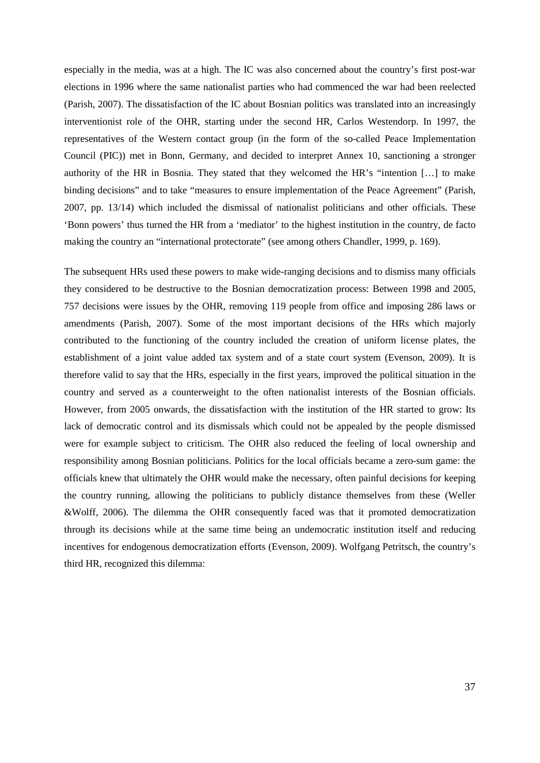especially in the media, was at a high. The IC was also concerned about the country's first post-war elections in 1996 where the same nationalist parties who had commenced the war had been reelected (Parish, 2007). The dissatisfaction of the IC about Bosnian politics was translated into an increasingly interventionist role of the OHR, starting under the second HR, Carlos Westendorp. In 1997, the representatives of the Western contact group (in the form of the so-called Peace Implementation Council (PIC)) met in Bonn, Germany, and decided to interpret Annex 10, sanctioning a stronger authority of the HR in Bosnia. They stated that they welcomed the HR's "intention […] to make binding decisions" and to take "measures to ensure implementation of the Peace Agreement" (Parish, 2007, pp. 13/14) which included the dismissal of nationalist politicians and other officials. These 'Bonn powers' thus turned the HR from a 'mediator' to the highest institution in the country, de facto making the country an "international protectorate" (see among others Chandler, 1999, p. 169).

The subsequent HRs used these powers to make wide-ranging decisions and to dismiss many officials they considered to be destructive to the Bosnian democratization process: Between 1998 and 2005, 757 decisions were issues by the OHR, removing 119 people from office and imposing 286 laws or amendments (Parish, 2007). Some of the most important decisions of the HRs which majorly contributed to the functioning of the country included the creation of uniform license plates, the establishment of a joint value added tax system and of a state court system (Evenson, 2009). It is therefore valid to say that the HRs, especially in the first years, improved the political situation in the country and served as a counterweight to the often nationalist interests of the Bosnian officials. However, from 2005 onwards, the dissatisfaction with the institution of the HR started to grow: Its lack of democratic control and its dismissals which could not be appealed by the people dismissed were for example subject to criticism. The OHR also reduced the feeling of local ownership and responsibility among Bosnian politicians. Politics for the local officials became a zero-sum game: the officials knew that ultimately the OHR would make the necessary, often painful decisions for keeping the country running, allowing the politicians to publicly distance themselves from these (Weller &Wolff, 2006). The dilemma the OHR consequently faced was that it promoted democratization through its decisions while at the same time being an undemocratic institution itself and reducing incentives for endogenous democratization efforts (Evenson, 2009). Wolfgang Petritsch, the country's third HR, recognized this dilemma: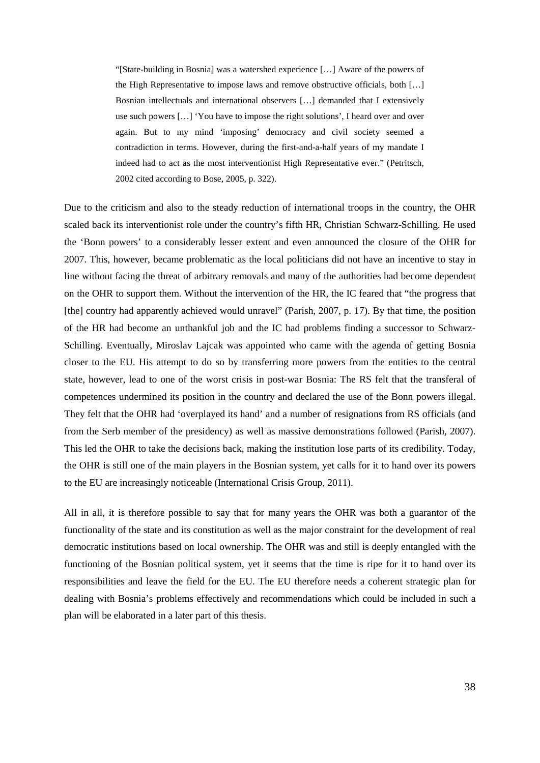"[State-building in Bosnia] was a watershed experience […] Aware of the powers of the High Representative to impose laws and remove obstructive officials, both […] Bosnian intellectuals and international observers […] demanded that I extensively use such powers […] 'You have to impose the right solutions', I heard over and over again. But to my mind 'imposing' democracy and civil society seemed a contradiction in terms. However, during the first-and-a-half years of my mandate I indeed had to act as the most interventionist High Representative ever." (Petritsch, 2002 cited according to Bose, 2005, p. 322).

Due to the criticism and also to the steady reduction of international troops in the country, the OHR scaled back its interventionist role under the country's fifth HR, Christian Schwarz-Schilling. He used the 'Bonn powers' to a considerably lesser extent and even announced the closure of the OHR for 2007. This, however, became problematic as the local politicians did not have an incentive to stay in line without facing the threat of arbitrary removals and many of the authorities had become dependent on the OHR to support them. Without the intervention of the HR, the IC feared that "the progress that [the] country had apparently achieved would unravel" (Parish, 2007, p. 17). By that time, the position of the HR had become an unthankful job and the IC had problems finding a successor to Schwarz-Schilling. Eventually, Miroslav Lajcak was appointed who came with the agenda of getting Bosnia closer to the EU. His attempt to do so by transferring more powers from the entities to the central state, however, lead to one of the worst crisis in post-war Bosnia: The RS felt that the transferal of competences undermined its position in the country and declared the use of the Bonn powers illegal. They felt that the OHR had 'overplayed its hand' and a number of resignations from RS officials (and from the Serb member of the presidency) as well as massive demonstrations followed (Parish, 2007). This led the OHR to take the decisions back, making the institution lose parts of its credibility. Today, the OHR is still one of the main players in the Bosnian system, yet calls for it to hand over its powers to the EU are increasingly noticeable (International Crisis Group, 2011).

All in all, it is therefore possible to say that for many years the OHR was both a guarantor of the functionality of the state and its constitution as well as the major constraint for the development of real democratic institutions based on local ownership. The OHR was and still is deeply entangled with the functioning of the Bosnian political system, yet it seems that the time is ripe for it to hand over its responsibilities and leave the field for the EU. The EU therefore needs a coherent strategic plan for dealing with Bosnia's problems effectively and recommendations which could be included in such a plan will be elaborated in a later part of this thesis.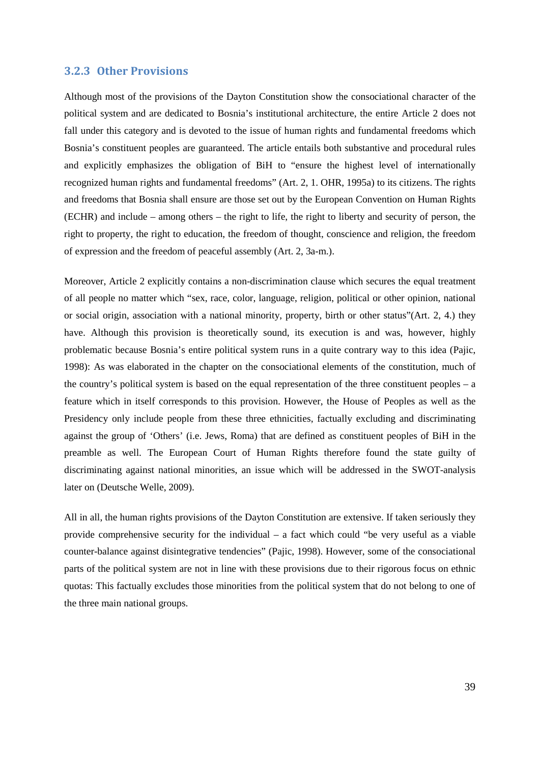### **3.2.3 Other Provisions**

Although most of the provisions of the Dayton Constitution show the consociational character of the political system and are dedicated to Bosnia's institutional architecture, the entire Article 2 does not fall under this category and is devoted to the issue of human rights and fundamental freedoms which Bosnia's constituent peoples are guaranteed. The article entails both substantive and procedural rules and explicitly emphasizes the obligation of BiH to "ensure the highest level of internationally recognized human rights and fundamental freedoms" (Art. 2, 1. OHR, 1995a) to its citizens. The rights and freedoms that Bosnia shall ensure are those set out by the European Convention on Human Rights (ECHR) and include – among others – the right to life, the right to liberty and security of person, the right to property, the right to education, the freedom of thought, conscience and religion, the freedom of expression and the freedom of peaceful assembly (Art. 2, 3a-m.).

Moreover, Article 2 explicitly contains a non-discrimination clause which secures the equal treatment of all people no matter which "sex, race, color, language, religion, political or other opinion, national or social origin, association with a national minority, property, birth or other status"(Art. 2, 4.) they have. Although this provision is theoretically sound, its execution is and was, however, highly problematic because Bosnia's entire political system runs in a quite contrary way to this idea (Pajic, 1998): As was elaborated in the chapter on the consociational elements of the constitution, much of the country's political system is based on the equal representation of the three constituent peoples – a feature which in itself corresponds to this provision. However, the House of Peoples as well as the Presidency only include people from these three ethnicities, factually excluding and discriminating against the group of 'Others' (i.e. Jews, Roma) that are defined as constituent peoples of BiH in the preamble as well. The European Court of Human Rights therefore found the state guilty of discriminating against national minorities, an issue which will be addressed in the SWOT-analysis later on (Deutsche Welle, 2009).

All in all, the human rights provisions of the Dayton Constitution are extensive. If taken seriously they provide comprehensive security for the individual – a fact which could "be very useful as a viable counter-balance against disintegrative tendencies" (Pajic, 1998). However, some of the consociational parts of the political system are not in line with these provisions due to their rigorous focus on ethnic quotas: This factually excludes those minorities from the political system that do not belong to one of the three main national groups.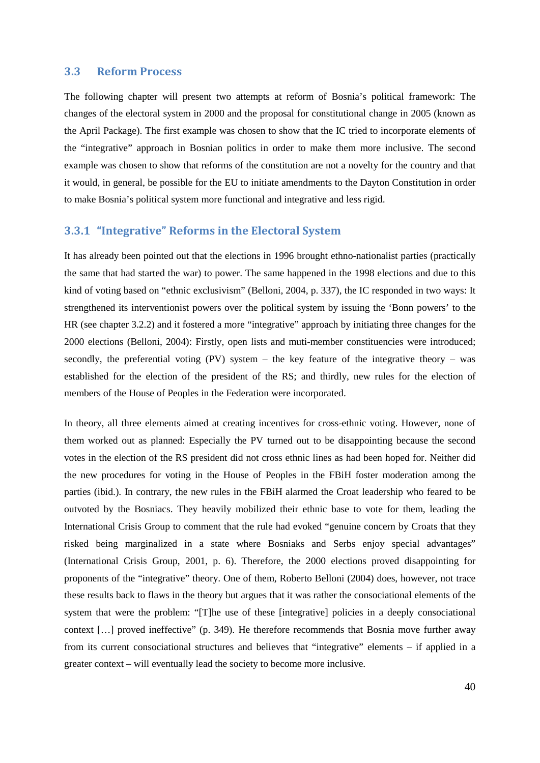### **3.3 Reform Process**

The following chapter will present two attempts at reform of Bosnia's political framework: The changes of the electoral system in 2000 and the proposal for constitutional change in 2005 (known as the April Package). The first example was chosen to show that the IC tried to incorporate elements of the "integrative" approach in Bosnian politics in order to make them more inclusive. The second example was chosen to show that reforms of the constitution are not a novelty for the country and that it would, in general, be possible for the EU to initiate amendments to the Dayton Constitution in order to make Bosnia's political system more functional and integrative and less rigid.

# **3.3.1 "Integrative" Reforms in the Electoral System**

It has already been pointed out that the elections in 1996 brought ethno-nationalist parties (practically the same that had started the war) to power. The same happened in the 1998 elections and due to this kind of voting based on "ethnic exclusivism" (Belloni, 2004, p. 337), the IC responded in two ways: It strengthened its interventionist powers over the political system by issuing the 'Bonn powers' to the HR (see chapter 3.2.2) and it fostered a more "integrative" approach by initiating three changes for the 2000 elections (Belloni, 2004): Firstly, open lists and muti-member constituencies were introduced; secondly, the preferential voting (PV) system – the key feature of the integrative theory – was established for the election of the president of the RS; and thirdly, new rules for the election of members of the House of Peoples in the Federation were incorporated.

In theory, all three elements aimed at creating incentives for cross-ethnic voting. However, none of them worked out as planned: Especially the PV turned out to be disappointing because the second votes in the election of the RS president did not cross ethnic lines as had been hoped for. Neither did the new procedures for voting in the House of Peoples in the FBiH foster moderation among the parties (ibid.). In contrary, the new rules in the FBiH alarmed the Croat leadership who feared to be outvoted by the Bosniacs. They heavily mobilized their ethnic base to vote for them, leading the International Crisis Group to comment that the rule had evoked "genuine concern by Croats that they risked being marginalized in a state where Bosniaks and Serbs enjoy special advantages" (International Crisis Group, 2001, p. 6). Therefore, the 2000 elections proved disappointing for proponents of the "integrative" theory. One of them, Roberto Belloni (2004) does, however, not trace these results back to flaws in the theory but argues that it was rather the consociational elements of the system that were the problem: "[T]he use of these [integrative] policies in a deeply consociational context […] proved ineffective" (p. 349). He therefore recommends that Bosnia move further away from its current consociational structures and believes that "integrative" elements – if applied in a greater context – will eventually lead the society to become more inclusive.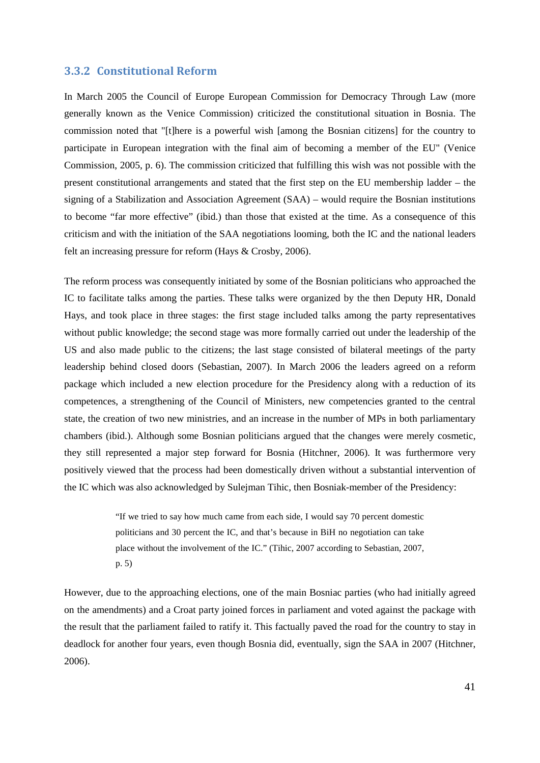### **3.3.2 Constitutional Reform**

In March 2005 the Council of Europe European Commission for Democracy Through Law (more generally known as the Venice Commission) criticized the constitutional situation in Bosnia. The commission noted that "[t]here is a powerful wish [among the Bosnian citizens] for the country to participate in European integration with the final aim of becoming a member of the EU" (Venice Commission, 2005, p. 6). The commission criticized that fulfilling this wish was not possible with the present constitutional arrangements and stated that the first step on the EU membership ladder – the signing of a Stabilization and Association Agreement (SAA) – would require the Bosnian institutions to become "far more effective" (ibid.) than those that existed at the time. As a consequence of this criticism and with the initiation of the SAA negotiations looming, both the IC and the national leaders felt an increasing pressure for reform (Hays & Crosby, 2006).

The reform process was consequently initiated by some of the Bosnian politicians who approached the IC to facilitate talks among the parties. These talks were organized by the then Deputy HR, Donald Hays, and took place in three stages: the first stage included talks among the party representatives without public knowledge; the second stage was more formally carried out under the leadership of the US and also made public to the citizens; the last stage consisted of bilateral meetings of the party leadership behind closed doors (Sebastian, 2007). In March 2006 the leaders agreed on a reform package which included a new election procedure for the Presidency along with a reduction of its competences, a strengthening of the Council of Ministers, new competencies granted to the central state, the creation of two new ministries, and an increase in the number of MPs in both parliamentary chambers (ibid.). Although some Bosnian politicians argued that the changes were merely cosmetic, they still represented a major step forward for Bosnia (Hitchner, 2006). It was furthermore very positively viewed that the process had been domestically driven without a substantial intervention of the IC which was also acknowledged by Sulejman Tihic, then Bosniak-member of the Presidency:

> "If we tried to say how much came from each side, I would say 70 percent domestic politicians and 30 percent the IC, and that's because in BiH no negotiation can take place without the involvement of the IC." (Tihic, 2007 according to Sebastian, 2007, p. 5)

However, due to the approaching elections, one of the main Bosniac parties (who had initially agreed on the amendments) and a Croat party joined forces in parliament and voted against the package with the result that the parliament failed to ratify it. This factually paved the road for the country to stay in deadlock for another four years, even though Bosnia did, eventually, sign the SAA in 2007 (Hitchner, 2006).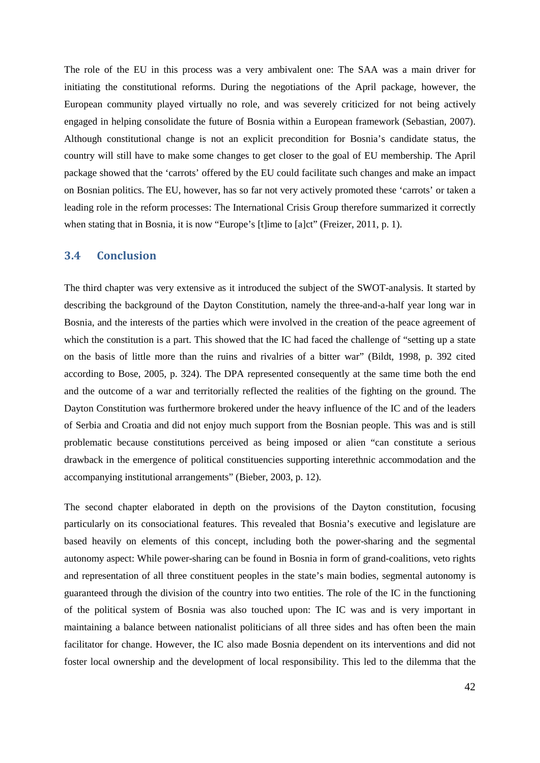The role of the EU in this process was a very ambivalent one: The SAA was a main driver for initiating the constitutional reforms. During the negotiations of the April package, however, the European community played virtually no role, and was severely criticized for not being actively engaged in helping consolidate the future of Bosnia within a European framework (Sebastian, 2007). Although constitutional change is not an explicit precondition for Bosnia's candidate status, the country will still have to make some changes to get closer to the goal of EU membership. The April package showed that the 'carrots' offered by the EU could facilitate such changes and make an impact on Bosnian politics. The EU, however, has so far not very actively promoted these 'carrots' or taken a leading role in the reform processes: The International Crisis Group therefore summarized it correctly when stating that in Bosnia, it is now "Europe's [t]ime to [a]ct" (Freizer, 2011, p. 1).

## **3.4 Conclusion**

The third chapter was very extensive as it introduced the subject of the SWOT-analysis. It started by describing the background of the Dayton Constitution, namely the three-and-a-half year long war in Bosnia, and the interests of the parties which were involved in the creation of the peace agreement of which the constitution is a part. This showed that the IC had faced the challenge of "setting up a state" on the basis of little more than the ruins and rivalries of a bitter war" (Bildt, 1998, p. 392 cited according to Bose, 2005, p. 324). The DPA represented consequently at the same time both the end and the outcome of a war and territorially reflected the realities of the fighting on the ground. The Dayton Constitution was furthermore brokered under the heavy influence of the IC and of the leaders of Serbia and Croatia and did not enjoy much support from the Bosnian people. This was and is still problematic because constitutions perceived as being imposed or alien "can constitute a serious drawback in the emergence of political constituencies supporting interethnic accommodation and the accompanying institutional arrangements" (Bieber, 2003, p. 12).

The second chapter elaborated in depth on the provisions of the Dayton constitution, focusing particularly on its consociational features. This revealed that Bosnia's executive and legislature are based heavily on elements of this concept, including both the power-sharing and the segmental autonomy aspect: While power-sharing can be found in Bosnia in form of grand-coalitions, veto rights and representation of all three constituent peoples in the state's main bodies, segmental autonomy is guaranteed through the division of the country into two entities. The role of the IC in the functioning of the political system of Bosnia was also touched upon: The IC was and is very important in maintaining a balance between nationalist politicians of all three sides and has often been the main facilitator for change. However, the IC also made Bosnia dependent on its interventions and did not foster local ownership and the development of local responsibility. This led to the dilemma that the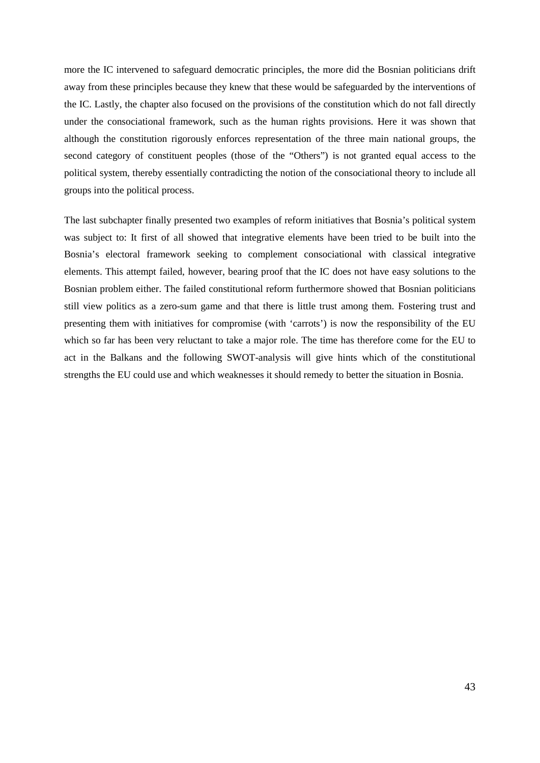more the IC intervened to safeguard democratic principles, the more did the Bosnian politicians drift away from these principles because they knew that these would be safeguarded by the interventions of the IC. Lastly, the chapter also focused on the provisions of the constitution which do not fall directly under the consociational framework, such as the human rights provisions. Here it was shown that although the constitution rigorously enforces representation of the three main national groups, the second category of constituent peoples (those of the "Others") is not granted equal access to the political system, thereby essentially contradicting the notion of the consociational theory to include all groups into the political process.

The last subchapter finally presented two examples of reform initiatives that Bosnia's political system was subject to: It first of all showed that integrative elements have been tried to be built into the Bosnia's electoral framework seeking to complement consociational with classical integrative elements. This attempt failed, however, bearing proof that the IC does not have easy solutions to the Bosnian problem either. The failed constitutional reform furthermore showed that Bosnian politicians still view politics as a zero-sum game and that there is little trust among them. Fostering trust and presenting them with initiatives for compromise (with 'carrots') is now the responsibility of the EU which so far has been very reluctant to take a major role. The time has therefore come for the EU to act in the Balkans and the following SWOT-analysis will give hints which of the constitutional strengths the EU could use and which weaknesses it should remedy to better the situation in Bosnia.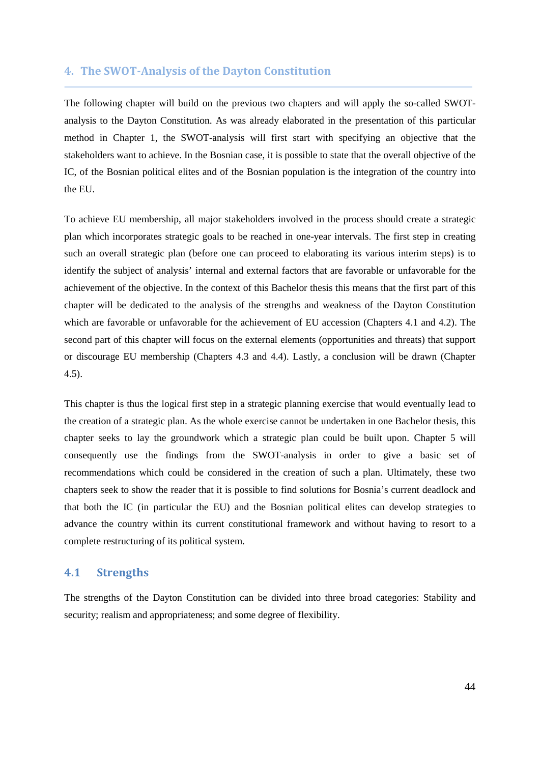### **4. The SWOT-Analysis of the Dayton Constitution**

The following chapter will build on the previous two chapters and will apply the so-called SWOTanalysis to the Dayton Constitution. As was already elaborated in the presentation of this particular method in Chapter 1, the SWOT-analysis will first start with specifying an objective that the stakeholders want to achieve. In the Bosnian case, it is possible to state that the overall objective of the IC, of the Bosnian political elites and of the Bosnian population is the integration of the country into the EU.

To achieve EU membership, all major stakeholders involved in the process should create a strategic plan which incorporates strategic goals to be reached in one-year intervals. The first step in creating such an overall strategic plan (before one can proceed to elaborating its various interim steps) is to identify the subject of analysis' internal and external factors that are favorable or unfavorable for the achievement of the objective. In the context of this Bachelor thesis this means that the first part of this chapter will be dedicated to the analysis of the strengths and weakness of the Dayton Constitution which are favorable or unfavorable for the achievement of EU accession (Chapters 4.1 and 4.2). The second part of this chapter will focus on the external elements (opportunities and threats) that support or discourage EU membership (Chapters 4.3 and 4.4). Lastly, a conclusion will be drawn (Chapter 4.5).

This chapter is thus the logical first step in a strategic planning exercise that would eventually lead to the creation of a strategic plan. As the whole exercise cannot be undertaken in one Bachelor thesis, this chapter seeks to lay the groundwork which a strategic plan could be built upon. Chapter 5 will consequently use the findings from the SWOT-analysis in order to give a basic set of recommendations which could be considered in the creation of such a plan. Ultimately, these two chapters seek to show the reader that it is possible to find solutions for Bosnia's current deadlock and that both the IC (in particular the EU) and the Bosnian political elites can develop strategies to advance the country within its current constitutional framework and without having to resort to a complete restructuring of its political system.

## **4.1 Strengths**

The strengths of the Dayton Constitution can be divided into three broad categories: Stability and security; realism and appropriateness; and some degree of flexibility.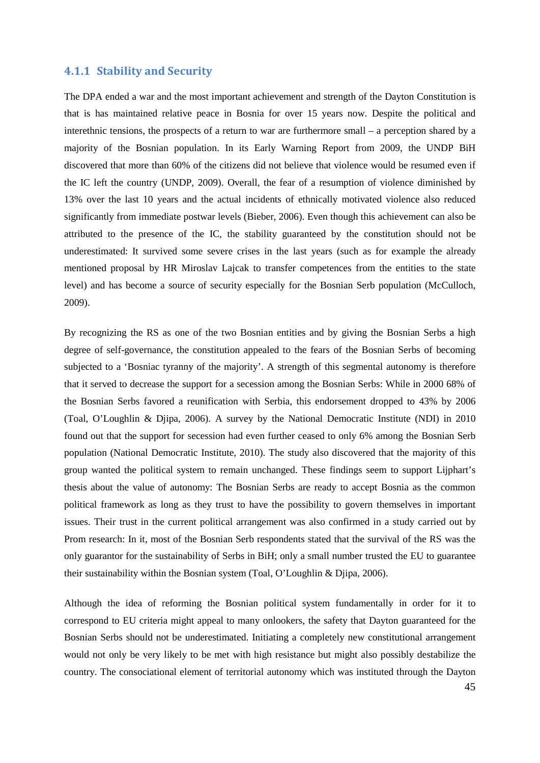# **4.1.1 Stability and Security**

The DPA ended a war and the most important achievement and strength of the Dayton Constitution is that is has maintained relative peace in Bosnia for over 15 years now. Despite the political and interethnic tensions, the prospects of a return to war are furthermore small – a perception shared by a majority of the Bosnian population. In its Early Warning Report from 2009, the UNDP BiH discovered that more than 60% of the citizens did not believe that violence would be resumed even if the IC left the country (UNDP, 2009). Overall, the fear of a resumption of violence diminished by 13% over the last 10 years and the actual incidents of ethnically motivated violence also reduced significantly from immediate postwar levels (Bieber, 2006). Even though this achievement can also be attributed to the presence of the IC, the stability guaranteed by the constitution should not be underestimated: It survived some severe crises in the last years (such as for example the already mentioned proposal by HR Miroslav Lajcak to transfer competences from the entities to the state level) and has become a source of security especially for the Bosnian Serb population (McCulloch, 2009).

By recognizing the RS as one of the two Bosnian entities and by giving the Bosnian Serbs a high degree of self-governance, the constitution appealed to the fears of the Bosnian Serbs of becoming subjected to a 'Bosniac tyranny of the majority'. A strength of this segmental autonomy is therefore that it served to decrease the support for a secession among the Bosnian Serbs: While in 2000 68% of the Bosnian Serbs favored a reunification with Serbia, this endorsement dropped to 43% by 2006 (Toal, O'Loughlin & Djipa, 2006). A survey by the National Democratic Institute (NDI) in 2010 found out that the support for secession had even further ceased to only 6% among the Bosnian Serb population (National Democratic Institute, 2010). The study also discovered that the majority of this group wanted the political system to remain unchanged. These findings seem to support Lijphart's thesis about the value of autonomy: The Bosnian Serbs are ready to accept Bosnia as the common political framework as long as they trust to have the possibility to govern themselves in important issues. Their trust in the current political arrangement was also confirmed in a study carried out by Prom research: In it, most of the Bosnian Serb respondents stated that the survival of the RS was the only guarantor for the sustainability of Serbs in BiH; only a small number trusted the EU to guarantee their sustainability within the Bosnian system (Toal, O'Loughlin & Djipa, 2006).

Although the idea of reforming the Bosnian political system fundamentally in order for it to correspond to EU criteria might appeal to many onlookers, the safety that Dayton guaranteed for the Bosnian Serbs should not be underestimated. Initiating a completely new constitutional arrangement would not only be very likely to be met with high resistance but might also possibly destabilize the country. The consociational element of territorial autonomy which was instituted through the Dayton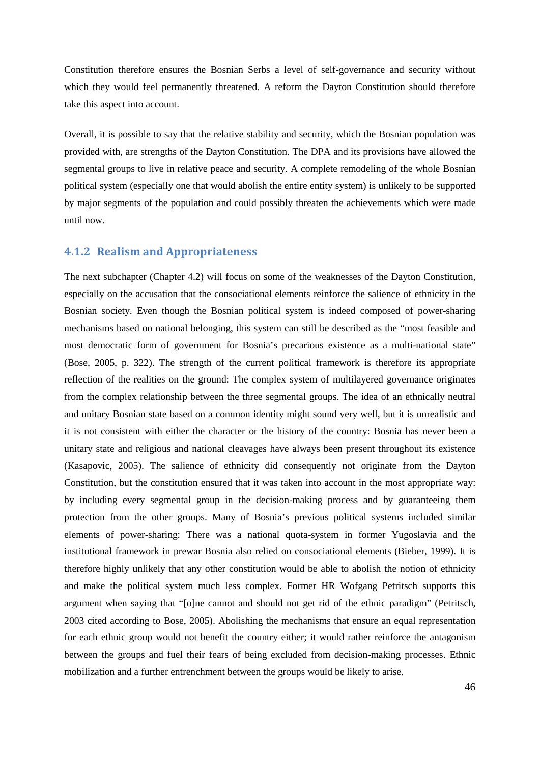Constitution therefore ensures the Bosnian Serbs a level of self-governance and security without which they would feel permanently threatened. A reform the Dayton Constitution should therefore take this aspect into account.

Overall, it is possible to say that the relative stability and security, which the Bosnian population was provided with, are strengths of the Dayton Constitution. The DPA and its provisions have allowed the segmental groups to live in relative peace and security. A complete remodeling of the whole Bosnian political system (especially one that would abolish the entire entity system) is unlikely to be supported by major segments of the population and could possibly threaten the achievements which were made until now.

#### **4.1.2 Realism and Appropriateness**

The next subchapter (Chapter 4.2) will focus on some of the weaknesses of the Dayton Constitution, especially on the accusation that the consociational elements reinforce the salience of ethnicity in the Bosnian society. Even though the Bosnian political system is indeed composed of power-sharing mechanisms based on national belonging, this system can still be described as the "most feasible and most democratic form of government for Bosnia's precarious existence as a multi-national state" (Bose, 2005, p. 322). The strength of the current political framework is therefore its appropriate reflection of the realities on the ground: The complex system of multilayered governance originates from the complex relationship between the three segmental groups. The idea of an ethnically neutral and unitary Bosnian state based on a common identity might sound very well, but it is unrealistic and it is not consistent with either the character or the history of the country: Bosnia has never been a unitary state and religious and national cleavages have always been present throughout its existence (Kasapovic, 2005). The salience of ethnicity did consequently not originate from the Dayton Constitution, but the constitution ensured that it was taken into account in the most appropriate way: by including every segmental group in the decision-making process and by guaranteeing them protection from the other groups. Many of Bosnia's previous political systems included similar elements of power-sharing: There was a national quota-system in former Yugoslavia and the institutional framework in prewar Bosnia also relied on consociational elements (Bieber, 1999). It is therefore highly unlikely that any other constitution would be able to abolish the notion of ethnicity and make the political system much less complex. Former HR Wofgang Petritsch supports this argument when saying that "[o]ne cannot and should not get rid of the ethnic paradigm" (Petritsch, 2003 cited according to Bose, 2005). Abolishing the mechanisms that ensure an equal representation for each ethnic group would not benefit the country either; it would rather reinforce the antagonism between the groups and fuel their fears of being excluded from decision-making processes. Ethnic mobilization and a further entrenchment between the groups would be likely to arise.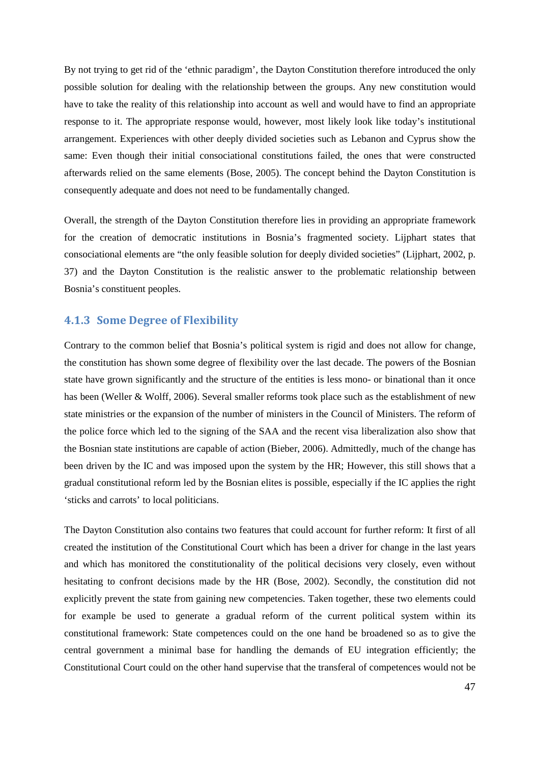By not trying to get rid of the 'ethnic paradigm', the Dayton Constitution therefore introduced the only possible solution for dealing with the relationship between the groups. Any new constitution would have to take the reality of this relationship into account as well and would have to find an appropriate response to it. The appropriate response would, however, most likely look like today's institutional arrangement. Experiences with other deeply divided societies such as Lebanon and Cyprus show the same: Even though their initial consociational constitutions failed, the ones that were constructed afterwards relied on the same elements (Bose, 2005). The concept behind the Dayton Constitution is consequently adequate and does not need to be fundamentally changed.

Overall, the strength of the Dayton Constitution therefore lies in providing an appropriate framework for the creation of democratic institutions in Bosnia's fragmented society. Lijphart states that consociational elements are "the only feasible solution for deeply divided societies" (Lijphart, 2002, p. 37) and the Dayton Constitution is the realistic answer to the problematic relationship between Bosnia's constituent peoples.

### **4.1.3 Some Degree of Flexibility**

Contrary to the common belief that Bosnia's political system is rigid and does not allow for change, the constitution has shown some degree of flexibility over the last decade. The powers of the Bosnian state have grown significantly and the structure of the entities is less mono- or binational than it once has been (Weller & Wolff, 2006). Several smaller reforms took place such as the establishment of new state ministries or the expansion of the number of ministers in the Council of Ministers. The reform of the police force which led to the signing of the SAA and the recent visa liberalization also show that the Bosnian state institutions are capable of action (Bieber, 2006). Admittedly, much of the change has been driven by the IC and was imposed upon the system by the HR; However, this still shows that a gradual constitutional reform led by the Bosnian elites is possible, especially if the IC applies the right 'sticks and carrots' to local politicians.

The Dayton Constitution also contains two features that could account for further reform: It first of all created the institution of the Constitutional Court which has been a driver for change in the last years and which has monitored the constitutionality of the political decisions very closely, even without hesitating to confront decisions made by the HR (Bose, 2002). Secondly, the constitution did not explicitly prevent the state from gaining new competencies. Taken together, these two elements could for example be used to generate a gradual reform of the current political system within its constitutional framework: State competences could on the one hand be broadened so as to give the central government a minimal base for handling the demands of EU integration efficiently; the Constitutional Court could on the other hand supervise that the transferal of competences would not be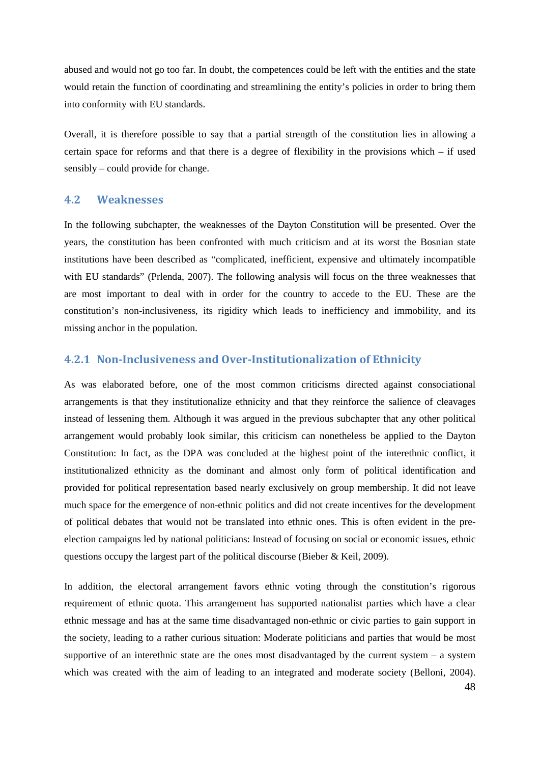abused and would not go too far. In doubt, the competences could be left with the entities and the state would retain the function of coordinating and streamlining the entity's policies in order to bring them into conformity with EU standards.

Overall, it is therefore possible to say that a partial strength of the constitution lies in allowing a certain space for reforms and that there is a degree of flexibility in the provisions which – if used sensibly – could provide for change.

### **4.2 Weaknesses**

In the following subchapter, the weaknesses of the Dayton Constitution will be presented. Over the years, the constitution has been confronted with much criticism and at its worst the Bosnian state institutions have been described as "complicated, inefficient, expensive and ultimately incompatible with EU standards" (Prlenda, 2007). The following analysis will focus on the three weaknesses that are most important to deal with in order for the country to accede to the EU. These are the constitution's non-inclusiveness, its rigidity which leads to inefficiency and immobility, and its missing anchor in the population.

### **4.2.1 Non-Inclusiveness and Over-Institutionalization of Ethnicity**

As was elaborated before, one of the most common criticisms directed against consociational arrangements is that they institutionalize ethnicity and that they reinforce the salience of cleavages instead of lessening them. Although it was argued in the previous subchapter that any other political arrangement would probably look similar, this criticism can nonetheless be applied to the Dayton Constitution: In fact, as the DPA was concluded at the highest point of the interethnic conflict, it institutionalized ethnicity as the dominant and almost only form of political identification and provided for political representation based nearly exclusively on group membership. It did not leave much space for the emergence of non-ethnic politics and did not create incentives for the development of political debates that would not be translated into ethnic ones. This is often evident in the preelection campaigns led by national politicians: Instead of focusing on social or economic issues, ethnic questions occupy the largest part of the political discourse (Bieber & Keil, 2009).

In addition, the electoral arrangement favors ethnic voting through the constitution's rigorous requirement of ethnic quota. This arrangement has supported nationalist parties which have a clear ethnic message and has at the same time disadvantaged non-ethnic or civic parties to gain support in the society, leading to a rather curious situation: Moderate politicians and parties that would be most supportive of an interethnic state are the ones most disadvantaged by the current system  $-$  a system which was created with the aim of leading to an integrated and moderate society (Belloni, 2004).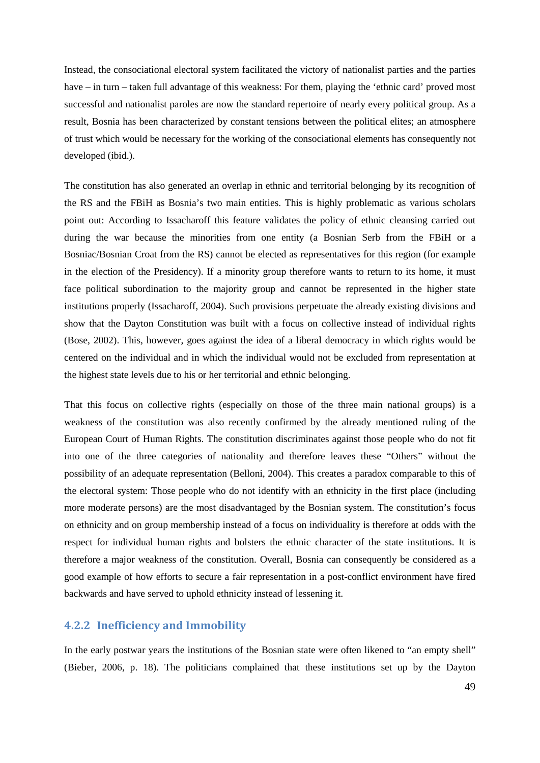Instead, the consociational electoral system facilitated the victory of nationalist parties and the parties have – in turn – taken full advantage of this weakness: For them, playing the 'ethnic card' proved most successful and nationalist paroles are now the standard repertoire of nearly every political group. As a result, Bosnia has been characterized by constant tensions between the political elites; an atmosphere of trust which would be necessary for the working of the consociational elements has consequently not developed (ibid.).

The constitution has also generated an overlap in ethnic and territorial belonging by its recognition of the RS and the FBiH as Bosnia's two main entities. This is highly problematic as various scholars point out: According to Issacharoff this feature validates the policy of ethnic cleansing carried out during the war because the minorities from one entity (a Bosnian Serb from the FBiH or a Bosniac/Bosnian Croat from the RS) cannot be elected as representatives for this region (for example in the election of the Presidency). If a minority group therefore wants to return to its home, it must face political subordination to the majority group and cannot be represented in the higher state institutions properly (Issacharoff, 2004). Such provisions perpetuate the already existing divisions and show that the Dayton Constitution was built with a focus on collective instead of individual rights (Bose, 2002). This, however, goes against the idea of a liberal democracy in which rights would be centered on the individual and in which the individual would not be excluded from representation at the highest state levels due to his or her territorial and ethnic belonging.

That this focus on collective rights (especially on those of the three main national groups) is a weakness of the constitution was also recently confirmed by the already mentioned ruling of the European Court of Human Rights. The constitution discriminates against those people who do not fit into one of the three categories of nationality and therefore leaves these "Others" without the possibility of an adequate representation (Belloni, 2004). This creates a paradox comparable to this of the electoral system: Those people who do not identify with an ethnicity in the first place (including more moderate persons) are the most disadvantaged by the Bosnian system. The constitution's focus on ethnicity and on group membership instead of a focus on individuality is therefore at odds with the respect for individual human rights and bolsters the ethnic character of the state institutions. It is therefore a major weakness of the constitution. Overall, Bosnia can consequently be considered as a good example of how efforts to secure a fair representation in a post-conflict environment have fired backwards and have served to uphold ethnicity instead of lessening it.

### **4.2.2 Inefficiency and Immobility**

In the early postwar years the institutions of the Bosnian state were often likened to "an empty shell" (Bieber, 2006, p. 18). The politicians complained that these institutions set up by the Dayton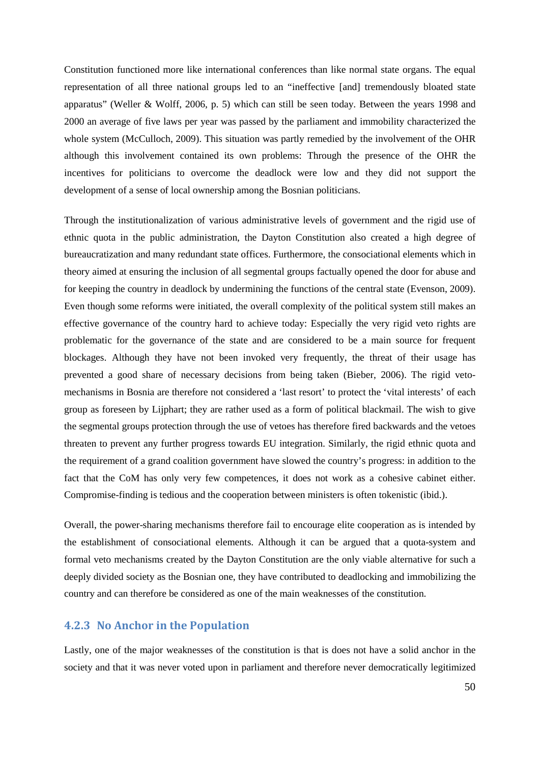Constitution functioned more like international conferences than like normal state organs. The equal representation of all three national groups led to an "ineffective [and] tremendously bloated state apparatus" (Weller & Wolff, 2006, p. 5) which can still be seen today. Between the years 1998 and 2000 an average of five laws per year was passed by the parliament and immobility characterized the whole system (McCulloch, 2009). This situation was partly remedied by the involvement of the OHR although this involvement contained its own problems: Through the presence of the OHR the incentives for politicians to overcome the deadlock were low and they did not support the development of a sense of local ownership among the Bosnian politicians.

Through the institutionalization of various administrative levels of government and the rigid use of ethnic quota in the public administration, the Dayton Constitution also created a high degree of bureaucratization and many redundant state offices. Furthermore, the consociational elements which in theory aimed at ensuring the inclusion of all segmental groups factually opened the door for abuse and for keeping the country in deadlock by undermining the functions of the central state (Evenson, 2009). Even though some reforms were initiated, the overall complexity of the political system still makes an effective governance of the country hard to achieve today: Especially the very rigid veto rights are problematic for the governance of the state and are considered to be a main source for frequent blockages. Although they have not been invoked very frequently, the threat of their usage has prevented a good share of necessary decisions from being taken (Bieber, 2006). The rigid vetomechanisms in Bosnia are therefore not considered a 'last resort' to protect the 'vital interests' of each group as foreseen by Lijphart; they are rather used as a form of political blackmail. The wish to give the segmental groups protection through the use of vetoes has therefore fired backwards and the vetoes threaten to prevent any further progress towards EU integration. Similarly, the rigid ethnic quota and the requirement of a grand coalition government have slowed the country's progress: in addition to the fact that the CoM has only very few competences, it does not work as a cohesive cabinet either. Compromise-finding is tedious and the cooperation between ministers is often tokenistic (ibid.).

Overall, the power-sharing mechanisms therefore fail to encourage elite cooperation as is intended by the establishment of consociational elements. Although it can be argued that a quota-system and formal veto mechanisms created by the Dayton Constitution are the only viable alternative for such a deeply divided society as the Bosnian one, they have contributed to deadlocking and immobilizing the country and can therefore be considered as one of the main weaknesses of the constitution.

# **4.2.3 No Anchor in the Population**

Lastly, one of the major weaknesses of the constitution is that is does not have a solid anchor in the society and that it was never voted upon in parliament and therefore never democratically legitimized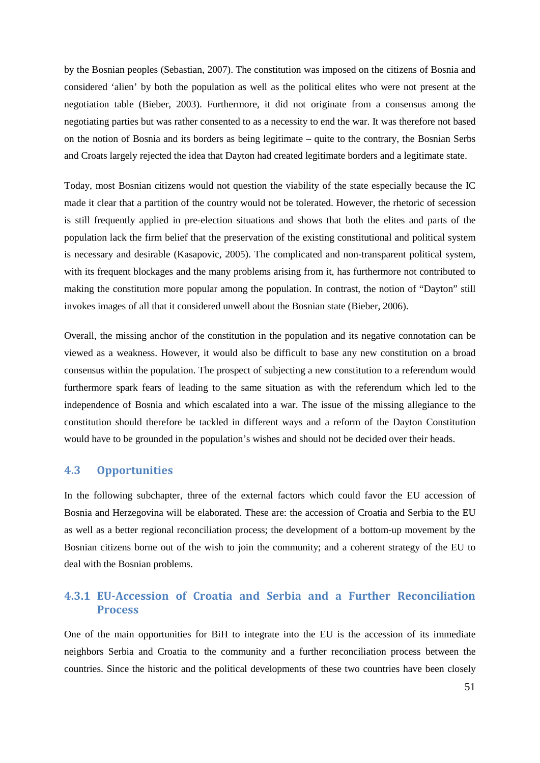by the Bosnian peoples (Sebastian, 2007). The constitution was imposed on the citizens of Bosnia and considered 'alien' by both the population as well as the political elites who were not present at the negotiation table (Bieber, 2003). Furthermore, it did not originate from a consensus among the negotiating parties but was rather consented to as a necessity to end the war. It was therefore not based on the notion of Bosnia and its borders as being legitimate – quite to the contrary, the Bosnian Serbs and Croats largely rejected the idea that Dayton had created legitimate borders and a legitimate state.

Today, most Bosnian citizens would not question the viability of the state especially because the IC made it clear that a partition of the country would not be tolerated. However, the rhetoric of secession is still frequently applied in pre-election situations and shows that both the elites and parts of the population lack the firm belief that the preservation of the existing constitutional and political system is necessary and desirable (Kasapovic, 2005). The complicated and non-transparent political system, with its frequent blockages and the many problems arising from it, has furthermore not contributed to making the constitution more popular among the population. In contrast, the notion of "Dayton" still invokes images of all that it considered unwell about the Bosnian state (Bieber, 2006).

Overall, the missing anchor of the constitution in the population and its negative connotation can be viewed as a weakness. However, it would also be difficult to base any new constitution on a broad consensus within the population. The prospect of subjecting a new constitution to a referendum would furthermore spark fears of leading to the same situation as with the referendum which led to the independence of Bosnia and which escalated into a war. The issue of the missing allegiance to the constitution should therefore be tackled in different ways and a reform of the Dayton Constitution would have to be grounded in the population's wishes and should not be decided over their heads.

# **4.3 Opportunities**

In the following subchapter, three of the external factors which could favor the EU accession of Bosnia and Herzegovina will be elaborated. These are: the accession of Croatia and Serbia to the EU as well as a better regional reconciliation process; the development of a bottom-up movement by the Bosnian citizens borne out of the wish to join the community; and a coherent strategy of the EU to deal with the Bosnian problems.

# **4.3.1 EU-Accession of Croatia and Serbia and a Further Reconciliation Process**

One of the main opportunities for BiH to integrate into the EU is the accession of its immediate neighbors Serbia and Croatia to the community and a further reconciliation process between the countries. Since the historic and the political developments of these two countries have been closely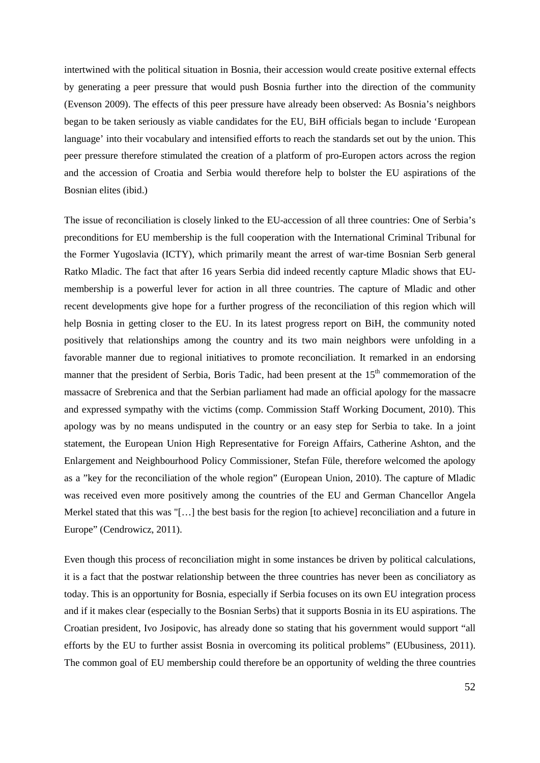intertwined with the political situation in Bosnia, their accession would create positive external effects by generating a peer pressure that would push Bosnia further into the direction of the community (Evenson 2009). The effects of this peer pressure have already been observed: As Bosnia's neighbors began to be taken seriously as viable candidates for the EU, BiH officials began to include 'European language' into their vocabulary and intensified efforts to reach the standards set out by the union. This peer pressure therefore stimulated the creation of a platform of pro-Europen actors across the region and the accession of Croatia and Serbia would therefore help to bolster the EU aspirations of the Bosnian elites (ibid.)

The issue of reconciliation is closely linked to the EU-accession of all three countries: One of Serbia's preconditions for EU membership is the full cooperation with the International Criminal Tribunal for the Former Yugoslavia (ICTY), which primarily meant the arrest of war-time Bosnian Serb general Ratko Mladic. The fact that after 16 years Serbia did indeed recently capture Mladic shows that EUmembership is a powerful lever for action in all three countries. The capture of Mladic and other recent developments give hope for a further progress of the reconciliation of this region which will help Bosnia in getting closer to the EU. In its latest progress report on BiH, the community noted positively that relationships among the country and its two main neighbors were unfolding in a favorable manner due to regional initiatives to promote reconciliation. It remarked in an endorsing manner that the president of Serbia, Boris Tadic, had been present at the 15<sup>th</sup> commemoration of the massacre of Srebrenica and that the Serbian parliament had made an official apology for the massacre and expressed sympathy with the victims (comp. Commission Staff Working Document, 2010). This apology was by no means undisputed in the country or an easy step for Serbia to take. In a joint statement, the European Union High Representative for Foreign Affairs, Catherine Ashton, and the Enlargement and Neighbourhood Policy Commissioner, Stefan Füle, therefore welcomed the apology as a "key for the reconciliation of the whole region" (European Union, 2010). The capture of Mladic was received even more positively among the countries of the EU and German Chancellor Angela Merkel stated that this was "[…] the best basis for the region [to achieve] reconciliation and a future in Europe" (Cendrowicz, 2011).

Even though this process of reconciliation might in some instances be driven by political calculations, it is a fact that the postwar relationship between the three countries has never been as conciliatory as today. This is an opportunity for Bosnia, especially if Serbia focuses on its own EU integration process and if it makes clear (especially to the Bosnian Serbs) that it supports Bosnia in its EU aspirations. The Croatian president, Ivo Josipovic, has already done so stating that his government would support "all efforts by the EU to further assist Bosnia in overcoming its political problems" (EUbusiness, 2011). The common goal of EU membership could therefore be an opportunity of welding the three countries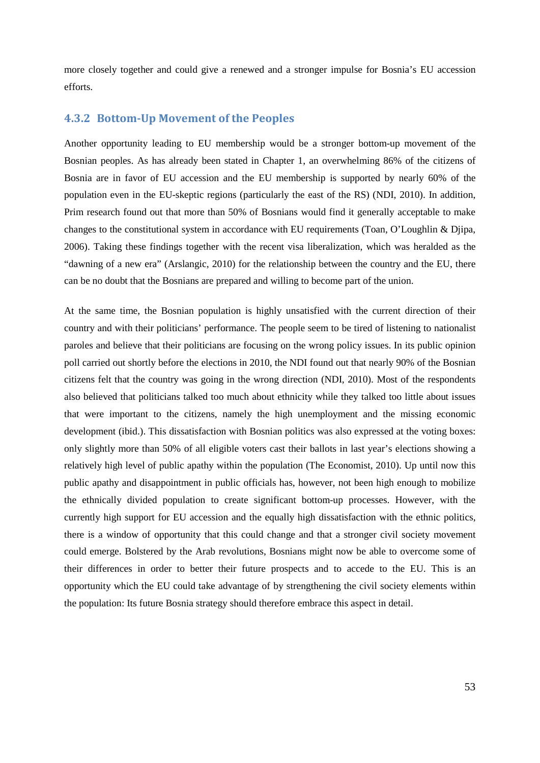more closely together and could give a renewed and a stronger impulse for Bosnia's EU accession efforts.

### **4.3.2 Bottom-Up Movement of the Peoples**

Another opportunity leading to EU membership would be a stronger bottom-up movement of the Bosnian peoples. As has already been stated in Chapter 1, an overwhelming 86% of the citizens of Bosnia are in favor of EU accession and the EU membership is supported by nearly 60% of the population even in the EU-skeptic regions (particularly the east of the RS) (NDI, 2010). In addition, Prim research found out that more than 50% of Bosnians would find it generally acceptable to make changes to the constitutional system in accordance with EU requirements (Toan, O'Loughlin & Djipa, 2006). Taking these findings together with the recent visa liberalization, which was heralded as the "dawning of a new era" (Arslangic, 2010) for the relationship between the country and the EU, there can be no doubt that the Bosnians are prepared and willing to become part of the union.

At the same time, the Bosnian population is highly unsatisfied with the current direction of their country and with their politicians' performance. The people seem to be tired of listening to nationalist paroles and believe that their politicians are focusing on the wrong policy issues. In its public opinion poll carried out shortly before the elections in 2010, the NDI found out that nearly 90% of the Bosnian citizens felt that the country was going in the wrong direction (NDI, 2010). Most of the respondents also believed that politicians talked too much about ethnicity while they talked too little about issues that were important to the citizens, namely the high unemployment and the missing economic development (ibid.). This dissatisfaction with Bosnian politics was also expressed at the voting boxes: only slightly more than 50% of all eligible voters cast their ballots in last year's elections showing a relatively high level of public apathy within the population (The Economist, 2010). Up until now this public apathy and disappointment in public officials has, however, not been high enough to mobilize the ethnically divided population to create significant bottom-up processes. However, with the currently high support for EU accession and the equally high dissatisfaction with the ethnic politics, there is a window of opportunity that this could change and that a stronger civil society movement could emerge. Bolstered by the Arab revolutions, Bosnians might now be able to overcome some of their differences in order to better their future prospects and to accede to the EU. This is an opportunity which the EU could take advantage of by strengthening the civil society elements within the population: Its future Bosnia strategy should therefore embrace this aspect in detail.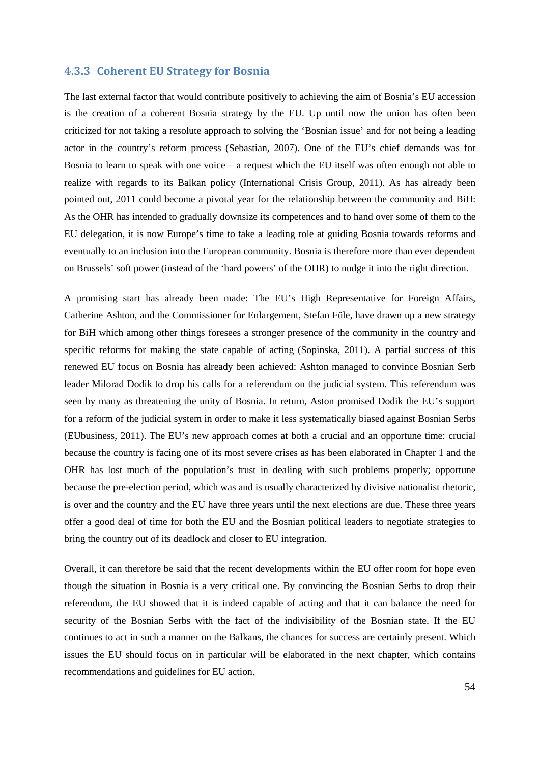### **4.3.3 Coherent EU Strategy for Bosnia**

The last external factor that would contribute positively to achieving the aim of Bosnia's EU accession is the creation of a coherent Bosnia strategy by the EU. Up until now the union has often been criticized for not taking a resolute approach to solving the 'Bosnian issue' and for not being a leading actor in the country's reform process (Sebastian, 2007). One of the EU's chief demands was for Bosnia to learn to speak with one voice – a request which the EU itself was often enough not able to realize with regards to its Balkan policy (International Crisis Group, 2011). As has already been pointed out, 2011 could become a pivotal year for the relationship between the community and BiH: As the OHR has intended to gradually downsize its competences and to hand over some of them to the EU delegation, it is now Europe's time to take a leading role at guiding Bosnia towards reforms and eventually to an inclusion into the European community. Bosnia is therefore more than ever dependent on Brussels' soft power (instead of the 'hard powers' of the OHR) to nudge it into the right direction.

A promising start has already been made: The EU's High Representative for Foreign Affairs, Catherine Ashton, and the Commissioner for Enlargement, Stefan Füle, have drawn up a new strategy for BiH which among other things foresees a stronger presence of the community in the country and specific reforms for making the state capable of acting (Sopinska, 2011). A partial success of this renewed EU focus on Bosnia has already been achieved: Ashton managed to convince Bosnian Serb leader Milorad Dodik to drop his calls for a referendum on the judicial system. This referendum was seen by many as threatening the unity of Bosnia. In return, Aston promised Dodik the EU's support for a reform of the judicial system in order to make it less systematically biased against Bosnian Serbs (EUbusiness, 2011). The EU's new approach comes at both a crucial and an opportune time: crucial because the country is facing one of its most severe crises as has been elaborated in Chapter 1 and the OHR has lost much of the population's trust in dealing with such problems properly; opportune because the pre-election period, which was and is usually characterized by divisive nationalist rhetoric, is over and the country and the EU have three years until the next elections are due. These three years offer a good deal of time for both the EU and the Bosnian political leaders to negotiate strategies to bring the country out of its deadlock and closer to EU integration.

Overall, it can therefore be said that the recent developments within the EU offer room for hope even though the situation in Bosnia is a very critical one. By convincing the Bosnian Serbs to drop their referendum, the EU showed that it is indeed capable of acting and that it can balance the need for security of the Bosnian Serbs with the fact of the indivisibility of the Bosnian state. If the EU continues to act in such a manner on the Balkans, the chances for success are certainly present. Which issues the EU should focus on in particular will be elaborated in the next chapter, which contains recommendations and guidelines for EU action.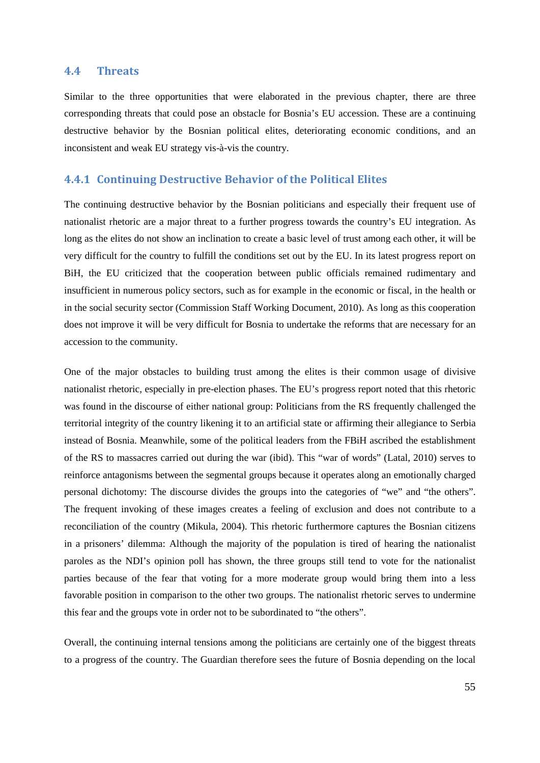#### **4.4 Threats**

Similar to the three opportunities that were elaborated in the previous chapter, there are three corresponding threats that could pose an obstacle for Bosnia's EU accession. These are a continuing destructive behavior by the Bosnian political elites, deteriorating economic conditions, and an inconsistent and weak EU strategy vis-à-vis the country.

### **4.4.1 Continuing Destructive Behavior of the Political Elites**

The continuing destructive behavior by the Bosnian politicians and especially their frequent use of nationalist rhetoric are a major threat to a further progress towards the country's EU integration. As long as the elites do not show an inclination to create a basic level of trust among each other, it will be very difficult for the country to fulfill the conditions set out by the EU. In its latest progress report on BiH, the EU criticized that the cooperation between public officials remained rudimentary and insufficient in numerous policy sectors, such as for example in the economic or fiscal, in the health or in the social security sector (Commission Staff Working Document, 2010). As long as this cooperation does not improve it will be very difficult for Bosnia to undertake the reforms that are necessary for an accession to the community.

One of the major obstacles to building trust among the elites is their common usage of divisive nationalist rhetoric, especially in pre-election phases. The EU's progress report noted that this rhetoric was found in the discourse of either national group: Politicians from the RS frequently challenged the territorial integrity of the country likening it to an artificial state or affirming their allegiance to Serbia instead of Bosnia. Meanwhile, some of the political leaders from the FBiH ascribed the establishment of the RS to massacres carried out during the war (ibid). This "war of words" (Latal, 2010) serves to reinforce antagonisms between the segmental groups because it operates along an emotionally charged personal dichotomy: The discourse divides the groups into the categories of "we" and "the others". The frequent invoking of these images creates a feeling of exclusion and does not contribute to a reconciliation of the country (Mikula, 2004). This rhetoric furthermore captures the Bosnian citizens in a prisoners' dilemma: Although the majority of the population is tired of hearing the nationalist paroles as the NDI's opinion poll has shown, the three groups still tend to vote for the nationalist parties because of the fear that voting for a more moderate group would bring them into a less favorable position in comparison to the other two groups. The nationalist rhetoric serves to undermine this fear and the groups vote in order not to be subordinated to "the others".

Overall, the continuing internal tensions among the politicians are certainly one of the biggest threats to a progress of the country. The Guardian therefore sees the future of Bosnia depending on the local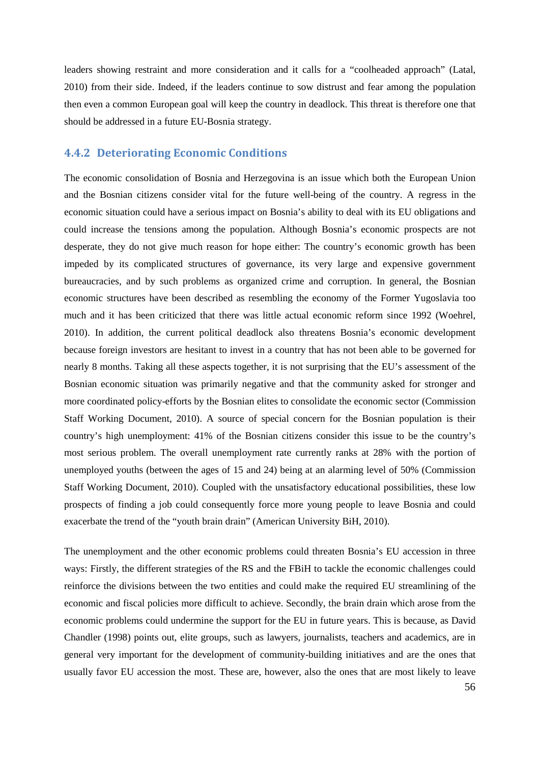leaders showing restraint and more consideration and it calls for a "coolheaded approach" (Latal, 2010) from their side. Indeed, if the leaders continue to sow distrust and fear among the population then even a common European goal will keep the country in deadlock. This threat is therefore one that should be addressed in a future EU-Bosnia strategy.

### **4.4.2 Deteriorating Economic Conditions**

The economic consolidation of Bosnia and Herzegovina is an issue which both the European Union and the Bosnian citizens consider vital for the future well-being of the country. A regress in the economic situation could have a serious impact on Bosnia's ability to deal with its EU obligations and could increase the tensions among the population. Although Bosnia's economic prospects are not desperate, they do not give much reason for hope either: The country's economic growth has been impeded by its complicated structures of governance, its very large and expensive government bureaucracies, and by such problems as organized crime and corruption. In general, the Bosnian economic structures have been described as resembling the economy of the Former Yugoslavia too much and it has been criticized that there was little actual economic reform since 1992 (Woehrel, 2010). In addition, the current political deadlock also threatens Bosnia's economic development because foreign investors are hesitant to invest in a country that has not been able to be governed for nearly 8 months. Taking all these aspects together, it is not surprising that the EU's assessment of the Bosnian economic situation was primarily negative and that the community asked for stronger and more coordinated policy-efforts by the Bosnian elites to consolidate the economic sector (Commission Staff Working Document, 2010). A source of special concern for the Bosnian population is their country's high unemployment: 41% of the Bosnian citizens consider this issue to be the country's most serious problem. The overall unemployment rate currently ranks at 28% with the portion of unemployed youths (between the ages of 15 and 24) being at an alarming level of 50% (Commission Staff Working Document, 2010). Coupled with the unsatisfactory educational possibilities, these low prospects of finding a job could consequently force more young people to leave Bosnia and could exacerbate the trend of the "youth brain drain" (American University BiH, 2010).

The unemployment and the other economic problems could threaten Bosnia's EU accession in three ways: Firstly, the different strategies of the RS and the FBiH to tackle the economic challenges could reinforce the divisions between the two entities and could make the required EU streamlining of the economic and fiscal policies more difficult to achieve. Secondly, the brain drain which arose from the economic problems could undermine the support for the EU in future years. This is because, as David Chandler (1998) points out, elite groups, such as lawyers, journalists, teachers and academics, are in general very important for the development of community-building initiatives and are the ones that usually favor EU accession the most. These are, however, also the ones that are most likely to leave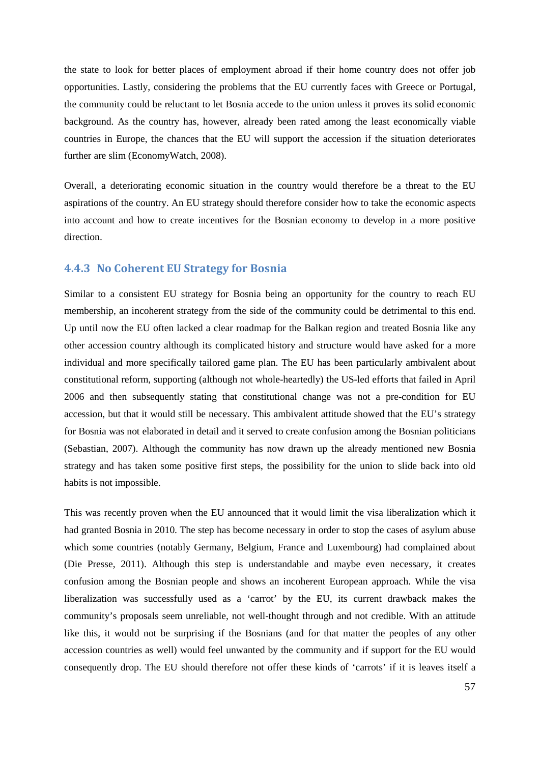the state to look for better places of employment abroad if their home country does not offer job opportunities. Lastly, considering the problems that the EU currently faces with Greece or Portugal, the community could be reluctant to let Bosnia accede to the union unless it proves its solid economic background. As the country has, however, already been rated among the least economically viable countries in Europe, the chances that the EU will support the accession if the situation deteriorates further are slim (EconomyWatch, 2008).

Overall, a deteriorating economic situation in the country would therefore be a threat to the EU aspirations of the country. An EU strategy should therefore consider how to take the economic aspects into account and how to create incentives for the Bosnian economy to develop in a more positive direction.

## **4.4.3 No Coherent EU Strategy for Bosnia**

Similar to a consistent EU strategy for Bosnia being an opportunity for the country to reach EU membership, an incoherent strategy from the side of the community could be detrimental to this end. Up until now the EU often lacked a clear roadmap for the Balkan region and treated Bosnia like any other accession country although its complicated history and structure would have asked for a more individual and more specifically tailored game plan. The EU has been particularly ambivalent about constitutional reform, supporting (although not whole-heartedly) the US-led efforts that failed in April 2006 and then subsequently stating that constitutional change was not a pre-condition for EU accession, but that it would still be necessary. This ambivalent attitude showed that the EU's strategy for Bosnia was not elaborated in detail and it served to create confusion among the Bosnian politicians (Sebastian, 2007). Although the community has now drawn up the already mentioned new Bosnia strategy and has taken some positive first steps, the possibility for the union to slide back into old habits is not impossible.

This was recently proven when the EU announced that it would limit the visa liberalization which it had granted Bosnia in 2010. The step has become necessary in order to stop the cases of asylum abuse which some countries (notably Germany, Belgium, France and Luxembourg) had complained about (Die Presse, 2011). Although this step is understandable and maybe even necessary, it creates confusion among the Bosnian people and shows an incoherent European approach. While the visa liberalization was successfully used as a 'carrot' by the EU, its current drawback makes the community's proposals seem unreliable, not well-thought through and not credible. With an attitude like this, it would not be surprising if the Bosnians (and for that matter the peoples of any other accession countries as well) would feel unwanted by the community and if support for the EU would consequently drop. The EU should therefore not offer these kinds of 'carrots' if it is leaves itself a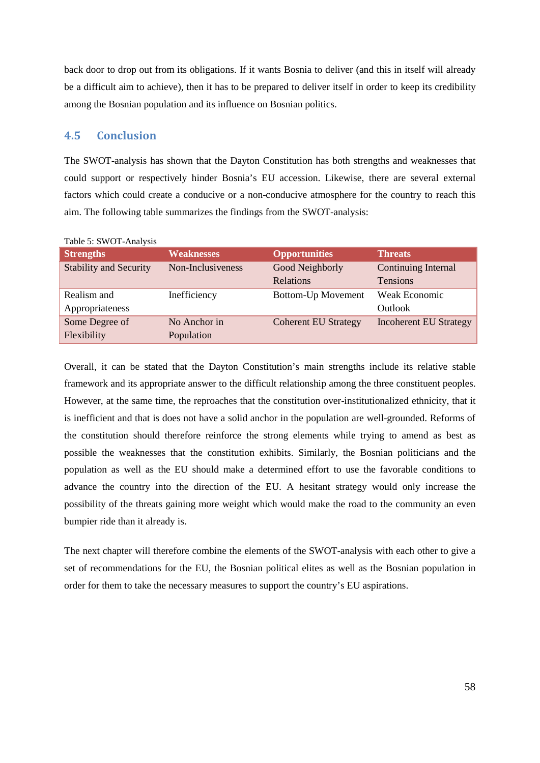back door to drop out from its obligations. If it wants Bosnia to deliver (and this in itself will already be a difficult aim to achieve), then it has to be prepared to deliver itself in order to keep its credibility among the Bosnian population and its influence on Bosnian politics.

# **4.5 Conclusion**

The SWOT-analysis has shown that the Dayton Constitution has both strengths and weaknesses that could support or respectively hinder Bosnia's EU accession. Likewise, there are several external factors which could create a conducive or a non-conducive atmosphere for the country to reach this aim. The following table summarizes the findings from the SWOT-analysis:

| <b>Strengths</b>              | <b>Weaknesses</b> | <b>Opportunities</b>        | <b>Threats</b>                |
|-------------------------------|-------------------|-----------------------------|-------------------------------|
| <b>Stability and Security</b> | Non-Inclusiveness | Good Neighborly             | Continuing Internal           |
|                               |                   | Relations                   | <b>Tensions</b>               |
| Realism and                   | Inefficiency      | <b>Bottom-Up Movement</b>   | Weak Economic                 |
| Appropriateness               |                   |                             | <b>Outlook</b>                |
| Some Degree of                | No Anchor in      | <b>Coherent EU Strategy</b> | <b>Incoherent EU Strategy</b> |
| Flexibility                   | Population        |                             |                               |

Table 5: SWOT-Analysis

Overall, it can be stated that the Dayton Constitution's main strengths include its relative stable framework and its appropriate answer to the difficult relationship among the three constituent peoples. However, at the same time, the reproaches that the constitution over-institutionalized ethnicity, that it is inefficient and that is does not have a solid anchor in the population are well-grounded. Reforms of the constitution should therefore reinforce the strong elements while trying to amend as best as possible the weaknesses that the constitution exhibits. Similarly, the Bosnian politicians and the population as well as the EU should make a determined effort to use the favorable conditions to advance the country into the direction of the EU. A hesitant strategy would only increase the possibility of the threats gaining more weight which would make the road to the community an even bumpier ride than it already is.

The next chapter will therefore combine the elements of the SWOT-analysis with each other to give a set of recommendations for the EU, the Bosnian political elites as well as the Bosnian population in order for them to take the necessary measures to support the country's EU aspirations.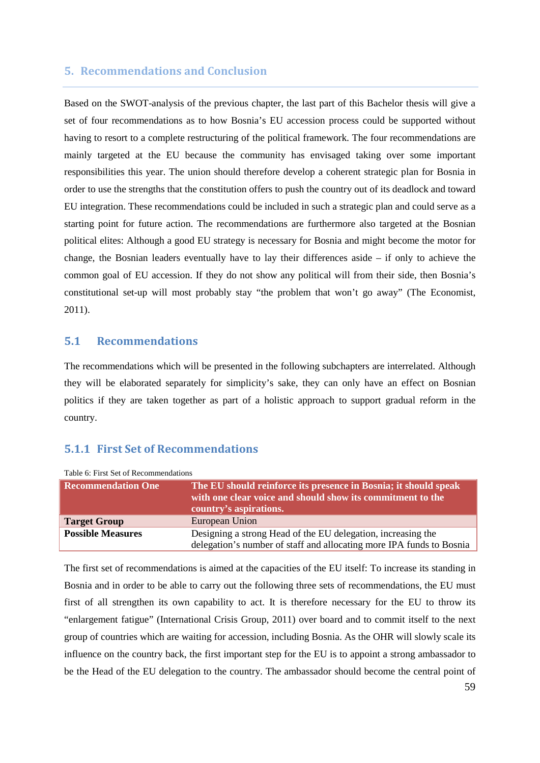## **5. Recommendations and Conclusion**

Based on the SWOT-analysis of the previous chapter, the last part of this Bachelor thesis will give a set of four recommendations as to how Bosnia's EU accession process could be supported without having to resort to a complete restructuring of the political framework. The four recommendations are mainly targeted at the EU because the community has envisaged taking over some important responsibilities this year. The union should therefore develop a coherent strategic plan for Bosnia in order to use the strengths that the constitution offers to push the country out of its deadlock and toward EU integration. These recommendations could be included in such a strategic plan and could serve as a starting point for future action. The recommendations are furthermore also targeted at the Bosnian political elites: Although a good EU strategy is necessary for Bosnia and might become the motor for change, the Bosnian leaders eventually have to lay their differences aside – if only to achieve the common goal of EU accession. If they do not show any political will from their side, then Bosnia's constitutional set-up will most probably stay "the problem that won't go away" (The Economist, 2011).

## **5.1 Recommendations**

The recommendations which will be presented in the following subchapters are interrelated. Although they will be elaborated separately for simplicity's sake, they can only have an effect on Bosnian politics if they are taken together as part of a holistic approach to support gradual reform in the country.

### **5.1.1 First Set of Recommendations**

| 1 acte of 1 mot bet of Iterominentally |                                                                                                                                                         |  |
|----------------------------------------|---------------------------------------------------------------------------------------------------------------------------------------------------------|--|
| <b>Recommendation One</b>              | The EU should reinforce its presence in Bosnia; it should speak<br>with one clear voice and should show its commitment to the<br>country's aspirations. |  |
| <b>Target Group</b>                    | European Union                                                                                                                                          |  |
| <b>Possible Measures</b>               | Designing a strong Head of the EU delegation, increasing the<br>delegation's number of staff and allocating more IPA funds to Bosnia                    |  |

Table 6: First Set of Recommendations

The first set of recommendations is aimed at the capacities of the EU itself: To increase its standing in Bosnia and in order to be able to carry out the following three sets of recommendations, the EU must first of all strengthen its own capability to act. It is therefore necessary for the EU to throw its "enlargement fatigue" (International Crisis Group, 2011) over board and to commit itself to the next group of countries which are waiting for accession, including Bosnia. As the OHR will slowly scale its influence on the country back, the first important step for the EU is to appoint a strong ambassador to be the Head of the EU delegation to the country. The ambassador should become the central point of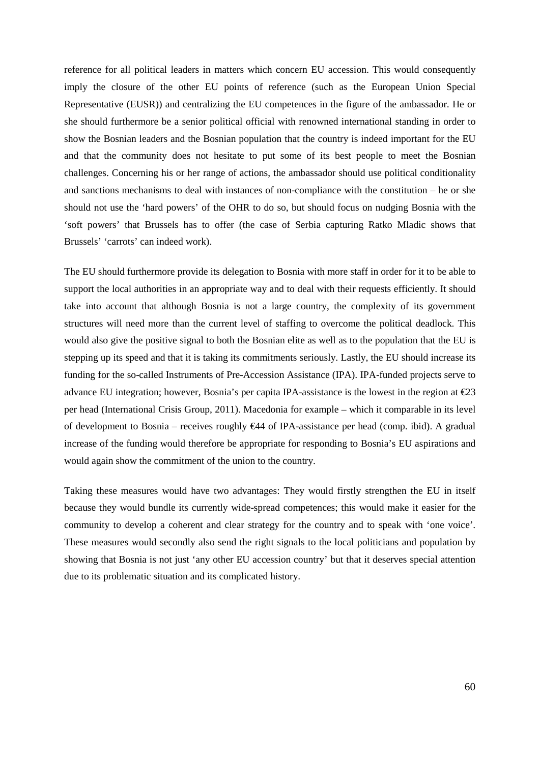reference for all political leaders in matters which concern EU accession. This would consequently imply the closure of the other EU points of reference (such as the European Union Special Representative (EUSR)) and centralizing the EU competences in the figure of the ambassador. He or she should furthermore be a senior political official with renowned international standing in order to show the Bosnian leaders and the Bosnian population that the country is indeed important for the EU and that the community does not hesitate to put some of its best people to meet the Bosnian challenges. Concerning his or her range of actions, the ambassador should use political conditionality and sanctions mechanisms to deal with instances of non-compliance with the constitution – he or she should not use the 'hard powers' of the OHR to do so, but should focus on nudging Bosnia with the 'soft powers' that Brussels has to offer (the case of Serbia capturing Ratko Mladic shows that Brussels' 'carrots' can indeed work).

The EU should furthermore provide its delegation to Bosnia with more staff in order for it to be able to support the local authorities in an appropriate way and to deal with their requests efficiently. It should take into account that although Bosnia is not a large country, the complexity of its government structures will need more than the current level of staffing to overcome the political deadlock. This would also give the positive signal to both the Bosnian elite as well as to the population that the EU is stepping up its speed and that it is taking its commitments seriously. Lastly, the EU should increase its funding for the so-called Instruments of Pre-Accession Assistance (IPA). IPA-funded projects serve to advance EU integration; however, Bosnia's per capita IPA-assistance is the lowest in the region at €23 per head (International Crisis Group, 2011). Macedonia for example – which it comparable in its level of development to Bosnia – receives roughly €44 of IPA-assistance per head (comp. ibid). A gradual increase of the funding would therefore be appropriate for responding to Bosnia's EU aspirations and would again show the commitment of the union to the country.

Taking these measures would have two advantages: They would firstly strengthen the EU in itself because they would bundle its currently wide-spread competences; this would make it easier for the community to develop a coherent and clear strategy for the country and to speak with 'one voice'. These measures would secondly also send the right signals to the local politicians and population by showing that Bosnia is not just 'any other EU accession country' but that it deserves special attention due to its problematic situation and its complicated history.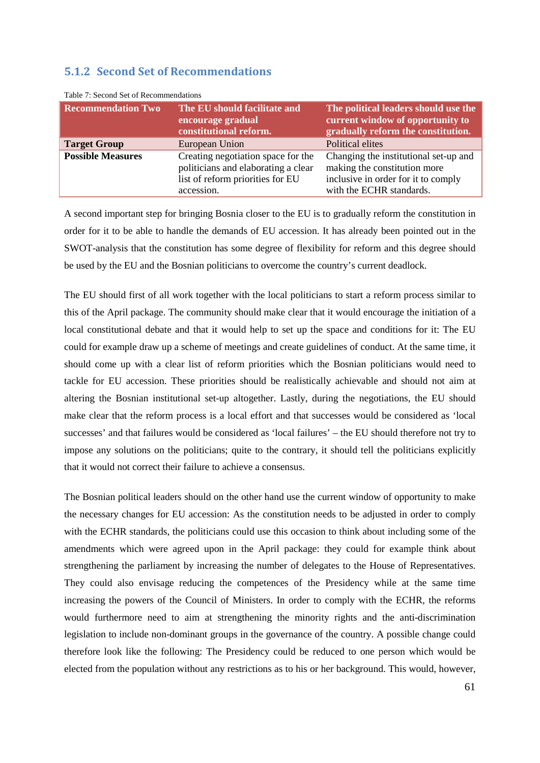# **5.1.2 Second Set of Recommendations**

| <b>Recommendation Two</b> | The EU should facilitate and<br>encourage gradual<br>constitutional reform.                                                 | The political leaders should use the<br>current window of opportunity to<br>gradually reform the constitution.                           |
|---------------------------|-----------------------------------------------------------------------------------------------------------------------------|------------------------------------------------------------------------------------------------------------------------------------------|
| <b>Target Group</b>       | European Union                                                                                                              | Political elites                                                                                                                         |
| <b>Possible Measures</b>  | Creating negotiation space for the<br>politicians and elaborating a clear<br>list of reform priorities for EU<br>accession. | Changing the institutional set-up and<br>making the constitution more<br>inclusive in order for it to comply<br>with the ECHR standards. |

Table 7: Second Set of Recommendations

A second important step for bringing Bosnia closer to the EU is to gradually reform the constitution in order for it to be able to handle the demands of EU accession. It has already been pointed out in the SWOT-analysis that the constitution has some degree of flexibility for reform and this degree should be used by the EU and the Bosnian politicians to overcome the country's current deadlock.

The EU should first of all work together with the local politicians to start a reform process similar to this of the April package. The community should make clear that it would encourage the initiation of a local constitutional debate and that it would help to set up the space and conditions for it: The EU could for example draw up a scheme of meetings and create guidelines of conduct. At the same time, it should come up with a clear list of reform priorities which the Bosnian politicians would need to tackle for EU accession. These priorities should be realistically achievable and should not aim at altering the Bosnian institutional set-up altogether. Lastly, during the negotiations, the EU should make clear that the reform process is a local effort and that successes would be considered as 'local successes' and that failures would be considered as 'local failures' – the EU should therefore not try to impose any solutions on the politicians; quite to the contrary, it should tell the politicians explicitly that it would not correct their failure to achieve a consensus.

The Bosnian political leaders should on the other hand use the current window of opportunity to make the necessary changes for EU accession: As the constitution needs to be adjusted in order to comply with the ECHR standards, the politicians could use this occasion to think about including some of the amendments which were agreed upon in the April package: they could for example think about strengthening the parliament by increasing the number of delegates to the House of Representatives. They could also envisage reducing the competences of the Presidency while at the same time increasing the powers of the Council of Ministers. In order to comply with the ECHR, the reforms would furthermore need to aim at strengthening the minority rights and the anti-discrimination legislation to include non-dominant groups in the governance of the country. A possible change could therefore look like the following: The Presidency could be reduced to one person which would be elected from the population without any restrictions as to his or her background. This would, however,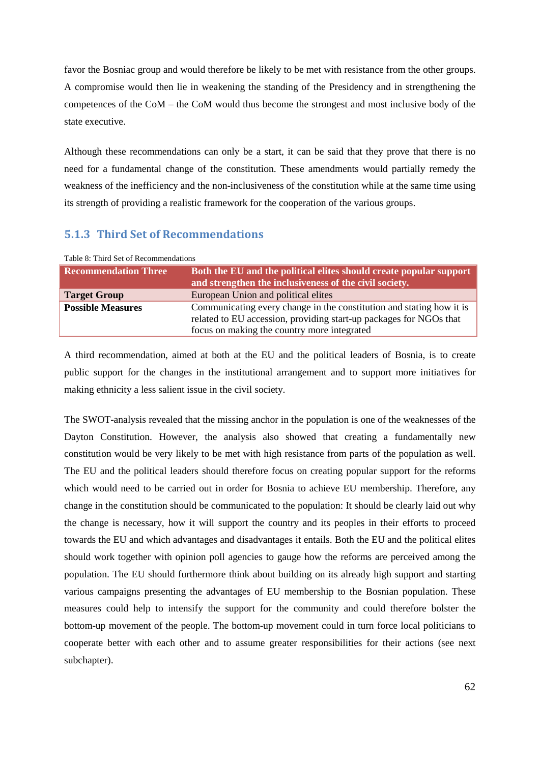favor the Bosniac group and would therefore be likely to be met with resistance from the other groups. A compromise would then lie in weakening the standing of the Presidency and in strengthening the competences of the CoM – the CoM would thus become the strongest and most inclusive body of the state executive.

Although these recommendations can only be a start, it can be said that they prove that there is no need for a fundamental change of the constitution. These amendments would partially remedy the weakness of the inefficiency and the non-inclusiveness of the constitution while at the same time using its strength of providing a realistic framework for the cooperation of the various groups.

## **5.1.3 Third Set of Recommendations**

| Table 8: Third Set of Recommendations |                                                                                                                                                                                           |  |
|---------------------------------------|-------------------------------------------------------------------------------------------------------------------------------------------------------------------------------------------|--|
| <b>Recommendation Three</b>           | Both the EU and the political elites should create popular support<br>and strengthen the inclusiveness of the civil society.                                                              |  |
| <b>Target Group</b>                   | European Union and political elites                                                                                                                                                       |  |
| <b>Possible Measures</b>              | Communicating every change in the constitution and stating how it is<br>related to EU accession, providing start-up packages for NGOs that<br>focus on making the country more integrated |  |

Table 8: Third Set of Recommendations

A third recommendation, aimed at both at the EU and the political leaders of Bosnia, is to create public support for the changes in the institutional arrangement and to support more initiatives for making ethnicity a less salient issue in the civil society.

The SWOT-analysis revealed that the missing anchor in the population is one of the weaknesses of the Dayton Constitution. However, the analysis also showed that creating a fundamentally new constitution would be very likely to be met with high resistance from parts of the population as well. The EU and the political leaders should therefore focus on creating popular support for the reforms which would need to be carried out in order for Bosnia to achieve EU membership. Therefore, any change in the constitution should be communicated to the population: It should be clearly laid out why the change is necessary, how it will support the country and its peoples in their efforts to proceed towards the EU and which advantages and disadvantages it entails. Both the EU and the political elites should work together with opinion poll agencies to gauge how the reforms are perceived among the population. The EU should furthermore think about building on its already high support and starting various campaigns presenting the advantages of EU membership to the Bosnian population. These measures could help to intensify the support for the community and could therefore bolster the bottom-up movement of the people. The bottom-up movement could in turn force local politicians to cooperate better with each other and to assume greater responsibilities for their actions (see next subchapter).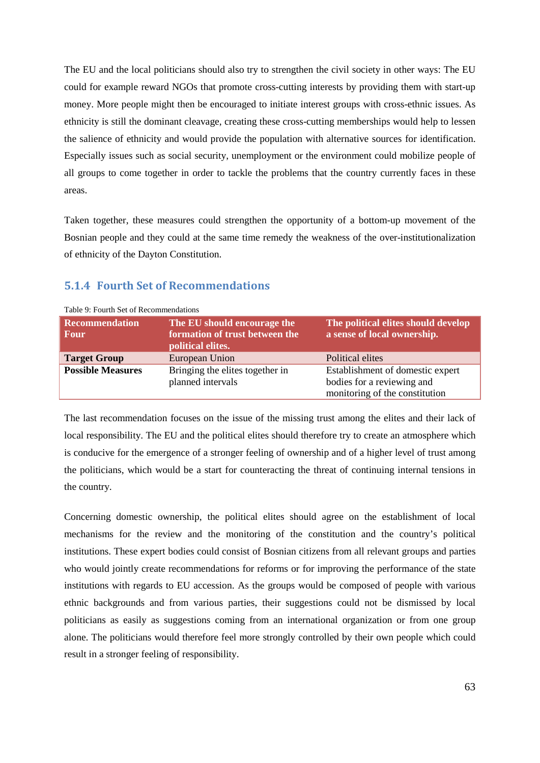The EU and the local politicians should also try to strengthen the civil society in other ways: The EU could for example reward NGOs that promote cross-cutting interests by providing them with start-up money. More people might then be encouraged to initiate interest groups with cross-ethnic issues. As ethnicity is still the dominant cleavage, creating these cross-cutting memberships would help to lessen the salience of ethnicity and would provide the population with alternative sources for identification. Especially issues such as social security, unemployment or the environment could mobilize people of all groups to come together in order to tackle the problems that the country currently faces in these areas.

Taken together, these measures could strengthen the opportunity of a bottom-up movement of the Bosnian people and they could at the same time remedy the weakness of the over-institutionalization of ethnicity of the Dayton Constitution.

# **5.1.4 Fourth Set of Recommendations**

| <b>Recommendation</b><br><b>Four</b> | The EU should encourage the<br>formation of trust between the<br>political elites. | The political elites should develop<br>a sense of local ownership.                               |
|--------------------------------------|------------------------------------------------------------------------------------|--------------------------------------------------------------------------------------------------|
| <b>Target Group</b>                  | European Union                                                                     | Political elites                                                                                 |
| <b>Possible Measures</b>             | Bringing the elites together in<br>planned intervals                               | Establishment of domestic expert<br>bodies for a reviewing and<br>monitoring of the constitution |

Table 9: Fourth Set of Recommendations

The last recommendation focuses on the issue of the missing trust among the elites and their lack of local responsibility. The EU and the political elites should therefore try to create an atmosphere which is conducive for the emergence of a stronger feeling of ownership and of a higher level of trust among the politicians, which would be a start for counteracting the threat of continuing internal tensions in the country.

Concerning domestic ownership, the political elites should agree on the establishment of local mechanisms for the review and the monitoring of the constitution and the country's political institutions. These expert bodies could consist of Bosnian citizens from all relevant groups and parties who would jointly create recommendations for reforms or for improving the performance of the state institutions with regards to EU accession. As the groups would be composed of people with various ethnic backgrounds and from various parties, their suggestions could not be dismissed by local politicians as easily as suggestions coming from an international organization or from one group alone. The politicians would therefore feel more strongly controlled by their own people which could result in a stronger feeling of responsibility.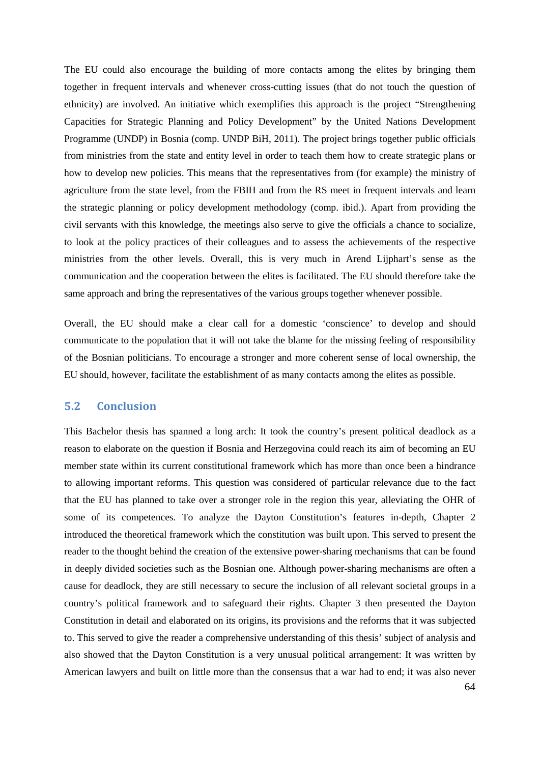The EU could also encourage the building of more contacts among the elites by bringing them together in frequent intervals and whenever cross-cutting issues (that do not touch the question of ethnicity) are involved. An initiative which exemplifies this approach is the project "Strengthening Capacities for Strategic Planning and Policy Development" by the United Nations Development Programme (UNDP) in Bosnia (comp. UNDP BiH, 2011). The project brings together public officials from ministries from the state and entity level in order to teach them how to create strategic plans or how to develop new policies. This means that the representatives from (for example) the ministry of agriculture from the state level, from the FBIH and from the RS meet in frequent intervals and learn the strategic planning or policy development methodology (comp. ibid.). Apart from providing the civil servants with this knowledge, the meetings also serve to give the officials a chance to socialize, to look at the policy practices of their colleagues and to assess the achievements of the respective ministries from the other levels. Overall, this is very much in Arend Lijphart's sense as the communication and the cooperation between the elites is facilitated. The EU should therefore take the same approach and bring the representatives of the various groups together whenever possible.

Overall, the EU should make a clear call for a domestic 'conscience' to develop and should communicate to the population that it will not take the blame for the missing feeling of responsibility of the Bosnian politicians. To encourage a stronger and more coherent sense of local ownership, the EU should, however, facilitate the establishment of as many contacts among the elites as possible.

## **5.2 Conclusion**

This Bachelor thesis has spanned a long arch: It took the country's present political deadlock as a reason to elaborate on the question if Bosnia and Herzegovina could reach its aim of becoming an EU member state within its current constitutional framework which has more than once been a hindrance to allowing important reforms. This question was considered of particular relevance due to the fact that the EU has planned to take over a stronger role in the region this year, alleviating the OHR of some of its competences. To analyze the Dayton Constitution's features in-depth, Chapter 2 introduced the theoretical framework which the constitution was built upon. This served to present the reader to the thought behind the creation of the extensive power-sharing mechanisms that can be found in deeply divided societies such as the Bosnian one. Although power-sharing mechanisms are often a cause for deadlock, they are still necessary to secure the inclusion of all relevant societal groups in a country's political framework and to safeguard their rights. Chapter 3 then presented the Dayton Constitution in detail and elaborated on its origins, its provisions and the reforms that it was subjected to. This served to give the reader a comprehensive understanding of this thesis' subject of analysis and also showed that the Dayton Constitution is a very unusual political arrangement: It was written by American lawyers and built on little more than the consensus that a war had to end; it was also never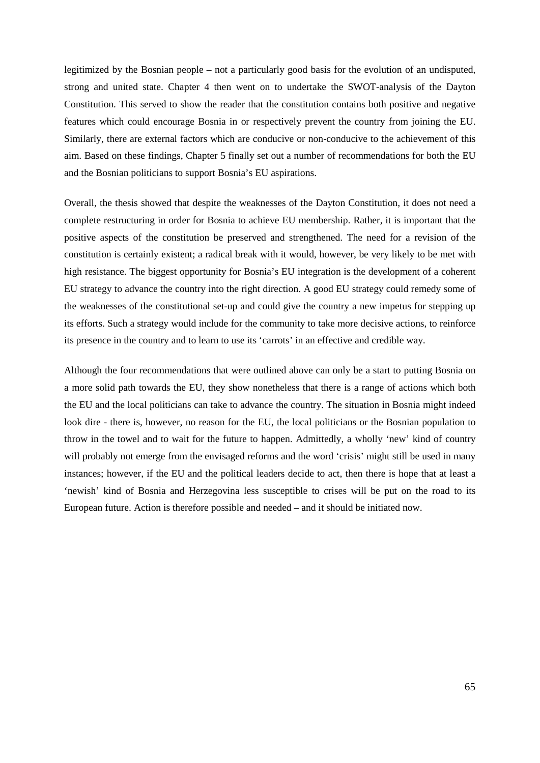legitimized by the Bosnian people – not a particularly good basis for the evolution of an undisputed, strong and united state. Chapter 4 then went on to undertake the SWOT-analysis of the Dayton Constitution. This served to show the reader that the constitution contains both positive and negative features which could encourage Bosnia in or respectively prevent the country from joining the EU. Similarly, there are external factors which are conducive or non-conducive to the achievement of this aim. Based on these findings, Chapter 5 finally set out a number of recommendations for both the EU and the Bosnian politicians to support Bosnia's EU aspirations.

Overall, the thesis showed that despite the weaknesses of the Dayton Constitution, it does not need a complete restructuring in order for Bosnia to achieve EU membership. Rather, it is important that the positive aspects of the constitution be preserved and strengthened. The need for a revision of the constitution is certainly existent; a radical break with it would, however, be very likely to be met with high resistance. The biggest opportunity for Bosnia's EU integration is the development of a coherent EU strategy to advance the country into the right direction. A good EU strategy could remedy some of the weaknesses of the constitutional set-up and could give the country a new impetus for stepping up its efforts. Such a strategy would include for the community to take more decisive actions, to reinforce its presence in the country and to learn to use its 'carrots' in an effective and credible way.

Although the four recommendations that were outlined above can only be a start to putting Bosnia on a more solid path towards the EU, they show nonetheless that there is a range of actions which both the EU and the local politicians can take to advance the country. The situation in Bosnia might indeed look dire - there is, however, no reason for the EU, the local politicians or the Bosnian population to throw in the towel and to wait for the future to happen. Admittedly, a wholly 'new' kind of country will probably not emerge from the envisaged reforms and the word 'crisis' might still be used in many instances; however, if the EU and the political leaders decide to act, then there is hope that at least a 'newish' kind of Bosnia and Herzegovina less susceptible to crises will be put on the road to its European future. Action is therefore possible and needed – and it should be initiated now.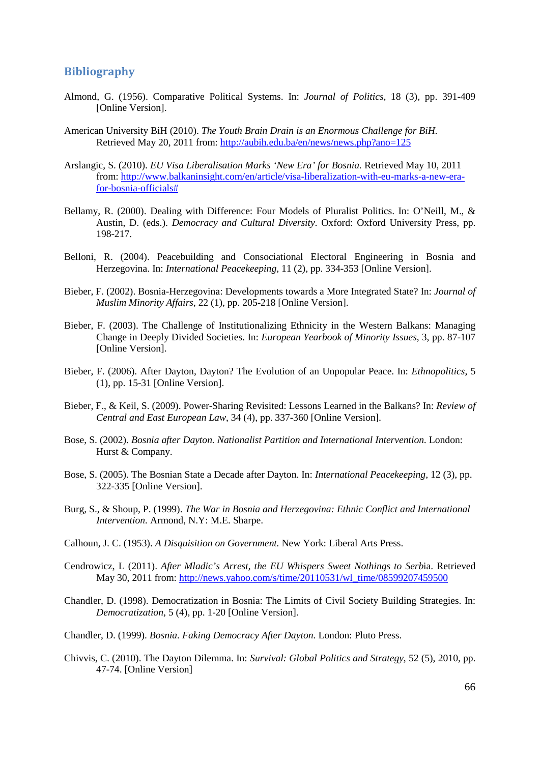### **Bibliography**

- Almond, G. (1956). Comparative Political Systems. In: *Journal of Politics*, 18 (3), pp. 391-409 [Online Version].
- American University BiH (2010). *The Youth Brain Drain is an Enormous Challenge for BiH.* Retrieved May 20, 2011 from:<http://aubih.edu.ba/en/news/news.php?ano=125>
- Arslangic, S. (2010). *EU Visa Liberalisation Marks 'New Era' for Bosnia.* Retrieved May 10, 2011 from: [http://www.balkaninsight.com/en/article/visa-liberalization-with-eu-marks-a-new-era](http://www.balkaninsight.com/en/article/visa-liberalization-with-eu-marks-a-new-era-for-bosnia-officials)[for-bosnia-officials#](http://www.balkaninsight.com/en/article/visa-liberalization-with-eu-marks-a-new-era-for-bosnia-officials)
- Bellamy, R. (2000). Dealing with Difference: Four Models of Pluralist Politics. In: O'Neill, M., & Austin, D. (eds.). *Democracy and Cultural Diversity*. Oxford: Oxford University Press, pp. 198-217.
- Belloni, R. (2004). Peacebuilding and Consociational Electoral Engineering in Bosnia and Herzegovina. In: *International Peacekeeping*, 11 (2), pp. 334-353 [Online Version].
- Bieber, F. (2002). Bosnia-Herzegovina: Developments towards a More Integrated State? In: *Journal of Muslim Minority Affairs*, 22 (1), pp. 205-218 [Online Version].
- Bieber, F. (2003). The Challenge of Institutionalizing Ethnicity in the Western Balkans: Managing Change in Deeply Divided Societies. In: *European Yearbook of Minority Issues*, 3, pp. 87-107 [Online Version].
- Bieber, F. (2006). After Dayton, Dayton? The Evolution of an Unpopular Peace. In: *Ethnopolitics*, 5 (1), pp. 15-31 [Online Version].
- Bieber, F., & Keil, S. (2009). Power-Sharing Revisited: Lessons Learned in the Balkans? In: *Review of Central and East European Law*, 34 (4), pp. 337-360 [Online Version].
- Bose, S. (2002). *Bosnia after Dayton. Nationalist Partition and International Intervention*. London: Hurst & Company.
- Bose, S. (2005). The Bosnian State a Decade after Dayton. In: *International Peacekeeping*, 12 (3), pp. 322-335 [Online Version].
- Burg, S., & Shoup, P. (1999). *The War in Bosnia and Herzegovina: Ethnic Conflict and International Intervention.* Armond, N.Y: M.E. Sharpe.
- Calhoun, J. C. (1953). *A Disquisition on Government.* New York: Liberal Arts Press.
- Cendrowicz, L (2011). *After Mladic's Arrest, the EU Whispers Sweet Nothings to Serb*ia. Retrieved May 30, 2011 from: [http://news.yahoo.com/s/time/20110531/wl\\_time/08599207459500](http://news.yahoo.com/s/time/20110531/wl_time/08599207459500)
- Chandler, D. (1998). Democratization in Bosnia: The Limits of Civil Society Building Strategies. In: *Democratization*, 5 (4), pp. 1-20 [Online Version].
- Chandler, D. (1999). *Bosnia. Faking Democracy After Dayton.* London: Pluto Press.
- Chivvis, C. (2010). The Dayton Dilemma. In: *Survival: Global Politics and Strategy*, 52 (5), 2010, pp. 47-74. [Online Version]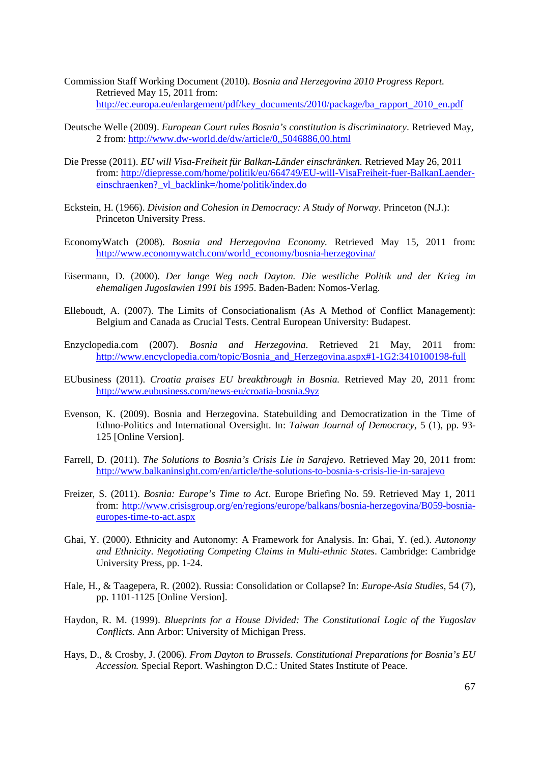- Commission Staff Working Document (2010). *Bosnia and Herzegovina 2010 Progress Report.* Retrieved May 15, 2011 from: [http://ec.europa.eu/enlargement/pdf/key\\_documents/2010/package/ba\\_rapport\\_2010\\_en.pdf](http://ec.europa.eu/enlargement/pdf/key_documents/2010/package/ba_rapport_2010_en.pdf)
- Deutsche Welle (2009). *European Court rules Bosnia's constitution is discriminatory*. Retrieved May, 2 from:<http://www.dw-world.de/dw/article/0,,5046886,00.html>
- Die Presse (2011). *EU will Visa-Freiheit für Balkan-Länder einschränken.* Retrieved May 26, 2011 from: [http://diepresse.com/home/politik/eu/664749/EU-will-VisaFreiheit-fuer-BalkanLaender](http://diepresse.com/home/politik/eu/664749/EU-will-VisaFreiheit-fuer-BalkanLaender-einschraenken?_vl_backlink=/home/politik/index.do)[einschraenken?\\_vl\\_backlink=/home/politik/index.do](http://diepresse.com/home/politik/eu/664749/EU-will-VisaFreiheit-fuer-BalkanLaender-einschraenken?_vl_backlink=/home/politik/index.do)
- Eckstein, H. (1966). *Division and Cohesion in Democracy: A Study of Norway*. Princeton (N.J.): Princeton University Press.
- EconomyWatch (2008). *Bosnia and Herzegovina Economy.* Retrieved May 15, 2011 from: [http://www.economywatch.com/world\\_economy/bosnia-herzegovina/](http://www.economywatch.com/world_economy/bosnia-herzegovina/)
- Eisermann, D. (2000). *Der lange Weg nach Dayton. Die westliche Politik und der Krieg im ehemaligen Jugoslawien 1991 bis 1995*. Baden-Baden: Nomos-Verlag.
- Elleboudt, A. (2007). The Limits of Consociationalism (As A Method of Conflict Management): Belgium and Canada as Crucial Tests. Central European University: Budapest.
- Enzyclopedia.com (2007). *Bosnia and Herzegovina*. Retrieved 21 May, 2011 from: [http://www.encyclopedia.com/topic/Bosnia\\_and\\_Herzegovina.aspx#1-1G2:3410100198-full](http://www.encyclopedia.com/topic/Bosnia_and_Herzegovina.aspx#1-1G2:3410100198-full)
- EUbusiness (2011). *Croatia praises EU breakthrough in Bosnia.* Retrieved May 20, 2011 from: <http://www.eubusiness.com/news-eu/croatia-bosnia.9yz>
- Evenson, K. (2009). Bosnia and Herzegovina. Statebuilding and Democratization in the Time of Ethno-Politics and International Oversight. In: *Taiwan Journal of Democracy*, 5 (1), pp. 93- 125 [Online Version].
- Farrell, D. (2011). *The Solutions to Bosnia's Crisis Lie in Sarajevo.* Retrieved May 20, 2011 from: <http://www.balkaninsight.com/en/article/the-solutions-to-bosnia-s-crisis-lie-in-sarajevo>
- Freizer, S. (2011). *Bosnia: Europe's Time to Act*. Europe Briefing No. 59. Retrieved May 1, 2011 from: [http://www.crisisgroup.org/en/regions/europe/balkans/bosnia-herzegovina/B059-bosnia](http://www.crisisgroup.org/en/regions/europe/balkans/bosnia-herzegovina/B059-bosnia-europes-time-to-act.aspx)[europes-time-to-act.aspx](http://www.crisisgroup.org/en/regions/europe/balkans/bosnia-herzegovina/B059-bosnia-europes-time-to-act.aspx)
- Ghai, Y. (2000). Ethnicity and Autonomy: A Framework for Analysis. In: Ghai, Y. (ed.). *Autonomy and Ethnicity*. *Negotiating Competing Claims in Multi-ethnic States*. Cambridge: Cambridge University Press, pp. 1-24.
- Hale, H., & Taagepera, R. (2002). Russia: Consolidation or Collapse? In: *Europe-Asia Studies*, 54 (7), pp. 1101-1125 [Online Version].
- Haydon, R. M. (1999). *Blueprints for a House Divided: The Constitutional Logic of the Yugoslav Conflicts.* Ann Arbor: University of Michigan Press.
- Hays, D., & Crosby, J. (2006). *From Dayton to Brussels. Constitutional Preparations for Bosnia's EU Accession.* Special Report. Washington D.C.: United States Institute of Peace.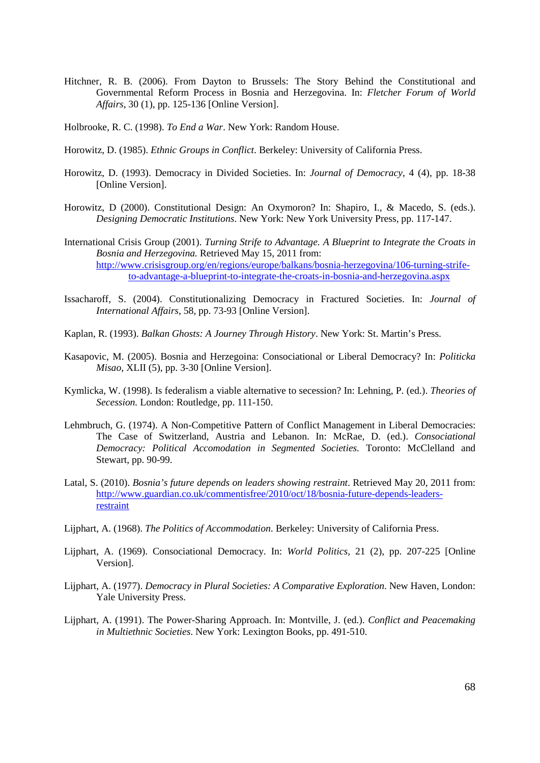- Hitchner, R. B. (2006). From Dayton to Brussels: The Story Behind the Constitutional and Governmental Reform Process in Bosnia and Herzegovina. In: *Fletcher Forum of World Affairs*, 30 (1), pp. 125-136 [Online Version].
- Holbrooke, R. C. (1998). *To End a War*. New York: Random House.
- Horowitz, D. (1985). *Ethnic Groups in Conflict*. Berkeley: University of California Press.
- Horowitz, D. (1993). Democracy in Divided Societies. In: *Journal of Democracy*, 4 (4), pp. 18-38 [Online Version].
- Horowitz, D (2000). Constitutional Design: An Oxymoron? In: Shapiro, I., & Macedo, S. (eds.). *Designing Democratic Institutions*. New York: New York University Press, pp. 117-147.
- International Crisis Group (2001). *Turning Strife to Advantage. A Blueprint to Integrate the Croats in Bosnia and Herzegovina.* Retrieved May 15, 2011 from: [http://www.crisisgroup.org/en/regions/europe/balkans/bosnia-herzegovina/106-turning-strife](http://www.crisisgroup.org/en/regions/europe/balkans/bosnia-herzegovina/106-turning-strife-to-advantage-a-blueprint-to-integrate-the-croats-in-bosnia-and-herzegovina.aspx)[to-advantage-a-blueprint-to-integrate-the-croats-in-bosnia-and-herzegovina.aspx](http://www.crisisgroup.org/en/regions/europe/balkans/bosnia-herzegovina/106-turning-strife-to-advantage-a-blueprint-to-integrate-the-croats-in-bosnia-and-herzegovina.aspx)
- Issacharoff, S. (2004). Constitutionalizing Democracy in Fractured Societies. In: *Journal of International Affairs*, 58, pp. 73-93 [Online Version].
- Kaplan, R. (1993). *Balkan Ghosts: A Journey Through History*. New York: St. Martin's Press.
- Kasapovic, M. (2005). Bosnia and Herzegoina: Consociational or Liberal Democracy? In: *Politicka Misao*, XLII (5), pp. 3-30 [Online Version].
- Kymlicka, W. (1998). Is federalism a viable alternative to secession? In: Lehning, P. (ed.). *Theories of Secession.* London: Routledge, pp. 111-150.
- Lehmbruch, G. (1974). A Non-Competitive Pattern of Conflict Management in Liberal Democracies: The Case of Switzerland, Austria and Lebanon. In: McRae, D. (ed.). *Consociational Democracy: Political Accomodation in Segmented Societies.* Toronto: McClelland and Stewart, pp. 90-99.
- Latal, S. (2010). *Bosnia's future depends on leaders showing restraint*. Retrieved May 20, 2011 from: [http://www.guardian.co.uk/commentisfree/2010/oct/18/bosnia-future-depends-leaders](http://www.guardian.co.uk/commentisfree/2010/oct/18/bosnia-future-depends-leaders-restraint)[restraint](http://www.guardian.co.uk/commentisfree/2010/oct/18/bosnia-future-depends-leaders-restraint)
- Lijphart, A. (1968). *The Politics of Accommodation*. Berkeley: University of California Press.
- Lijphart, A. (1969). Consociational Democracy. In: *World Politics*, 21 (2), pp. 207-225 [Online Version].
- Lijphart, A. (1977). *Democracy in Plural Societies: A Comparative Exploration*. New Haven, London: Yale University Press.
- Lijphart, A. (1991). The Power-Sharing Approach. In: Montville, J. (ed.). *Conflict and Peacemaking in Multiethnic Societies*. New York: Lexington Books, pp. 491-510.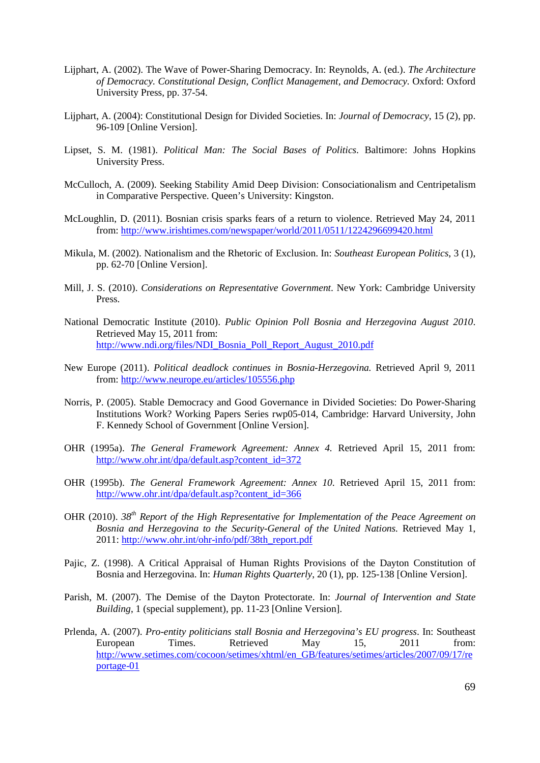- Lijphart, A. (2002). The Wave of Power-Sharing Democracy. In: Reynolds, A. (ed.). *The Architecture of Democracy. Constitutional Design, Conflict Management, and Democracy.* Oxford: Oxford University Press, pp. 37-54.
- Lijphart, A. (2004): Constitutional Design for Divided Societies. In: *Journal of Democracy*, 15 (2), pp. 96-109 [Online Version].
- Lipset, S. M. (1981). *Political Man: The Social Bases of Politics*. Baltimore: Johns Hopkins University Press.
- McCulloch, A. (2009). Seeking Stability Amid Deep Division: Consociationalism and Centripetalism in Comparative Perspective. Queen's University: Kingston.
- McLoughlin, D. (2011). Bosnian crisis sparks fears of a return to violence. Retrieved May 24, 2011 from:<http://www.irishtimes.com/newspaper/world/2011/0511/1224296699420.html>
- Mikula, M. (2002). Nationalism and the Rhetoric of Exclusion. In: *Southeast European Politics*, 3 (1), pp. 62-70 [Online Version].
- Mill, J. S. (2010). *Considerations on Representative Government*. New York: Cambridge University Press.
- National Democratic Institute (2010). *Public Opinion Poll Bosnia and Herzegovina August 2010*. Retrieved May 15, 2011 from: [http://www.ndi.org/files/NDI\\_Bosnia\\_Poll\\_Report\\_August\\_2010.pdf](http://www.ndi.org/files/NDI_Bosnia_Poll_Report_August_2010.pdf)
- New Europe (2011). *Political deadlock continues in Bosnia-Herzegovina.* Retrieved April 9, 2011 from:<http://www.neurope.eu/articles/105556.php>
- Norris, P. (2005). Stable Democracy and Good Governance in Divided Societies: Do Power-Sharing Institutions Work? Working Papers Series rwp05-014, Cambridge: Harvard University, John F. Kennedy School of Government [Online Version].
- OHR (1995a). *The General Framework Agreement: Annex 4.* Retrieved April 15, 2011 from: [http://www.ohr.int/dpa/default.asp?content\\_id=372](http://www.ohr.int/dpa/default.asp?content_id=372)
- OHR (1995b). *The General Framework Agreement: Annex 10*. Retrieved April 15, 2011 from: [http://www.ohr.int/dpa/default.asp?content\\_id=366](http://www.ohr.int/dpa/default.asp?content_id=366)
- OHR (2010). *38th Report of the High Representative for Implementation of the Peace Agreement on Bosnia and Herzegovina to the Security-General of the United Nations.* Retrieved May 1, 2011: [http://www.ohr.int/ohr-info/pdf/38th\\_report.pdf](http://www.ohr.int/ohr-info/pdf/38th_report.pdf)
- Pajic, Z. (1998). A Critical Appraisal of Human Rights Provisions of the Dayton Constitution of Bosnia and Herzegovina. In: *Human Rights Quarterly*, 20 (1), pp. 125-138 [Online Version].
- Parish, M. (2007). The Demise of the Dayton Protectorate. In: *Journal of Intervention and State Building*, 1 (special supplement), pp. 11-23 [Online Version].
- Prlenda, A. (2007). *Pro-entity politicians stall Bosnia and Herzegovina's EU progress*. In: Southeast European Times. Retrieved May 15, 2011 from: [http://www.setimes.com/cocoon/setimes/xhtml/en\\_GB/features/setimes/articles/2007/09/17/re](http://www.setimes.com/cocoon/setimes/xhtml/en_GB/features/setimes/articles/2007/09/17/reportage-01) [portage-01](http://www.setimes.com/cocoon/setimes/xhtml/en_GB/features/setimes/articles/2007/09/17/reportage-01)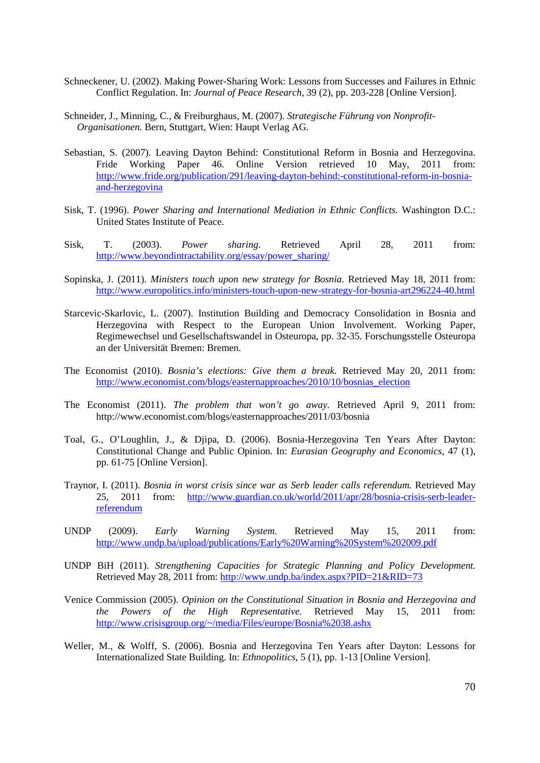- Schneckener, U. (2002). Making Power-Sharing Work: Lessons from Successes and Failures in Ethnic Conflict Regulation. In: *Journal of Peace Research*, 39 (2), pp. 203-228 [Online Version].
- Schneider, J., Minning, C., & Freiburghaus, M. (2007). *Strategische Führung von Nonprofit-Organisationen.* Bern, Stuttgart, Wien: Haupt Verlag AG.
- Sebastian, S. (2007). Leaving Dayton Behind: Constitutional Reform in Bosnia and Herzegovina. Fride Working Paper 46. Online Version retrieved 10 May, 2011 from: [http://www.fride.org/publication/291/leaving-dayton-behind:-constitutional-reform-in-bosnia](http://www.fride.org/publication/291/leaving-dayton-behind:-constitutional-reform-in-bosnia-and-herzegovina)[and-herzegovina](http://www.fride.org/publication/291/leaving-dayton-behind:-constitutional-reform-in-bosnia-and-herzegovina)
- Sisk, T. (1996). *Power Sharing and International Mediation in Ethnic Conflicts.* Washington D.C.: United States Institute of Peace.
- Sisk, T. (2003). *Power sharing*. Retrieved April 28, 2011 from: [http://www.beyondintractability.org/essay/power\\_sharing/](http://www.beyondintractability.org/essay/power_sharing/)
- Sopinska, J. (2011). *Ministers touch upon new strategy for Bosnia.* Retrieved May 18, 2011 from: <http://www.europolitics.info/ministers-touch-upon-new-strategy-for-bosnia-art296224-40.html>
- Starcevic-Skarlovic, L. (2007). Institution Building and Democracy Consolidation in Bosnia and Herzegovina with Respect to the European Union Involvement. Working Paper, Regimewechsel und Gesellschaftswandel in Osteuropa, pp. 32-35. Forschungsstelle Osteuropa an der Universität Bremen: Bremen.
- The Economist (2010). *Bosnia's elections: Give them a break.* Retrieved May 20, 2011 from: [http://www.economist.com/blogs/easternapproaches/2010/10/bosnias\\_election](http://www.economist.com/blogs/easternapproaches/2010/10/bosnias_election)
- The Economist (2011). *The problem that won't go away.* Retrieved April 9, 2011 from: http://www.economist.com/blogs/easternapproaches/2011/03/bosnia
- Toal, G., O'Loughlin, J., & Djipa, D. (2006). Bosnia-Herzegovina Ten Years After Dayton: Constitutional Change and Public Opinion. In: *Eurasian Geography and Economics*, 47 (1), pp. 61-75 [Online Version].
- Traynor, I. (2011). *Bosnia in worst crisis since war as Serb leader calls referendum.* Retrieved May 25, 2011 from: [http://www.guardian.co.uk/world/2011/apr/28/bosnia-crisis-serb-leader](http://www.guardian.co.uk/world/2011/apr/28/bosnia-crisis-serb-leader-referendum)[referendum](http://www.guardian.co.uk/world/2011/apr/28/bosnia-crisis-serb-leader-referendum)
- UNDP (2009). *Early Warning System.* Retrieved May 15, 2011 from: <http://www.undp.ba/upload/publications/Early%20Warning%20System%202009.pdf>
- UNDP BiH (2011). *Strengthening Capacities for Strategic Planning and Policy Development.* Retrieved May 28, 2011 from:<http://www.undp.ba/index.aspx?PID=21&RID=73>
- Venice Commission (2005). *Opinion on the Constitutional Situation in Bosnia and Herzegovina and the Powers of the High Representative.* Retrieved May 15, 2011 from: <http://www.crisisgroup.org/~/media/Files/europe/Bosnia%2038.ashx>
- Weller, M., & Wolff, S. (2006). Bosnia and Herzegovina Ten Years after Dayton: Lessons for Internationalized State Building. In: *Ethnopolitics*, 5 (1), pp. 1-13 [Online Version].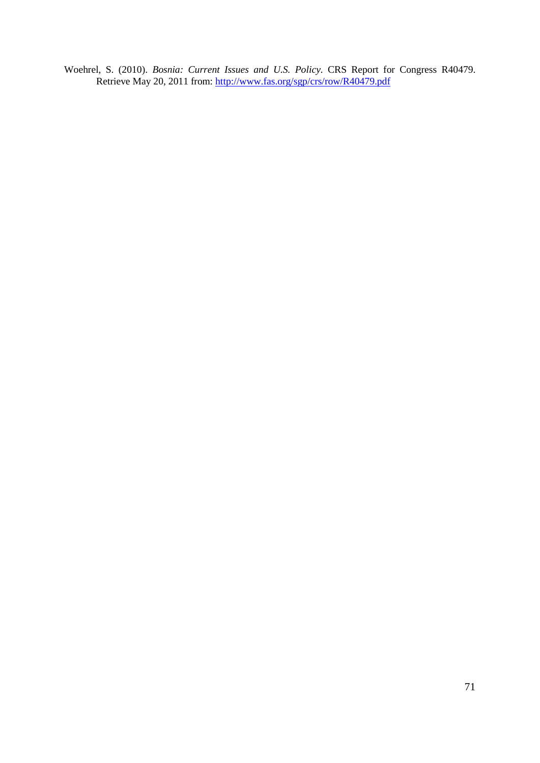Woehrel, S. (2010). *Bosnia: Current Issues and U.S. Policy.* CRS Report for Congress R40479. Retrieve May 20, 2011 from:<http://www.fas.org/sgp/crs/row/R40479.pdf>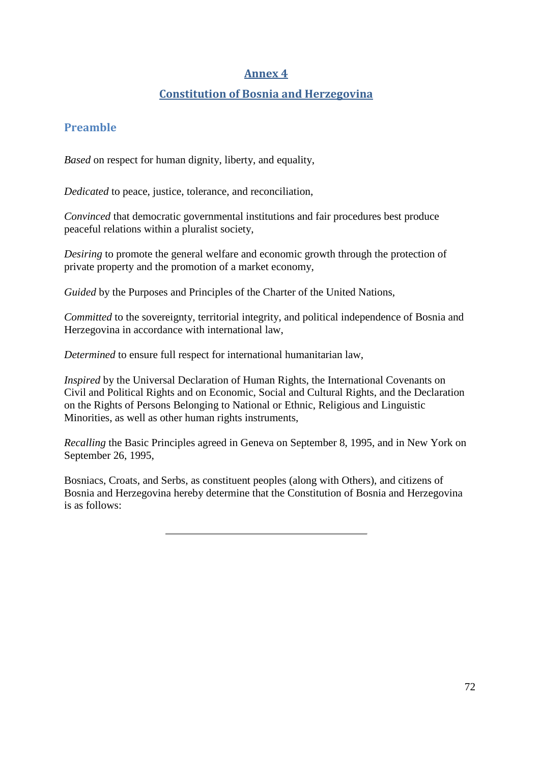# **Annex 4**

# **Constitution of Bosnia and Herzegovina**

# **Preamble**

*Based* on respect for human dignity, liberty, and equality,

*Dedicated* to peace, justice, tolerance, and reconciliation,

*Convinced* that democratic governmental institutions and fair procedures best produce peaceful relations within a pluralist society,

*Desiring* to promote the general welfare and economic growth through the protection of private property and the promotion of a market economy,

*Guided* by the Purposes and Principles of the Charter of the United Nations,

*Committed* to the sovereignty, territorial integrity, and political independence of Bosnia and Herzegovina in accordance with international law,

*Determined* to ensure full respect for international humanitarian law,

*Inspired* by the Universal Declaration of Human Rights, the International Covenants on Civil and Political Rights and on Economic, Social and Cultural Rights, and the Declaration on the Rights of Persons Belonging to National or Ethnic, Religious and Linguistic Minorities, as well as other human rights instruments,

*Recalling* the Basic Principles agreed in Geneva on September 8, 1995, and in New York on September 26, 1995,

Bosniacs, Croats, and Serbs, as constituent peoples (along with Others), and citizens of Bosnia and Herzegovina hereby determine that the Constitution of Bosnia and Herzegovina is as follows: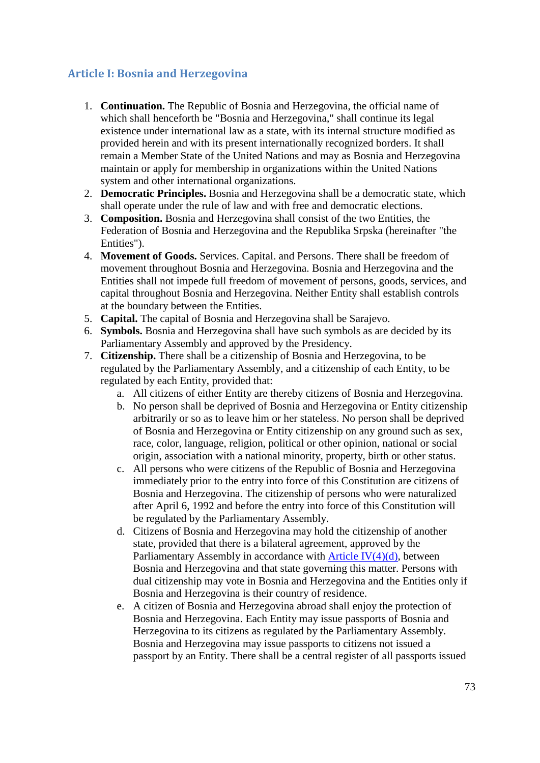# **Article I: Bosnia and Herzegovina**

- 1. **Continuation.** The Republic of Bosnia and Herzegovina, the official name of which shall henceforth be "Bosnia and Herzegovina," shall continue its legal existence under international law as a state, with its internal structure modified as provided herein and with its present internationally recognized borders. It shall remain a Member State of the United Nations and may as Bosnia and Herzegovina maintain or apply for membership in organizations within the United Nations system and other international organizations.
- 2. **Democratic Principles.** Bosnia and Herzegovina shall be a democratic state, which shall operate under the rule of law and with free and democratic elections.
- 3. **Composition.** Bosnia and Herzegovina shall consist of the two Entities, the Federation of Bosnia and Herzegovina and the Republika Srpska (hereinafter "the Entities").
- 4. **Movement of Goods.** Services. Capital. and Persons. There shall be freedom of movement throughout Bosnia and Herzegovina. Bosnia and Herzegovina and the Entities shall not impede full freedom of movement of persons, goods, services, and capital throughout Bosnia and Herzegovina. Neither Entity shall establish controls at the boundary between the Entities.
- 5. **Capital.** The capital of Bosnia and Herzegovina shall be Sarajevo.
- 6. **Symbols.** Bosnia and Herzegovina shall have such symbols as are decided by its Parliamentary Assembly and approved by the Presidency.
- 7. **Citizenship.** There shall be a citizenship of Bosnia and Herzegovina, to be regulated by the Parliamentary Assembly, and a citizenship of each Entity, to be regulated by each Entity, provided that:
	- a. All citizens of either Entity are thereby citizens of Bosnia and Herzegovina.
	- b. No person shall be deprived of Bosnia and Herzegovina or Entity citizenship arbitrarily or so as to leave him or her stateless. No person shall be deprived of Bosnia and Herzegovina or Entity citizenship on any ground such as sex, race, color, language, religion, political or other opinion, national or social origin, association with a national minority, property, birth or other status.
	- c. All persons who were citizens of the Republic of Bosnia and Herzegovina immediately prior to the entry into force of this Constitution are citizens of Bosnia and Herzegovina. The citizenship of persons who were naturalized after April 6, 1992 and before the entry into force of this Constitution will be regulated by the Parliamentary Assembly.
	- d. Citizens of Bosnia and Herzegovina may hold the citizenship of another state, provided that there is a bilateral agreement, approved by the Parliamentary Assembly in accordance with Article  $IV(4)(d)$ , between Bosnia and Herzegovina and that state governing this matter. Persons with dual citizenship may vote in Bosnia and Herzegovina and the Entities only if Bosnia and Herzegovina is their country of residence.
	- e. A citizen of Bosnia and Herzegovina abroad shall enjoy the protection of Bosnia and Herzegovina. Each Entity may issue passports of Bosnia and Herzegovina to its citizens as regulated by the Parliamentary Assembly. Bosnia and Herzegovina may issue passports to citizens not issued a passport by an Entity. There shall be a central register of all passports issued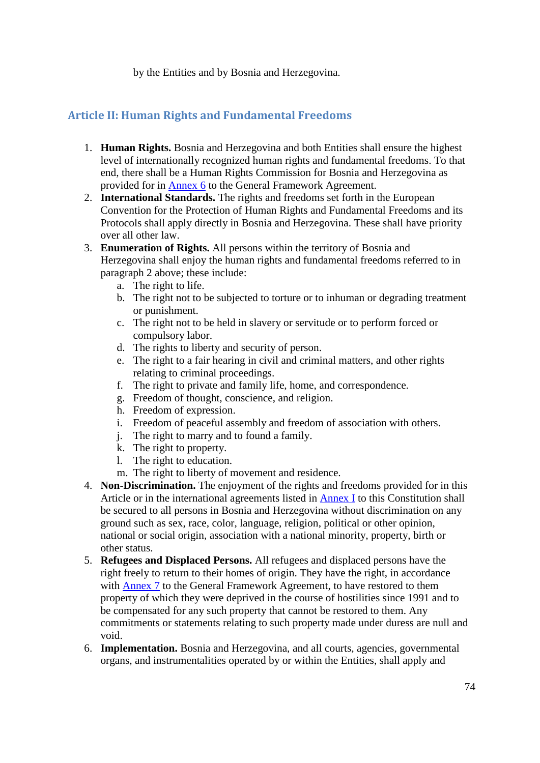by the Entities and by Bosnia and Herzegovina.

# **Article II: Human Rights and Fundamental Freedoms**

- 1. **Human Rights.** Bosnia and Herzegovina and both Entities shall ensure the highest level of internationally recognized human rights and fundamental freedoms. To that end, there shall be a Human Rights Commission for Bosnia and Herzegovina as provided for in [Annex 6](http://www.nato.int/ifor/gfa/gfa-an6.htm) to the General Framework Agreement.
- 2. **International Standards.** The rights and freedoms set forth in the European Convention for the Protection of Human Rights and Fundamental Freedoms and its Protocols shall apply directly in Bosnia and Herzegovina. These shall have priority over all other law.
- 3. **Enumeration of Rights.** All persons within the territory of Bosnia and Herzegovina shall enjoy the human rights and fundamental freedoms referred to in paragraph 2 above; these include:
	- a. The right to life.
	- b. The right not to be subjected to torture or to inhuman or degrading treatment or punishment.
	- c. The right not to be held in slavery or servitude or to perform forced or compulsory labor.
	- d. The rights to liberty and security of person.
	- e. The right to a fair hearing in civil and criminal matters, and other rights relating to criminal proceedings.
	- f. The right to private and family life, home, and correspondence.
	- g. Freedom of thought, conscience, and religion.
	- h. Freedom of expression.
	- i. Freedom of peaceful assembly and freedom of association with others.
	- j. The right to marry and to found a family.
	- k. The right to property.
	- l. The right to education.
	- m. The right to liberty of movement and residence.
- 4. **Non-Discrimination.** The enjoyment of the rights and freedoms provided for in this Article or in the international agreements listed in [Annex I](http://www.nato.int/ifor/gfa/gfa-an4.htm#annex1) to this Constitution shall be secured to all persons in Bosnia and Herzegovina without discrimination on any ground such as sex, race, color, language, religion, political or other opinion, national or social origin, association with a national minority, property, birth or other status.
- 5. **Refugees and Displaced Persons.** All refugees and displaced persons have the right freely to return to their homes of origin. They have the right, in accordance with [Annex 7](http://www.nato.int/ifor/gfa/gfa-an7.htm) to the General Framework Agreement, to have restored to them property of which they were deprived in the course of hostilities since 1991 and to be compensated for any such property that cannot be restored to them. Any commitments or statements relating to such property made under duress are null and void.
- 6. **Implementation.** Bosnia and Herzegovina, and all courts, agencies, governmental organs, and instrumentalities operated by or within the Entities, shall apply and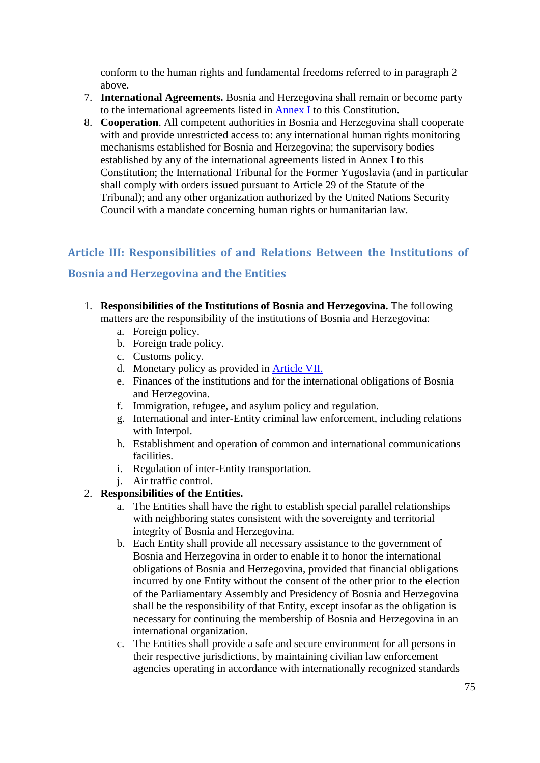conform to the human rights and fundamental freedoms referred to in paragraph 2 above.

- 7. **International Agreements.** Bosnia and Herzegovina shall remain or become party to the international agreements listed in [Annex I](http://www.nato.int/ifor/gfa/gfa-an4.htm#annex1) to this Constitution.
- 8. **Cooperation**. All competent authorities in Bosnia and Herzegovina shall cooperate with and provide unrestricted access to: any international human rights monitoring mechanisms established for Bosnia and Herzegovina; the supervisory bodies established by any of the international agreements listed in Annex I to this Constitution; the International Tribunal for the Former Yugoslavia (and in particular shall comply with orders issued pursuant to Article 29 of the Statute of the Tribunal); and any other organization authorized by the United Nations Security Council with a mandate concerning human rights or humanitarian law.

# **Article III: Responsibilities of and Relations Between the Institutions of Bosnia and Herzegovina and the Entities**

- 1. **Responsibilities of the Institutions of Bosnia and Herzegovina.** The following matters are the responsibility of the institutions of Bosnia and Herzegovina:
	- a. Foreign policy.
	- b. Foreign trade policy.
	- c. Customs policy.
	- d. Monetary policy as provided in [Article VII.](http://www.nato.int/ifor/gfa/gfa-an4.htm#7)
	- e. Finances of the institutions and for the international obligations of Bosnia and Herzegovina.
	- f. Immigration, refugee, and asylum policy and regulation.
	- g. International and inter-Entity criminal law enforcement, including relations with Interpol.
	- h. Establishment and operation of common and international communications facilities.
	- i. Regulation of inter-Entity transportation.
	- j. Air traffic control.

### 2. **Responsibilities of the Entities.**

- a. The Entities shall have the right to establish special parallel relationships with neighboring states consistent with the sovereignty and territorial integrity of Bosnia and Herzegovina.
- b. Each Entity shall provide all necessary assistance to the government of Bosnia and Herzegovina in order to enable it to honor the international obligations of Bosnia and Herzegovina, provided that financial obligations incurred by one Entity without the consent of the other prior to the election of the Parliamentary Assembly and Presidency of Bosnia and Herzegovina shall be the responsibility of that Entity, except insofar as the obligation is necessary for continuing the membership of Bosnia and Herzegovina in an international organization.
- c. The Entities shall provide a safe and secure environment for all persons in their respective jurisdictions, by maintaining civilian law enforcement agencies operating in accordance with internationally recognized standards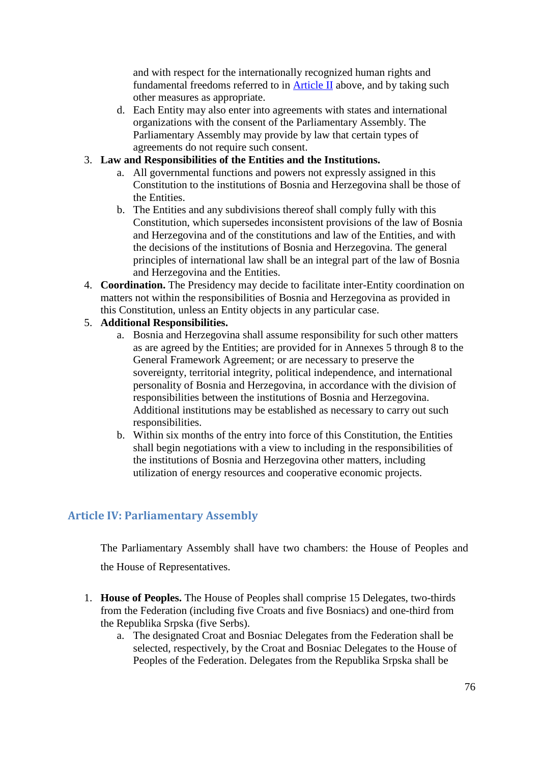and with respect for the internationally recognized human rights and fundamental freedoms referred to in [Article II](http://www.nato.int/ifor/gfa/gfa-an4.htm#2) above, and by taking such other measures as appropriate.

d. Each Entity may also enter into agreements with states and international organizations with the consent of the Parliamentary Assembly. The Parliamentary Assembly may provide by law that certain types of agreements do not require such consent.

#### 3. **Law and Responsibilities of the Entities and the Institutions.**

- a. All governmental functions and powers not expressly assigned in this Constitution to the institutions of Bosnia and Herzegovina shall be those of the Entities.
- b. The Entities and any subdivisions thereof shall comply fully with this Constitution, which supersedes inconsistent provisions of the law of Bosnia and Herzegovina and of the constitutions and law of the Entities, and with the decisions of the institutions of Bosnia and Herzegovina. The general principles of international law shall be an integral part of the law of Bosnia and Herzegovina and the Entities.
- 4. **Coordination.** The Presidency may decide to facilitate inter-Entity coordination on matters not within the responsibilities of Bosnia and Herzegovina as provided in this Constitution, unless an Entity objects in any particular case.

#### 5. **Additional Responsibilities.**

- a. Bosnia and Herzegovina shall assume responsibility for such other matters as are agreed by the Entities; are provided for in Annexes 5 through 8 to the General Framework Agreement; or are necessary to preserve the sovereignty, territorial integrity, political independence, and international personality of Bosnia and Herzegovina, in accordance with the division of responsibilities between the institutions of Bosnia and Herzegovina. Additional institutions may be established as necessary to carry out such responsibilities.
- b. Within six months of the entry into force of this Constitution, the Entities shall begin negotiations with a view to including in the responsibilities of the institutions of Bosnia and Herzegovina other matters, including utilization of energy resources and cooperative economic projects.

### **Article IV: Parliamentary Assembly**

The Parliamentary Assembly shall have two chambers: the House of Peoples and

the House of Representatives.

- 1. **House of Peoples.** The House of Peoples shall comprise 15 Delegates, two-thirds from the Federation (including five Croats and five Bosniacs) and one-third from the Republika Srpska (five Serbs).
	- a. The designated Croat and Bosniac Delegates from the Federation shall be selected, respectively, by the Croat and Bosniac Delegates to the House of Peoples of the Federation. Delegates from the Republika Srpska shall be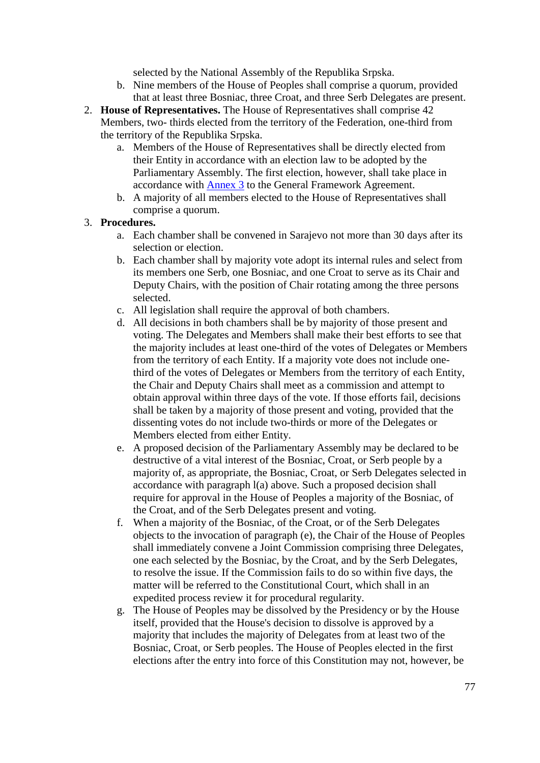selected by the National Assembly of the Republika Srpska.

- b. Nine members of the House of Peoples shall comprise a quorum, provided that at least three Bosniac, three Croat, and three Serb Delegates are present.
- 2. **House of Representatives.** The House of Representatives shall comprise 42 Members, two- thirds elected from the territory of the Federation, one-third from the territory of the Republika Srpska.
	- a. Members of the House of Representatives shall be directly elected from their Entity in accordance with an election law to be adopted by the Parliamentary Assembly. The first election, however, shall take place in accordance with [Annex 3](http://www.nato.int/ifor/gfa/gfa-an3.htm) to the General Framework Agreement.
	- b. A majority of all members elected to the House of Representatives shall comprise a quorum.

### 3. **Procedures.**

- a. Each chamber shall be convened in Sarajevo not more than 30 days after its selection or election.
- b. Each chamber shall by majority vote adopt its internal rules and select from its members one Serb, one Bosniac, and one Croat to serve as its Chair and Deputy Chairs, with the position of Chair rotating among the three persons selected.
- c. All legislation shall require the approval of both chambers.
- d. All decisions in both chambers shall be by majority of those present and voting. The Delegates and Members shall make their best efforts to see that the majority includes at least one-third of the votes of Delegates or Members from the territory of each Entity. If a majority vote does not include onethird of the votes of Delegates or Members from the territory of each Entity, the Chair and Deputy Chairs shall meet as a commission and attempt to obtain approval within three days of the vote. If those efforts fail, decisions shall be taken by a majority of those present and voting, provided that the dissenting votes do not include two-thirds or more of the Delegates or Members elected from either Entity.
- e. A proposed decision of the Parliamentary Assembly may be declared to be destructive of a vital interest of the Bosniac, Croat, or Serb people by a majority of, as appropriate, the Bosniac, Croat, or Serb Delegates selected in accordance with paragraph l(a) above. Such a proposed decision shall require for approval in the House of Peoples a majority of the Bosniac, of the Croat, and of the Serb Delegates present and voting.
- f. When a majority of the Bosniac, of the Croat, or of the Serb Delegates objects to the invocation of paragraph (e), the Chair of the House of Peoples shall immediately convene a Joint Commission comprising three Delegates, one each selected by the Bosniac, by the Croat, and by the Serb Delegates, to resolve the issue. If the Commission fails to do so within five days, the matter will be referred to the Constitutional Court, which shall in an expedited process review it for procedural regularity.
- g. The House of Peoples may be dissolved by the Presidency or by the House itself, provided that the House's decision to dissolve is approved by a majority that includes the majority of Delegates from at least two of the Bosniac, Croat, or Serb peoples. The House of Peoples elected in the first elections after the entry into force of this Constitution may not, however, be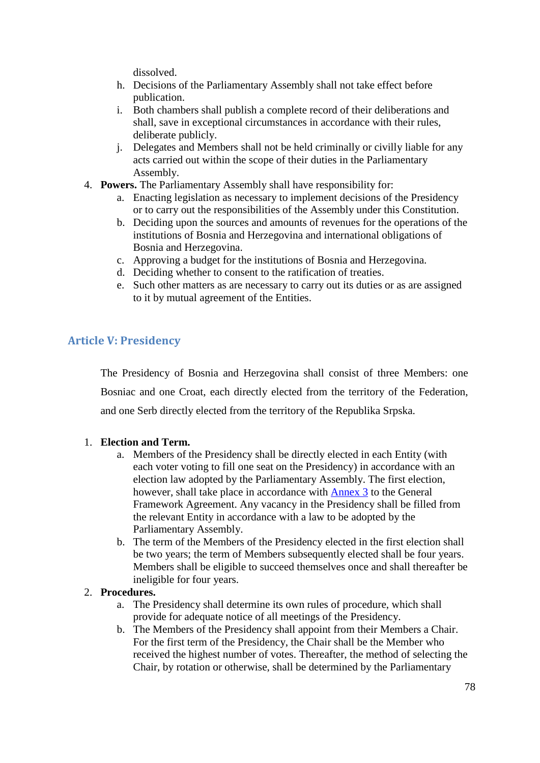dissolved.

- h. Decisions of the Parliamentary Assembly shall not take effect before publication.
- i. Both chambers shall publish a complete record of their deliberations and shall, save in exceptional circumstances in accordance with their rules, deliberate publicly.
- j. Delegates and Members shall not be held criminally or civilly liable for any acts carried out within the scope of their duties in the Parliamentary Assembly.
- 4. **Powers.** The Parliamentary Assembly shall have responsibility for:
	- a. Enacting legislation as necessary to implement decisions of the Presidency or to carry out the responsibilities of the Assembly under this Constitution.
	- b. Deciding upon the sources and amounts of revenues for the operations of the institutions of Bosnia and Herzegovina and international obligations of Bosnia and Herzegovina.
	- c. Approving a budget for the institutions of Bosnia and Herzegovina.
	- d. Deciding whether to consent to the ratification of treaties.
	- e. Such other matters as are necessary to carry out its duties or as are assigned to it by mutual agreement of the Entities.

### **Article V: Presidency**

The Presidency of Bosnia and Herzegovina shall consist of three Members: one Bosniac and one Croat, each directly elected from the territory of the Federation, and one Serb directly elected from the territory of the Republika Srpska.

### 1. **Election and Term.**

- a. Members of the Presidency shall be directly elected in each Entity (with each voter voting to fill one seat on the Presidency) in accordance with an election law adopted by the Parliamentary Assembly. The first election, however, shall take place in accordance with [Annex 3](http://www.nato.int/ifor/gfa/gfa-an3.htm) to the General Framework Agreement. Any vacancy in the Presidency shall be filled from the relevant Entity in accordance with a law to be adopted by the Parliamentary Assembly.
- b. The term of the Members of the Presidency elected in the first election shall be two years; the term of Members subsequently elected shall be four years. Members shall be eligible to succeed themselves once and shall thereafter be ineligible for four years.

#### 2. **Procedures.**

- a. The Presidency shall determine its own rules of procedure, which shall provide for adequate notice of all meetings of the Presidency.
- b. The Members of the Presidency shall appoint from their Members a Chair. For the first term of the Presidency, the Chair shall be the Member who received the highest number of votes. Thereafter, the method of selecting the Chair, by rotation or otherwise, shall be determined by the Parliamentary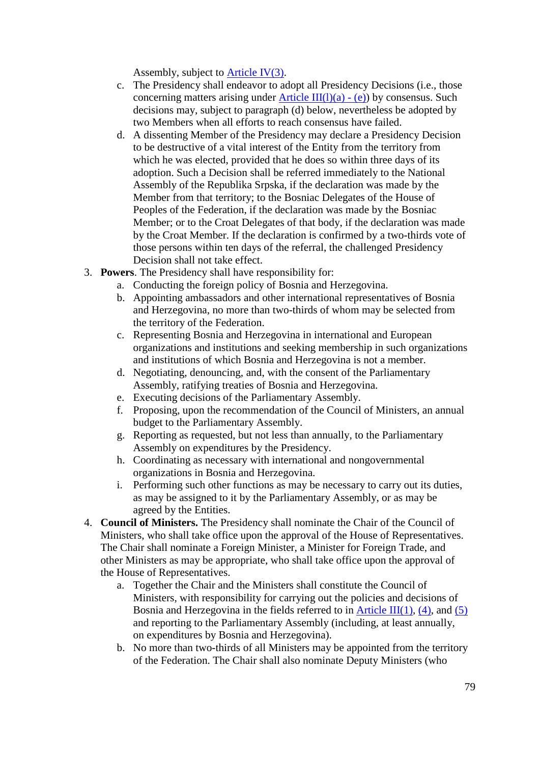Assembly, subject to [Article IV\(3\).](http://www.nato.int/ifor/gfa/gfa-an4.htm#4-3)

- c. The Presidency shall endeavor to adopt all Presidency Decisions (i.e., those concerning matters arising under Article  $III(1)(a) - (e)$  by consensus. Such decisions may, subject to paragraph (d) below, nevertheless be adopted by two Members when all efforts to reach consensus have failed.
- d. A dissenting Member of the Presidency may declare a Presidency Decision to be destructive of a vital interest of the Entity from the territory from which he was elected, provided that he does so within three days of its adoption. Such a Decision shall be referred immediately to the National Assembly of the Republika Srpska, if the declaration was made by the Member from that territory; to the Bosniac Delegates of the House of Peoples of the Federation, if the declaration was made by the Bosniac Member; or to the Croat Delegates of that body, if the declaration was made by the Croat Member. If the declaration is confirmed by a two-thirds vote of those persons within ten days of the referral, the challenged Presidency Decision shall not take effect.
- 3. **Powers**. The Presidency shall have responsibility for:
	- a. Conducting the foreign policy of Bosnia and Herzegovina.
	- b. Appointing ambassadors and other international representatives of Bosnia and Herzegovina, no more than two-thirds of whom may be selected from the territory of the Federation.
	- c. Representing Bosnia and Herzegovina in international and European organizations and institutions and seeking membership in such organizations and institutions of which Bosnia and Herzegovina is not a member.
	- d. Negotiating, denouncing, and, with the consent of the Parliamentary Assembly, ratifying treaties of Bosnia and Herzegovina.
	- e. Executing decisions of the Parliamentary Assembly.
	- f. Proposing, upon the recommendation of the Council of Ministers, an annual budget to the Parliamentary Assembly.
	- g. Reporting as requested, but not less than annually, to the Parliamentary Assembly on expenditures by the Presidency.
	- h. Coordinating as necessary with international and nongovernmental organizations in Bosnia and Herzegovina.
	- i. Performing such other functions as may be necessary to carry out its duties, as may be assigned to it by the Parliamentary Assembly, or as may be agreed by the Entities.
- 4. **Council of Ministers.** The Presidency shall nominate the Chair of the Council of Ministers, who shall take office upon the approval of the House of Representatives. The Chair shall nominate a Foreign Minister, a Minister for Foreign Trade, and other Ministers as may be appropriate, who shall take office upon the approval of the House of Representatives.
	- a. Together the Chair and the Ministers shall constitute the Council of Ministers, with responsibility for carrying out the policies and decisions of Bosnia and Herzegovina in the fields referred to in [Article III\(1\),](http://www.nato.int/ifor/gfa/gfa-an4.htm#3-1) [\(4\),](http://www.nato.int/ifor/gfa/gfa-an4.htm#3-4) and [\(5\)](http://www.nato.int/ifor/gfa/gfa-an4.htm#3-5) and reporting to the Parliamentary Assembly (including, at least annually, on expenditures by Bosnia and Herzegovina).
	- b. No more than two-thirds of all Ministers may be appointed from the territory of the Federation. The Chair shall also nominate Deputy Ministers (who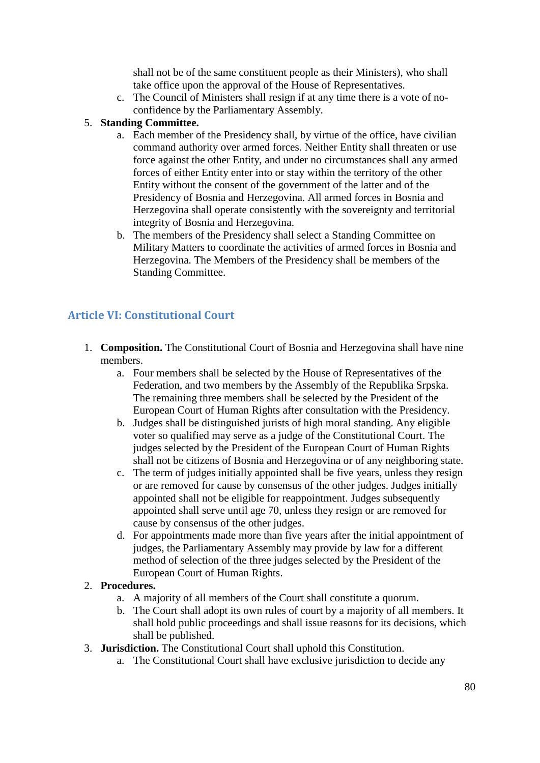shall not be of the same constituent people as their Ministers), who shall take office upon the approval of the House of Representatives.

c. The Council of Ministers shall resign if at any time there is a vote of noconfidence by the Parliamentary Assembly.

#### 5. **Standing Committee.**

- a. Each member of the Presidency shall, by virtue of the office, have civilian command authority over armed forces. Neither Entity shall threaten or use force against the other Entity, and under no circumstances shall any armed forces of either Entity enter into or stay within the territory of the other Entity without the consent of the government of the latter and of the Presidency of Bosnia and Herzegovina. All armed forces in Bosnia and Herzegovina shall operate consistently with the sovereignty and territorial integrity of Bosnia and Herzegovina.
- b. The members of the Presidency shall select a Standing Committee on Military Matters to coordinate the activities of armed forces in Bosnia and Herzegovina. The Members of the Presidency shall be members of the Standing Committee.

# **Article VI: Constitutional Court**

- 1. **Composition.** The Constitutional Court of Bosnia and Herzegovina shall have nine members.
	- a. Four members shall be selected by the House of Representatives of the Federation, and two members by the Assembly of the Republika Srpska. The remaining three members shall be selected by the President of the European Court of Human Rights after consultation with the Presidency.
	- b. Judges shall be distinguished jurists of high moral standing. Any eligible voter so qualified may serve as a judge of the Constitutional Court. The judges selected by the President of the European Court of Human Rights shall not be citizens of Bosnia and Herzegovina or of any neighboring state.
	- c. The term of judges initially appointed shall be five years, unless they resign or are removed for cause by consensus of the other judges. Judges initially appointed shall not be eligible for reappointment. Judges subsequently appointed shall serve until age 70, unless they resign or are removed for cause by consensus of the other judges.
	- d. For appointments made more than five years after the initial appointment of judges, the Parliamentary Assembly may provide by law for a different method of selection of the three judges selected by the President of the European Court of Human Rights.

### 2. **Procedures.**

- a. A majority of all members of the Court shall constitute a quorum.
- b. The Court shall adopt its own rules of court by a majority of all members. It shall hold public proceedings and shall issue reasons for its decisions, which shall be published.
- 3. **Jurisdiction.** The Constitutional Court shall uphold this Constitution.
	- a. The Constitutional Court shall have exclusive jurisdiction to decide any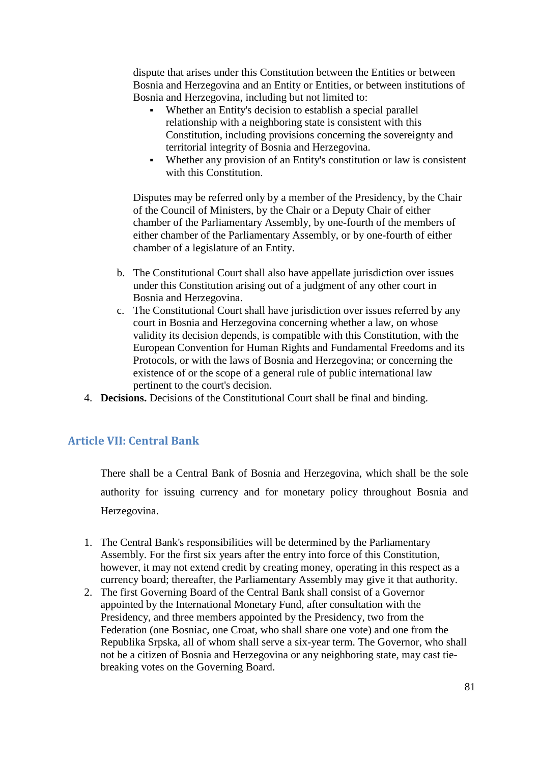dispute that arises under this Constitution between the Entities or between Bosnia and Herzegovina and an Entity or Entities, or between institutions of Bosnia and Herzegovina, including but not limited to:

- Whether an Entity's decision to establish a special parallel relationship with a neighboring state is consistent with this Constitution, including provisions concerning the sovereignty and territorial integrity of Bosnia and Herzegovina.
- Whether any provision of an Entity's constitution or law is consistent with this Constitution.

Disputes may be referred only by a member of the Presidency, by the Chair of the Council of Ministers, by the Chair or a Deputy Chair of either chamber of the Parliamentary Assembly, by one-fourth of the members of either chamber of the Parliamentary Assembly, or by one-fourth of either chamber of a legislature of an Entity.

- b. The Constitutional Court shall also have appellate jurisdiction over issues under this Constitution arising out of a judgment of any other court in Bosnia and Herzegovina.
- c. The Constitutional Court shall have jurisdiction over issues referred by any court in Bosnia and Herzegovina concerning whether a law, on whose validity its decision depends, is compatible with this Constitution, with the European Convention for Human Rights and Fundamental Freedoms and its Protocols, or with the laws of Bosnia and Herzegovina; or concerning the existence of or the scope of a general rule of public international law pertinent to the court's decision.
- 4. **Decisions.** Decisions of the Constitutional Court shall be final and binding.

### **Article VII: Central Bank**

There shall be a Central Bank of Bosnia and Herzegovina, which shall be the sole authority for issuing currency and for monetary policy throughout Bosnia and Herzegovina.

- 1. The Central Bank's responsibilities will be determined by the Parliamentary Assembly. For the first six years after the entry into force of this Constitution, however, it may not extend credit by creating money, operating in this respect as a currency board; thereafter, the Parliamentary Assembly may give it that authority.
- 2. The first Governing Board of the Central Bank shall consist of a Governor appointed by the International Monetary Fund, after consultation with the Presidency, and three members appointed by the Presidency, two from the Federation (one Bosniac, one Croat, who shall share one vote) and one from the Republika Srpska, all of whom shall serve a six-year term. The Governor, who shall not be a citizen of Bosnia and Herzegovina or any neighboring state, may cast tiebreaking votes on the Governing Board.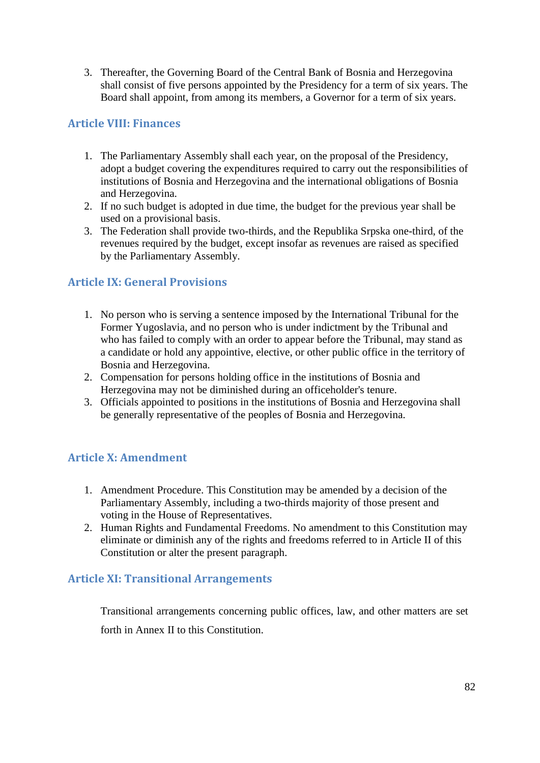3. Thereafter, the Governing Board of the Central Bank of Bosnia and Herzegovina shall consist of five persons appointed by the Presidency for a term of six years. The Board shall appoint, from among its members, a Governor for a term of six years.

# **Article VIII: Finances**

- 1. The Parliamentary Assembly shall each year, on the proposal of the Presidency, adopt a budget covering the expenditures required to carry out the responsibilities of institutions of Bosnia and Herzegovina and the international obligations of Bosnia and Herzegovina.
- 2. If no such budget is adopted in due time, the budget for the previous year shall be used on a provisional basis.
- 3. The Federation shall provide two-thirds, and the Republika Srpska one-third, of the revenues required by the budget, except insofar as revenues are raised as specified by the Parliamentary Assembly.

# **Article IX: General Provisions**

- 1. No person who is serving a sentence imposed by the International Tribunal for the Former Yugoslavia, and no person who is under indictment by the Tribunal and who has failed to comply with an order to appear before the Tribunal, may stand as a candidate or hold any appointive, elective, or other public office in the territory of Bosnia and Herzegovina.
- 2. Compensation for persons holding office in the institutions of Bosnia and Herzegovina may not be diminished during an officeholder's tenure.
- 3. Officials appointed to positions in the institutions of Bosnia and Herzegovina shall be generally representative of the peoples of Bosnia and Herzegovina.

# **Article X: Amendment**

- 1. Amendment Procedure. This Constitution may be amended by a decision of the Parliamentary Assembly, including a two-thirds majority of those present and voting in the House of Representatives.
- 2. Human Rights and Fundamental Freedoms. No amendment to this Constitution may eliminate or diminish any of the rights and freedoms referred to in Article II of this Constitution or alter the present paragraph.

# **Article XI: Transitional Arrangements**

Transitional arrangements concerning public offices, law, and other matters are set forth in Annex II to this Constitution.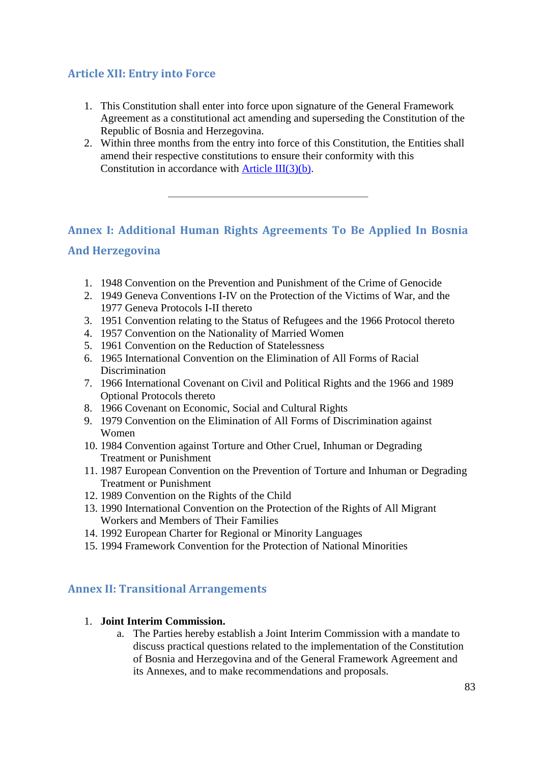### **Article XII: Entry into Force**

- 1. This Constitution shall enter into force upon signature of the General Framework Agreement as a constitutional act amending and superseding the Constitution of the Republic of Bosnia and Herzegovina.
- 2. Within three months from the entry into force of this Constitution, the Entities shall amend their respective constitutions to ensure their conformity with this Constitution in accordance with [Article III\(3\)\(b\).](http://www.nato.int/ifor/gfa/gfa-an4.htm#3-3-b)

# **Annex I: Additional Human Rights Agreements To Be Applied In Bosnia And Herzegovina**

- 1. 1948 Convention on the Prevention and Punishment of the Crime of Genocide
- 2. 1949 Geneva Conventions I-IV on the Protection of the Victims of War, and the 1977 Geneva Protocols I-II thereto
- 3. 1951 Convention relating to the Status of Refugees and the 1966 Protocol thereto
- 4. 1957 Convention on the Nationality of Married Women
- 5. 1961 Convention on the Reduction of Statelessness
- 6. 1965 International Convention on the Elimination of All Forms of Racial Discrimination
- 7. 1966 International Covenant on Civil and Political Rights and the 1966 and 1989 Optional Protocols thereto
- 8. 1966 Covenant on Economic, Social and Cultural Rights
- 9. 1979 Convention on the Elimination of All Forms of Discrimination against Women
- 10. 1984 Convention against Torture and Other Cruel, Inhuman or Degrading Treatment or Punishment
- 11. 1987 European Convention on the Prevention of Torture and Inhuman or Degrading Treatment or Punishment
- 12. 1989 Convention on the Rights of the Child
- 13. 1990 International Convention on the Protection of the Rights of All Migrant Workers and Members of Their Families
- 14. 1992 European Charter for Regional or Minority Languages
- 15. 1994 Framework Convention for the Protection of National Minorities

### **Annex II: Transitional Arrangements**

#### 1. **Joint Interim Commission.**

a. The Parties hereby establish a Joint Interim Commission with a mandate to discuss practical questions related to the implementation of the Constitution of Bosnia and Herzegovina and of the General Framework Agreement and its Annexes, and to make recommendations and proposals.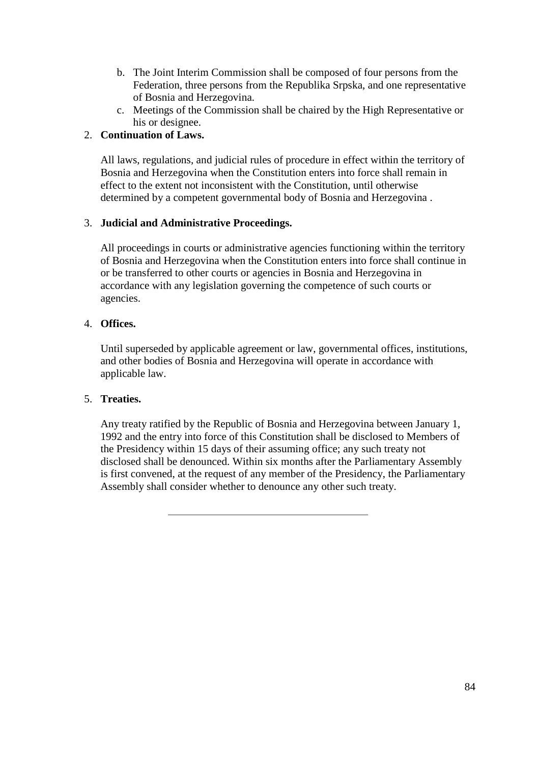- b. The Joint Interim Commission shall be composed of four persons from the Federation, three persons from the Republika Srpska, and one representative of Bosnia and Herzegovina.
- c. Meetings of the Commission shall be chaired by the High Representative or his or designee.

### 2. **Continuation of Laws.**

All laws, regulations, and judicial rules of procedure in effect within the territory of Bosnia and Herzegovina when the Constitution enters into force shall remain in effect to the extent not inconsistent with the Constitution, until otherwise determined by a competent governmental body of Bosnia and Herzegovina .

### 3. **Judicial and Administrative Proceedings.**

All proceedings in courts or administrative agencies functioning within the territory of Bosnia and Herzegovina when the Constitution enters into force shall continue in or be transferred to other courts or agencies in Bosnia and Herzegovina in accordance with any legislation governing the competence of such courts or agencies.

### 4. **Offices.**

Until superseded by applicable agreement or law, governmental offices, institutions, and other bodies of Bosnia and Herzegovina will operate in accordance with applicable law.

### 5. **Treaties.**

Any treaty ratified by the Republic of Bosnia and Herzegovina between January 1, 1992 and the entry into force of this Constitution shall be disclosed to Members of the Presidency within 15 days of their assuming office; any such treaty not disclosed shall be denounced. Within six months after the Parliamentary Assembly is first convened, at the request of any member of the Presidency, the Parliamentary Assembly shall consider whether to denounce any other such treaty.